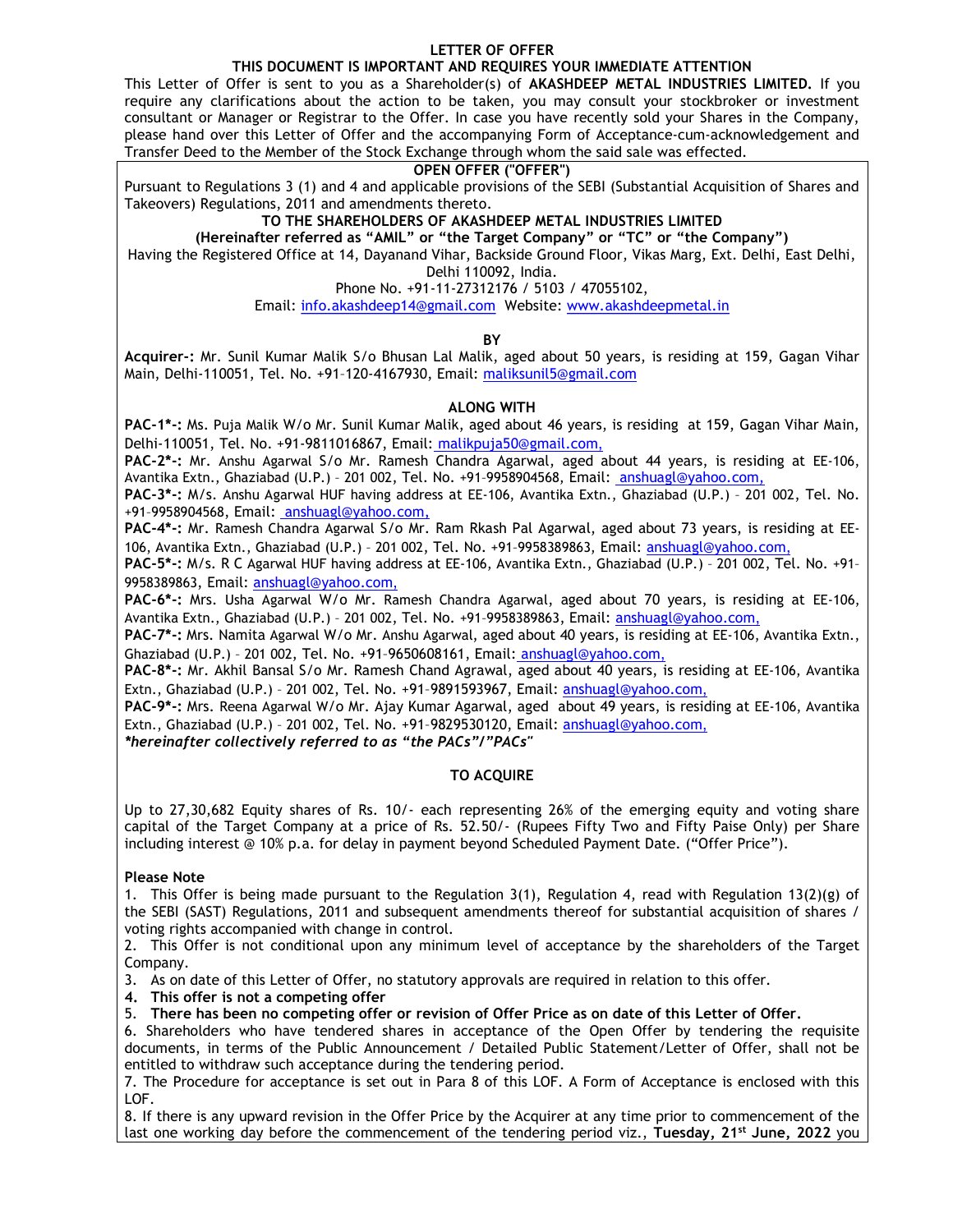### LETTER OF OFFER

# THIS DOCUMENT IS IMPORTANT AND REQUIRES YOUR IMMEDIATE ATTENTION

This Letter of Offer is sent to you as a Shareholder(s) of AKASHDEEP METAL INDUSTRIES LIMITED. If you require any clarifications about the action to be taken, you may consult your stockbroker or investment consultant or Manager or Registrar to the Offer. In case you have recently sold your Shares in the Company, please hand over this Letter of Offer and the accompanying Form of Acceptance-cum-acknowledgement and Transfer Deed to the Member of the Stock Exchange through whom the said sale was effected.

### OPEN OFFER ("OFFER")

Pursuant to Regulations 3 (1) and 4 and applicable provisions of the SEBI (Substantial Acquisition of Shares and Takeovers) Regulations, 2011 and amendments thereto.

TO THE SHAREHOLDERS OF AKASHDEEP METAL INDUSTRIES LIMITED

(Hereinafter referred as "AMIL" or "the Target Company" or "TC" or "the Company")

Having the Registered Office at 14, Dayanand Vihar, Backside Ground Floor, Vikas Marg, Ext. Delhi, East Delhi, Delhi 110092, India.

Phone No. +91-11-27312176 / 5103 / 47055102,

Email: info.akashdeep14@gmail.com Website: www.akashdeepmetal.in

## **BY**

Acquirer-: Mr. Sunil Kumar Malik S/o Bhusan Lal Malik, aged about 50 years, is residing at 159, Gagan Vihar Main, Delhi-110051, Tel. No. +91–120-4167930, Email: maliksunil5@gmail.com

#### ALONG WITH

PAC-1\*-: Ms. Puja Malik W/o Mr. Sunil Kumar Malik, aged about 46 years, is residing at 159, Gagan Vihar Main, Delhi-110051, Tel. No. +91-9811016867, Email: malikpuja50@gmail.com,

PAC-2\*-: Mr. Anshu Agarwal S/o Mr. Ramesh Chandra Agarwal, aged about 44 years, is residing at EE-106, Avantika Extn., Ghaziabad (U.P.) – 201 002, Tel. No. +91–9958904568, Email: anshuagl@yahoo.com,

PAC-3\*-: M/s. Anshu Agarwal HUF having address at EE-106, Avantika Extn., Ghaziabad (U.P.) – 201 002, Tel. No. +91–9958904568, Email: anshuagl@yahoo.com,

PAC-4\*-: Mr. Ramesh Chandra Agarwal S/o Mr. Ram Rkash Pal Agarwal, aged about 73 years, is residing at EE-106, Avantika Extn., Ghaziabad (U.P.) – 201 002, Tel. No. +91–9958389863, Email: anshuagl@yahoo.com,

PAC-5\*-: M/s. R C Agarwal HUF having address at EE-106, Avantika Extn., Ghaziabad (U.P.) – 201 002, Tel. No. +91– 9958389863, Email: anshuagl@yahoo.com,

PAC-6<sup>\*</sup>-: Mrs. Usha Agarwal W/o Mr. Ramesh Chandra Agarwal, aged about 70 years, is residing at EE-106, Avantika Extn., Ghaziabad (U.P.) – 201 002, Tel. No. +91–9958389863, Email: anshuagl@yahoo.com,

PAC-7\*-: Mrs. Namita Agarwal W/o Mr. Anshu Agarwal, aged about 40 years, is residing at EE-106, Avantika Extn., Ghaziabad (U.P.) – 201 002, Tel. No. +91–9650608161, Email: anshuagl@yahoo.com,

PAC-8\*-: Mr. Akhil Bansal S/o Mr. Ramesh Chand Agrawal, aged about 40 years, is residing at EE-106, Avantika Extn., Ghaziabad (U.P.) – 201 002, Tel. No. +91–9891593967, Email: anshuagl@yahoo.com,

PAC-9\*-: Mrs. Reena Agarwal W/o Mr. Ajay Kumar Agarwal, aged about 49 years, is residing at EE-106, Avantika Extn., Ghaziabad (U.P.) – 201 002, Tel. No. +91–9829530120, Email: anshuagl@yahoo.com,

\*hereinafter collectively referred to as "the PACs"/"PACs"

## TO ACQUIRE

Up to 27,30,682 Equity shares of Rs. 10/- each representing 26% of the emerging equity and voting share capital of the Target Company at a price of Rs. 52.50/- (Rupees Fifty Two and Fifty Paise Only) per Share including interest @ 10% p.a. for delay in payment beyond Scheduled Payment Date. ("Offer Price").

## Please Note

1. This Offer is being made pursuant to the Regulation 3(1), Regulation 4, read with Regulation 13(2)(g) of the SEBI (SAST) Regulations, 2011 and subsequent amendments thereof for substantial acquisition of shares / voting rights accompanied with change in control.

2. This Offer is not conditional upon any minimum level of acceptance by the shareholders of the Target Company.

3. As on date of this Letter of Offer, no statutory approvals are required in relation to this offer.

4. This offer is not a competing offer

5. There has been no competing offer or revision of Offer Price as on date of this Letter of Offer.

6. Shareholders who have tendered shares in acceptance of the Open Offer by tendering the requisite documents, in terms of the Public Announcement / Detailed Public Statement/Letter of Offer, shall not be entitled to withdraw such acceptance during the tendering period.

7. The Procedure for acceptance is set out in Para 8 of this LOF. A Form of Acceptance is enclosed with this LOF.

8. If there is any upward revision in the Offer Price by the Acquirer at any time prior to commencement of the last one working day before the commencement of the tendering period viz., Tuesday,  $21^{st}$  June, 2022 you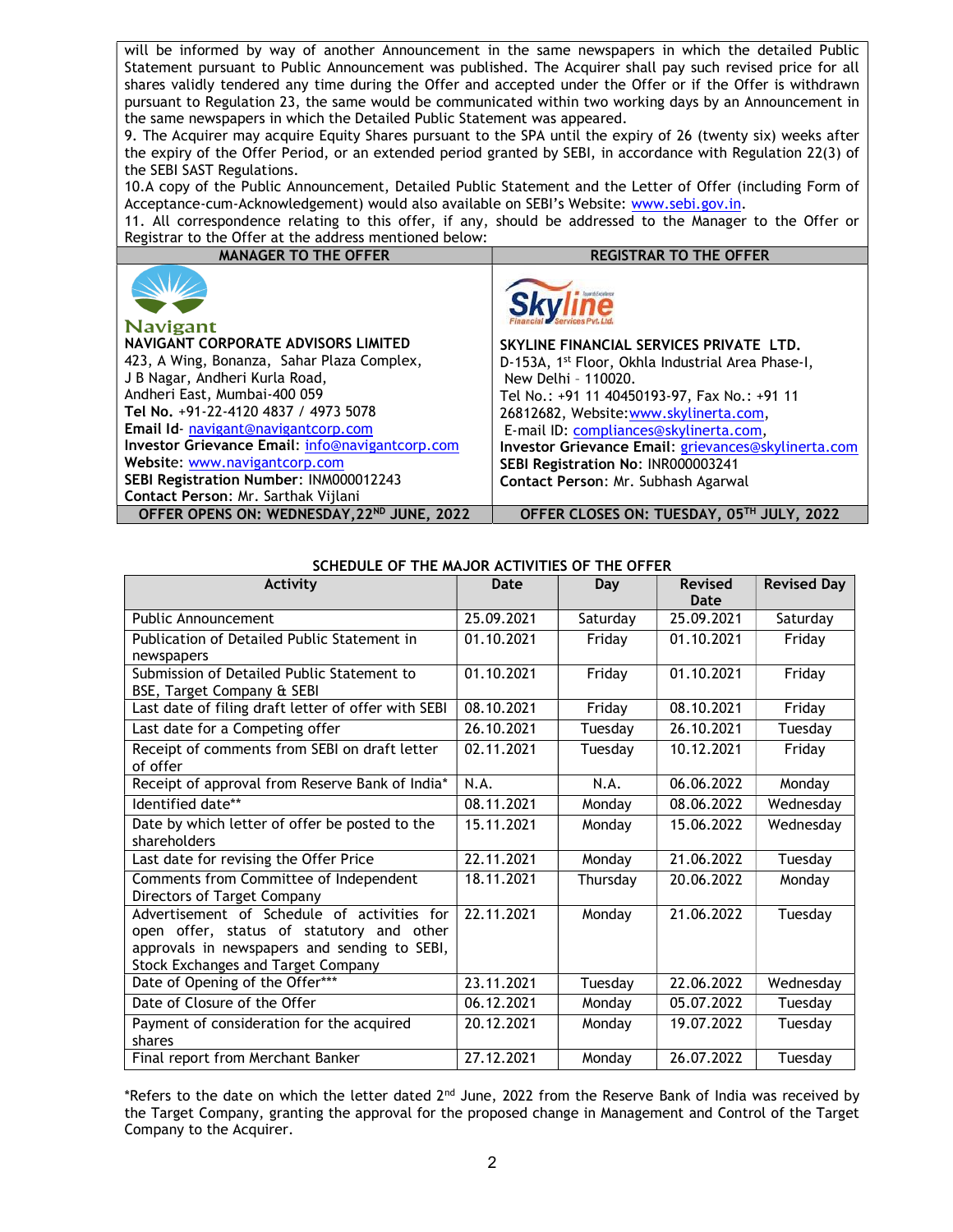will be informed by way of another Announcement in the same newspapers in which the detailed Public Statement pursuant to Public Announcement was published. The Acquirer shall pay such revised price for all shares validly tendered any time during the Offer and accepted under the Offer or if the Offer is withdrawn pursuant to Regulation 23, the same would be communicated within two working days by an Announcement in the same newspapers in which the Detailed Public Statement was appeared.

9. The Acquirer may acquire Equity Shares pursuant to the SPA until the expiry of 26 (twenty six) weeks after the expiry of the Offer Period, or an extended period granted by SEBI, in accordance with Regulation 22(3) of the SEBI SAST Regulations.

10.A copy of the Public Announcement, Detailed Public Statement and the Letter of Offer (including Form of Acceptance-cum-Acknowledgement) would also available on SEBI's Website: www.sebi.gov.in.

11. All correspondence relating to this offer, if any, should be addressed to the Manager to the Offer or Registrar to the Offer at the address mentioned below:

| <b>MANAGER TO THE OFFER</b>                     | <b>REGISTRAR TO THE OFFER</b>                                 |
|-------------------------------------------------|---------------------------------------------------------------|
| <b>Navigant</b>                                 |                                                               |
| NAVIGANT CORPORATE ADVISORS LIMITED             | SKYLINE FINANCIAL SERVICES PRIVATE LTD.                       |
| 423, A Wing, Bonanza, Sahar Plaza Complex,      | D-153A, 1 <sup>st</sup> Floor, Okhla Industrial Area Phase-I, |
| J B Nagar, Andheri Kurla Road,                  | New Delhi - 110020.                                           |
| Andheri East, Mumbai-400 059                    | Tel No.: +91 11 40450193-97, Fax No.: +91 11                  |
| Tel No. +91-22-4120 4837 / 4973 5078            | 26812682, Website: www.skylinerta.com,                        |
| Email Id navigant@navigantcorp.com              | E-mail ID: compliances@skylinerta.com,                        |
| Investor Grievance Email: info@navigantcorp.com | Investor Grievance Email: grievances@skylinerta.com           |
| Website: www.navigantcorp.com                   | SEBI Registration No: INR000003241                            |
| SEBI Registration Number: INM000012243          | Contact Person: Mr. Subhash Agarwal                           |
| Contact Person: Mr. Sarthak Vijlani             |                                                               |
| OFFER OPENS ON: WEDNESDAY, 22ND JUNE, 2022      | OFFER CLOSES ON: TUESDAY, 05TH JULY, 2022                     |

| SCHEDULE OF THE MAJOR ACTIVITIES OF THE OFFER |  |
|-----------------------------------------------|--|
|-----------------------------------------------|--|

| <b>Activity</b>                                                                                                                                                                       | Date       | Day      | <b>Revised</b> | <b>Revised Day</b> |
|---------------------------------------------------------------------------------------------------------------------------------------------------------------------------------------|------------|----------|----------------|--------------------|
|                                                                                                                                                                                       |            |          | Date           |                    |
| <b>Public Announcement</b>                                                                                                                                                            | 25.09.2021 | Saturday | 25.09.2021     | Saturday           |
| Publication of Detailed Public Statement in<br>newspapers                                                                                                                             | 01.10.2021 | Friday   | 01.10.2021     | Friday             |
| Submission of Detailed Public Statement to<br>BSE, Target Company & SEBI                                                                                                              | 01.10.2021 | Friday   | 01.10.2021     | Friday             |
| Last date of filing draft letter of offer with SEBI                                                                                                                                   | 08.10.2021 | Friday   | 08.10.2021     | Friday             |
| Last date for a Competing offer                                                                                                                                                       | 26.10.2021 | Tuesday  | 26.10.2021     | Tuesday            |
| Receipt of comments from SEBI on draft letter<br>of offer                                                                                                                             | 02.11.2021 | Tuesday  | 10.12.2021     | Friday             |
| Receipt of approval from Reserve Bank of India*                                                                                                                                       | N.A.       | N.A.     | 06.06.2022     | Monday             |
| Identified date**                                                                                                                                                                     | 08.11.2021 | Monday   | 08.06.2022     | Wednesday          |
| Date by which letter of offer be posted to the<br>shareholders                                                                                                                        | 15.11.2021 | Monday   | 15.06.2022     | Wednesday          |
| Last date for revising the Offer Price                                                                                                                                                | 22.11.2021 | Monday   | 21.06.2022     | Tuesday            |
| Comments from Committee of Independent<br>Directors of Target Company                                                                                                                 | 18.11.2021 | Thursday | 20.06.2022     | Monday             |
| Advertisement of Schedule of activities for<br>open offer, status of statutory and other<br>approvals in newspapers and sending to SEBI,<br><b>Stock Exchanges and Target Company</b> | 22.11.2021 | Monday   | 21.06.2022     | Tuesday            |
| Date of Opening of the Offer***                                                                                                                                                       | 23.11.2021 | Tuesday  | 22.06.2022     | Wednesday          |
| Date of Closure of the Offer                                                                                                                                                          | 06.12.2021 | Monday   | 05.07.2022     | Tuesday            |
| Payment of consideration for the acquired<br>shares                                                                                                                                   | 20.12.2021 | Monday   | 19.07.2022     | Tuesday            |
| Final report from Merchant Banker                                                                                                                                                     | 27.12.2021 | Monday   | 26.07.2022     | Tuesday            |

\*Refers to the date on which the letter dated 2<sup>nd</sup> June, 2022 from the Reserve Bank of India was received by the Target Company, granting the approval for the proposed change in Management and Control of the Target Company to the Acquirer.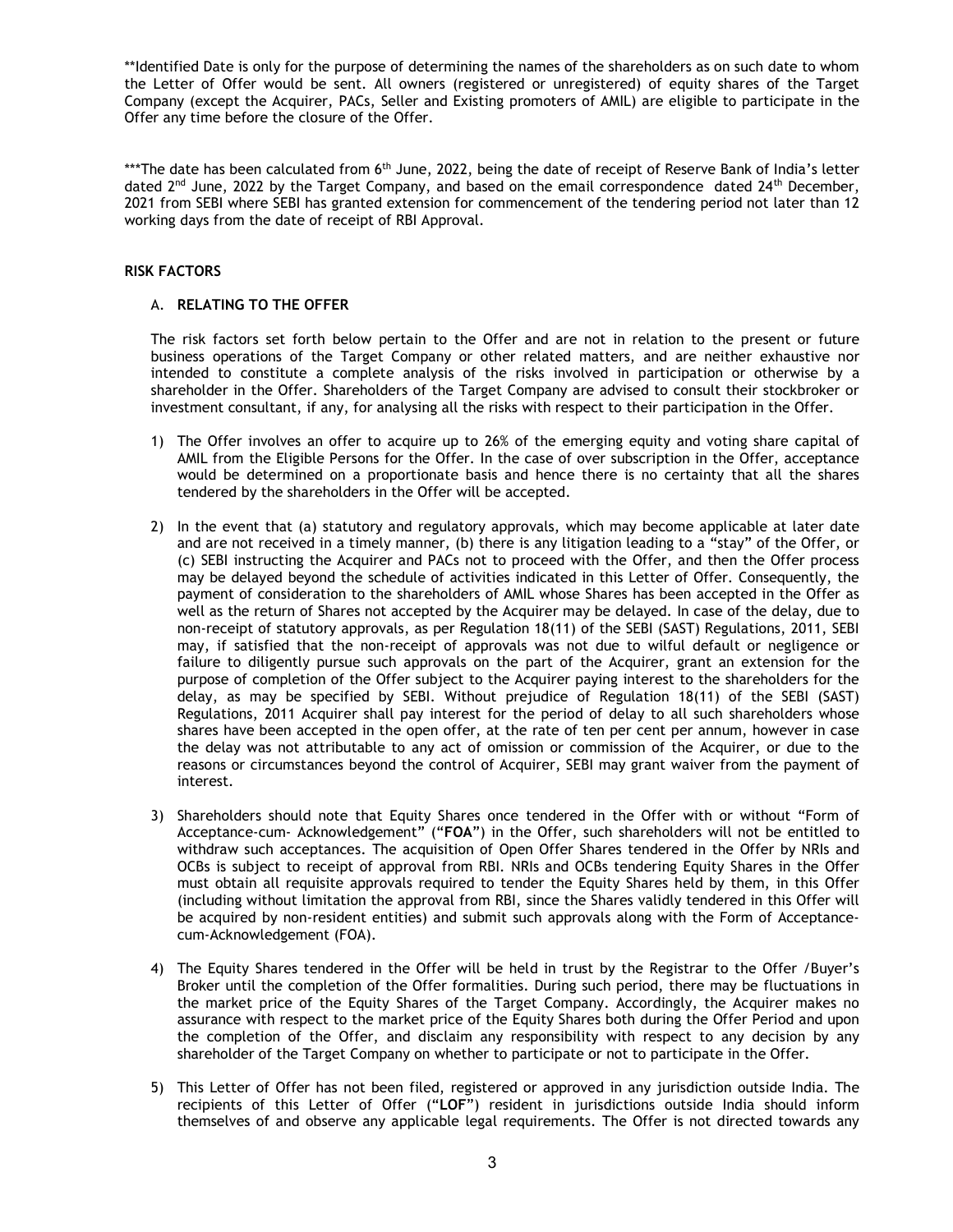\*\*Identified Date is only for the purpose of determining the names of the shareholders as on such date to whom the Letter of Offer would be sent. All owners (registered or unregistered) of equity shares of the Target Company (except the Acquirer, PACs, Seller and Existing promoters of AMIL) are eligible to participate in the Offer any time before the closure of the Offer.

\*\*\*The date has been calculated from 6<sup>th</sup> June, 2022, being the date of receipt of Reserve Bank of India's letter dated  $2^{nd}$  June, 2022 by the Target Company, and based on the email correspondence dated  $24^{th}$  December, 2021 from SEBI where SEBI has granted extension for commencement of the tendering period not later than 12 working days from the date of receipt of RBI Approval.

## RISK FACTORS

## A. RELATING TO THE OFFER

The risk factors set forth below pertain to the Offer and are not in relation to the present or future business operations of the Target Company or other related matters, and are neither exhaustive nor intended to constitute a complete analysis of the risks involved in participation or otherwise by a shareholder in the Offer. Shareholders of the Target Company are advised to consult their stockbroker or investment consultant, if any, for analysing all the risks with respect to their participation in the Offer.

- 1) The Offer involves an offer to acquire up to 26% of the emerging equity and voting share capital of AMIL from the Eligible Persons for the Offer. In the case of over subscription in the Offer, acceptance would be determined on a proportionate basis and hence there is no certainty that all the shares tendered by the shareholders in the Offer will be accepted.
- 2) In the event that (a) statutory and regulatory approvals, which may become applicable at later date and are not received in a timely manner, (b) there is any litigation leading to a "stay" of the Offer, or (c) SEBI instructing the Acquirer and PACs not to proceed with the Offer, and then the Offer process may be delayed beyond the schedule of activities indicated in this Letter of Offer. Consequently, the payment of consideration to the shareholders of AMIL whose Shares has been accepted in the Offer as well as the return of Shares not accepted by the Acquirer may be delayed. In case of the delay, due to non-receipt of statutory approvals, as per Regulation 18(11) of the SEBI (SAST) Regulations, 2011, SEBI may, if satisfied that the non-receipt of approvals was not due to wilful default or negligence or failure to diligently pursue such approvals on the part of the Acquirer, grant an extension for the purpose of completion of the Offer subject to the Acquirer paying interest to the shareholders for the delay, as may be specified by SEBI. Without prejudice of Regulation 18(11) of the SEBI (SAST) Regulations, 2011 Acquirer shall pay interest for the period of delay to all such shareholders whose shares have been accepted in the open offer, at the rate of ten per cent per annum, however in case the delay was not attributable to any act of omission or commission of the Acquirer, or due to the reasons or circumstances beyond the control of Acquirer, SEBI may grant waiver from the payment of interest.
- 3) Shareholders should note that Equity Shares once tendered in the Offer with or without "Form of Acceptance-cum- Acknowledgement" ("FOA") in the Offer, such shareholders will not be entitled to withdraw such acceptances. The acquisition of Open Offer Shares tendered in the Offer by NRIs and OCBs is subject to receipt of approval from RBI. NRIs and OCBs tendering Equity Shares in the Offer must obtain all requisite approvals required to tender the Equity Shares held by them, in this Offer (including without limitation the approval from RBI, since the Shares validly tendered in this Offer will be acquired by non-resident entities) and submit such approvals along with the Form of Acceptancecum-Acknowledgement (FOA).
- 4) The Equity Shares tendered in the Offer will be held in trust by the Registrar to the Offer /Buyer's Broker until the completion of the Offer formalities. During such period, there may be fluctuations in the market price of the Equity Shares of the Target Company. Accordingly, the Acquirer makes no assurance with respect to the market price of the Equity Shares both during the Offer Period and upon the completion of the Offer, and disclaim any responsibility with respect to any decision by any shareholder of the Target Company on whether to participate or not to participate in the Offer.
- 5) This Letter of Offer has not been filed, registered or approved in any jurisdiction outside India. The recipients of this Letter of Offer ("LOF") resident in jurisdictions outside India should inform themselves of and observe any applicable legal requirements. The Offer is not directed towards any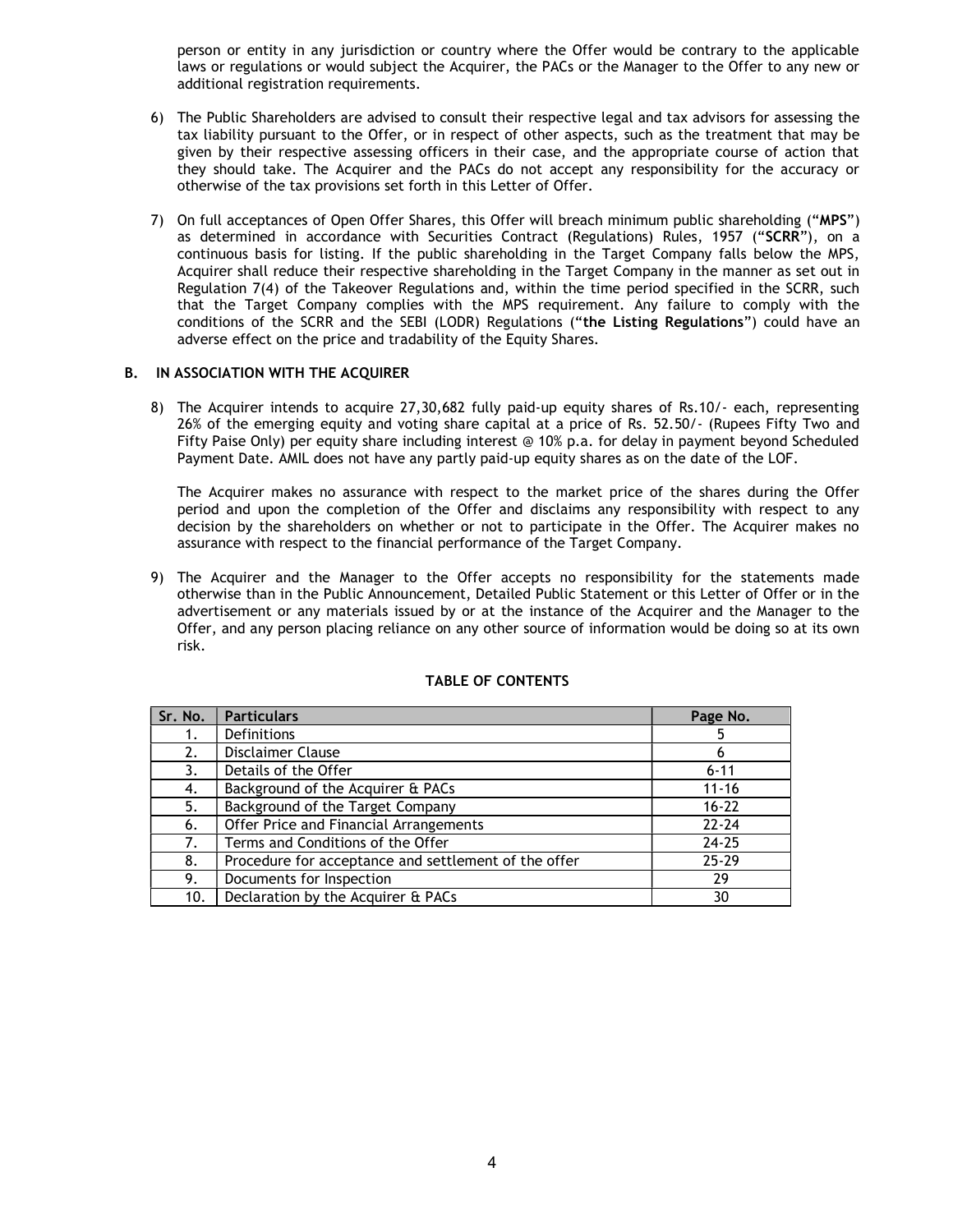person or entity in any jurisdiction or country where the Offer would be contrary to the applicable laws or regulations or would subject the Acquirer, the PACs or the Manager to the Offer to any new or additional registration requirements.

- 6) The Public Shareholders are advised to consult their respective legal and tax advisors for assessing the tax liability pursuant to the Offer, or in respect of other aspects, such as the treatment that may be given by their respective assessing officers in their case, and the appropriate course of action that they should take. The Acquirer and the PACs do not accept any responsibility for the accuracy or otherwise of the tax provisions set forth in this Letter of Offer.
- 7) On full acceptances of Open Offer Shares, this Offer will breach minimum public shareholding ("MPS") as determined in accordance with Securities Contract (Regulations) Rules, 1957 ("SCRR"), on a continuous basis for listing. If the public shareholding in the Target Company falls below the MPS, Acquirer shall reduce their respective shareholding in the Target Company in the manner as set out in Regulation 7(4) of the Takeover Regulations and, within the time period specified in the SCRR, such that the Target Company complies with the MPS requirement. Any failure to comply with the conditions of the SCRR and the SEBI (LODR) Regulations ("the Listing Regulations") could have an adverse effect on the price and tradability of the Equity Shares.

## B. IN ASSOCIATION WITH THE ACQUIRER

8) The Acquirer intends to acquire 27,30,682 fully paid-up equity shares of Rs.10/- each, representing 26% of the emerging equity and voting share capital at a price of Rs. 52.50/- (Rupees Fifty Two and Fifty Paise Only) per equity share including interest @ 10% p.a. for delay in payment beyond Scheduled Payment Date. AMIL does not have any partly paid-up equity shares as on the date of the LOF.

The Acquirer makes no assurance with respect to the market price of the shares during the Offer period and upon the completion of the Offer and disclaims any responsibility with respect to any decision by the shareholders on whether or not to participate in the Offer. The Acquirer makes no assurance with respect to the financial performance of the Target Company.

9) The Acquirer and the Manager to the Offer accepts no responsibility for the statements made otherwise than in the Public Announcement, Detailed Public Statement or this Letter of Offer or in the advertisement or any materials issued by or at the instance of the Acquirer and the Manager to the Offer, and any person placing reliance on any other source of information would be doing so at its own risk.

| Sr. No. | <b>Particulars</b>                                   | Page No.  |
|---------|------------------------------------------------------|-----------|
|         | <b>Definitions</b>                                   |           |
| 2.      | Disclaimer Clause                                    | 6         |
| 3.      | Details of the Offer                                 | $6 - 11$  |
| 4.      | Background of the Acquirer & PACs                    | $11 - 16$ |
| 5.      | Background of the Target Company                     | $16 - 22$ |
| 6.      | Offer Price and Financial Arrangements               | $22 - 24$ |
| 7.      | Terms and Conditions of the Offer                    | $24 - 25$ |
| 8.      | Procedure for acceptance and settlement of the offer | $25 - 29$ |
| 9.      | Documents for Inspection                             | 29        |
| 10.     | Declaration by the Acquirer & PACs                   | 30        |

# TABLE OF CONTENTS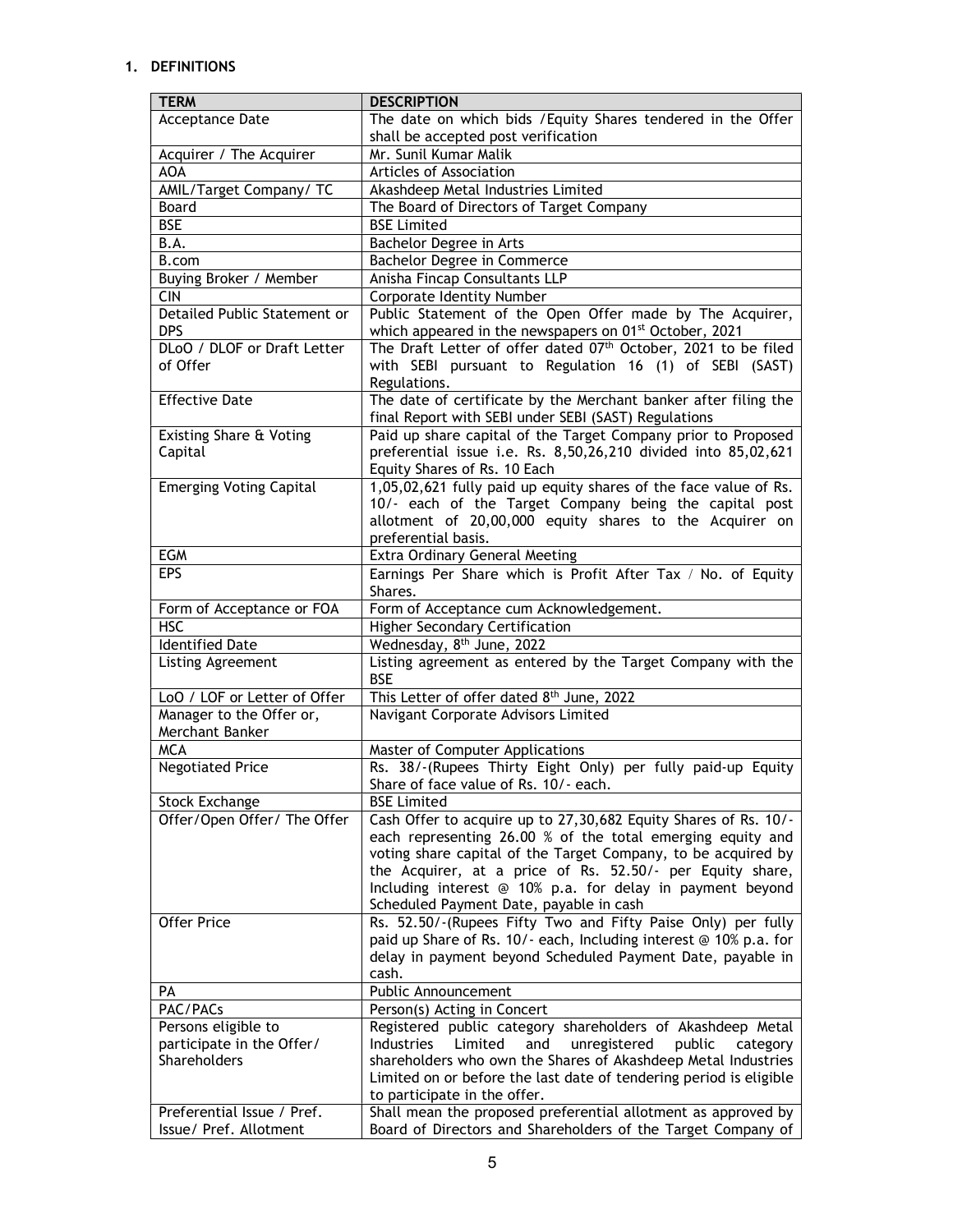# 1. DEFINITIONS

| <b>TERM</b>                    | <b>DESCRIPTION</b>                                                                                      |
|--------------------------------|---------------------------------------------------------------------------------------------------------|
| Acceptance Date                | The date on which bids / Equity Shares tendered in the Offer                                            |
|                                | shall be accepted post verification                                                                     |
| Acquirer / The Acquirer        | Mr. Sunil Kumar Malik                                                                                   |
| <b>AOA</b>                     | Articles of Association                                                                                 |
| AMIL/Target Company/ TC        | Akashdeep Metal Industries Limited                                                                      |
| Board                          | The Board of Directors of Target Company                                                                |
| <b>BSE</b>                     | <b>BSE Limited</b>                                                                                      |
| B.A.                           | Bachelor Degree in Arts                                                                                 |
| B.com                          | Bachelor Degree in Commerce                                                                             |
| Buying Broker / Member         | Anisha Fincap Consultants LLP                                                                           |
| <b>CIN</b>                     | <b>Corporate Identity Number</b>                                                                        |
| Detailed Public Statement or   | Public Statement of the Open Offer made by The Acquirer,                                                |
| <b>DPS</b>                     | which appeared in the newspapers on 01 <sup>st</sup> October, 2021                                      |
| DLoO / DLOF or Draft Letter    | The Draft Letter of offer dated 07th October, 2021 to be filed                                          |
| of Offer                       | with SEBI pursuant to Regulation 16 (1) of SEBI (SAST)                                                  |
|                                | Regulations.                                                                                            |
| <b>Effective Date</b>          | The date of certificate by the Merchant banker after filing the                                         |
|                                | final Report with SEBI under SEBI (SAST) Regulations                                                    |
| Existing Share & Voting        | Paid up share capital of the Target Company prior to Proposed                                           |
| Capital                        | preferential issue i.e. Rs. 8,50,26,210 divided into 85,02,621                                          |
|                                | Equity Shares of Rs. 10 Each                                                                            |
| <b>Emerging Voting Capital</b> | 1,05,02,621 fully paid up equity shares of the face value of Rs.                                        |
|                                | 10/- each of the Target Company being the capital post                                                  |
|                                | allotment of 20,00,000 equity shares to the Acquirer on                                                 |
|                                | preferential basis.                                                                                     |
| <b>EGM</b>                     | Extra Ordinary General Meeting                                                                          |
| <b>EPS</b>                     | Earnings Per Share which is Profit After Tax / No. of Equity                                            |
|                                | Shares.                                                                                                 |
| Form of Acceptance or FOA      | Form of Acceptance cum Acknowledgement.                                                                 |
| <b>HSC</b>                     | <b>Higher Secondary Certification</b>                                                                   |
| <b>Identified Date</b>         | Wednesday, 8 <sup>th</sup> June, 2022                                                                   |
| Listing Agreement              | Listing agreement as entered by the Target Company with the                                             |
|                                | <b>BSE</b>                                                                                              |
| LoO / LOF or Letter of Offer   | This Letter of offer dated 8th June, 2022                                                               |
| Manager to the Offer or,       | Navigant Corporate Advisors Limited                                                                     |
| Merchant Banker                |                                                                                                         |
| <b>MCA</b>                     | Master of Computer Applications                                                                         |
| <b>Negotiated Price</b>        | Rs. 38/-(Rupees Thirty Eight Only) per fully paid-up Equity                                             |
|                                | Share of face value of Rs. 10/- each.                                                                   |
| <b>Stock Exchange</b>          | <b>BSE Limited</b>                                                                                      |
| Offer/Open Offer/ The Offer    | Cash Offer to acquire up to 27,30,682 Equity Shares of Rs. 10/-                                         |
|                                | each representing 26.00 % of the total emerging equity and                                              |
|                                | voting share capital of the Target Company, to be acquired by                                           |
|                                | the Acquirer, at a price of Rs. 52.50/- per Equity share,                                               |
|                                | Including interest @ 10% p.a. for delay in payment beyond                                               |
| <b>Offer Price</b>             | Scheduled Payment Date, payable in cash<br>Rs. 52.50/-(Rupees Fifty Two and Fifty Paise Only) per fully |
|                                | paid up Share of Rs. 10/- each, Including interest @ 10% p.a. for                                       |
|                                |                                                                                                         |
|                                | delay in payment beyond Scheduled Payment Date, payable in<br>cash.                                     |
| PА                             | Public Announcement                                                                                     |
| PAC/PACs                       |                                                                                                         |
|                                |                                                                                                         |
|                                | Person(s) Acting in Concert                                                                             |
| Persons eligible to            | Registered public category shareholders of Akashdeep Metal                                              |
| participate in the Offer/      | Industries<br>Limited<br>and<br>unregistered<br>public<br>category                                      |
| Shareholders                   | shareholders who own the Shares of Akashdeep Metal Industries                                           |
|                                | Limited on or before the last date of tendering period is eligible                                      |
| Preferential Issue / Pref.     | to participate in the offer.<br>Shall mean the proposed preferential allotment as approved by           |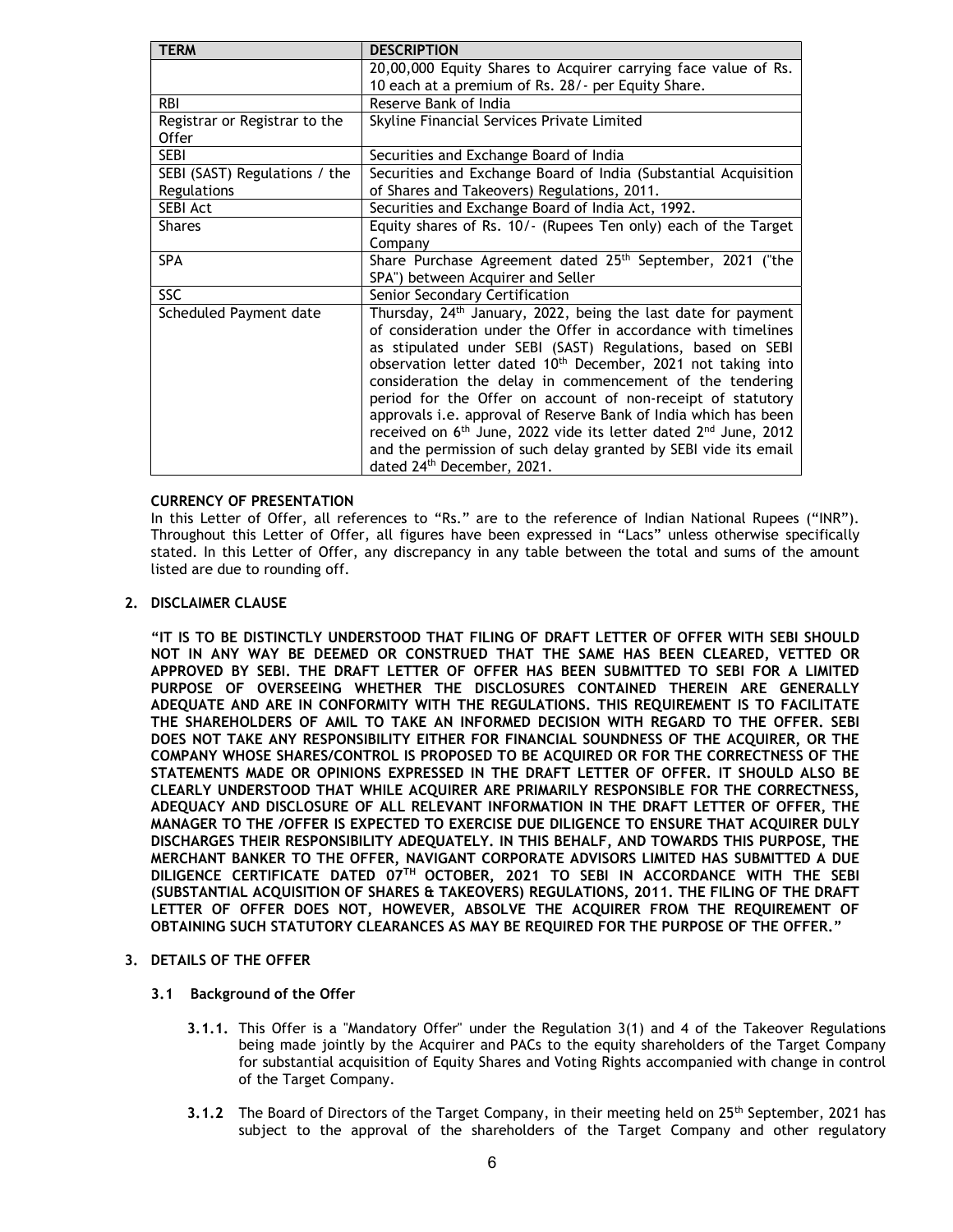| <b>TERM</b>                   | <b>DESCRIPTION</b>                                                                      |
|-------------------------------|-----------------------------------------------------------------------------------------|
|                               | 20,00,000 Equity Shares to Acquirer carrying face value of Rs.                          |
|                               | 10 each at a premium of Rs. 28/- per Equity Share.                                      |
| <b>RBI</b>                    | Reserve Bank of India                                                                   |
| Registrar or Registrar to the | Skyline Financial Services Private Limited                                              |
| <b>Offer</b>                  |                                                                                         |
| <b>SEBI</b>                   | Securities and Exchange Board of India                                                  |
| SEBI (SAST) Regulations / the | Securities and Exchange Board of India (Substantial Acquisition                         |
| Regulations                   | of Shares and Takeovers) Regulations, 2011.                                             |
| <b>SEBI Act</b>               | Securities and Exchange Board of India Act, 1992.                                       |
| <b>Shares</b>                 | Equity shares of Rs. 10/- (Rupees Ten only) each of the Target                          |
|                               | Company                                                                                 |
| <b>SPA</b>                    | Share Purchase Agreement dated 25 <sup>th</sup> September, 2021 ("the                   |
|                               | SPA") between Acquirer and Seller                                                       |
| <b>SSC</b>                    | Senior Secondary Certification                                                          |
| Scheduled Payment date        | Thursday, 24 <sup>th</sup> January, 2022, being the last date for payment               |
|                               | of consideration under the Offer in accordance with timelines                           |
|                               | as stipulated under SEBI (SAST) Regulations, based on SEBI                              |
|                               | observation letter dated 10 <sup>th</sup> December, 2021 not taking into                |
|                               | consideration the delay in commencement of the tendering                                |
|                               | period for the Offer on account of non-receipt of statutory                             |
|                               | approvals i.e. approval of Reserve Bank of India which has been                         |
|                               | received on 6 <sup>th</sup> June, 2022 vide its letter dated 2 <sup>nd</sup> June, 2012 |
|                               | and the permission of such delay granted by SEBI vide its email                         |
|                               | dated 24th December, 2021.                                                              |

## CURRENCY OF PRESENTATION

In this Letter of Offer, all references to "Rs." are to the reference of Indian National Rupees ("INR"). Throughout this Letter of Offer, all figures have been expressed in "Lacs" unless otherwise specifically stated. In this Letter of Offer, any discrepancy in any table between the total and sums of the amount listed are due to rounding off.

#### 2. DISCLAIMER CLAUSE

"IT IS TO BE DISTINCTLY UNDERSTOOD THAT FILING OF DRAFT LETTER OF OFFER WITH SEBI SHOULD NOT IN ANY WAY BE DEEMED OR CONSTRUED THAT THE SAME HAS BEEN CLEARED, VETTED OR APPROVED BY SEBI. THE DRAFT LETTER OF OFFER HAS BEEN SUBMITTED TO SEBI FOR A LIMITED PURPOSE OF OVERSEEING WHETHER THE DISCLOSURES CONTAINED THEREIN ARE GENERALLY ADEQUATE AND ARE IN CONFORMITY WITH THE REGULATIONS. THIS REQUIREMENT IS TO FACILITATE THE SHAREHOLDERS OF AMIL TO TAKE AN INFORMED DECISION WITH REGARD TO THE OFFER. SEBI DOES NOT TAKE ANY RESPONSIBILITY EITHER FOR FINANCIAL SOUNDNESS OF THE ACQUIRER, OR THE COMPANY WHOSE SHARES/CONTROL IS PROPOSED TO BE ACQUIRED OR FOR THE CORRECTNESS OF THE STATEMENTS MADE OR OPINIONS EXPRESSED IN THE DRAFT LETTER OF OFFER. IT SHOULD ALSO BE CLEARLY UNDERSTOOD THAT WHILE ACQUIRER ARE PRIMARILY RESPONSIBLE FOR THE CORRECTNESS, ADEQUACY AND DISCLOSURE OF ALL RELEVANT INFORMATION IN THE DRAFT LETTER OF OFFER, THE MANAGER TO THE /OFFER IS EXPECTED TO EXERCISE DUE DILIGENCE TO ENSURE THAT ACQUIRER DULY DISCHARGES THEIR RESPONSIBILITY ADEQUATELY. IN THIS BEHALF, AND TOWARDS THIS PURPOSE, THE MERCHANT BANKER TO THE OFFER, NAVIGANT CORPORATE ADVISORS LIMITED HAS SUBMITTED A DUE DILIGENCE CERTIFICATE DATED 07TH OCTOBER, 2021 TO SEBI IN ACCORDANCE WITH THE SEBI (SUBSTANTIAL ACQUISITION OF SHARES & TAKEOVERS) REGULATIONS, 2011. THE FILING OF THE DRAFT LETTER OF OFFER DOES NOT, HOWEVER, ABSOLVE THE ACQUIRER FROM THE REQUIREMENT OF OBTAINING SUCH STATUTORY CLEARANCES AS MAY BE REQUIRED FOR THE PURPOSE OF THE OFFER."

## 3. DETAILS OF THE OFFER

#### 3.1 Background of the Offer

- 3.1.1. This Offer is a "Mandatory Offer" under the Regulation 3(1) and 4 of the Takeover Regulations being made jointly by the Acquirer and PACs to the equity shareholders of the Target Company for substantial acquisition of Equity Shares and Voting Rights accompanied with change in control of the Target Company.
- 3.1.2 The Board of Directors of the Target Company, in their meeting held on  $25<sup>th</sup>$  September, 2021 has subject to the approval of the shareholders of the Target Company and other regulatory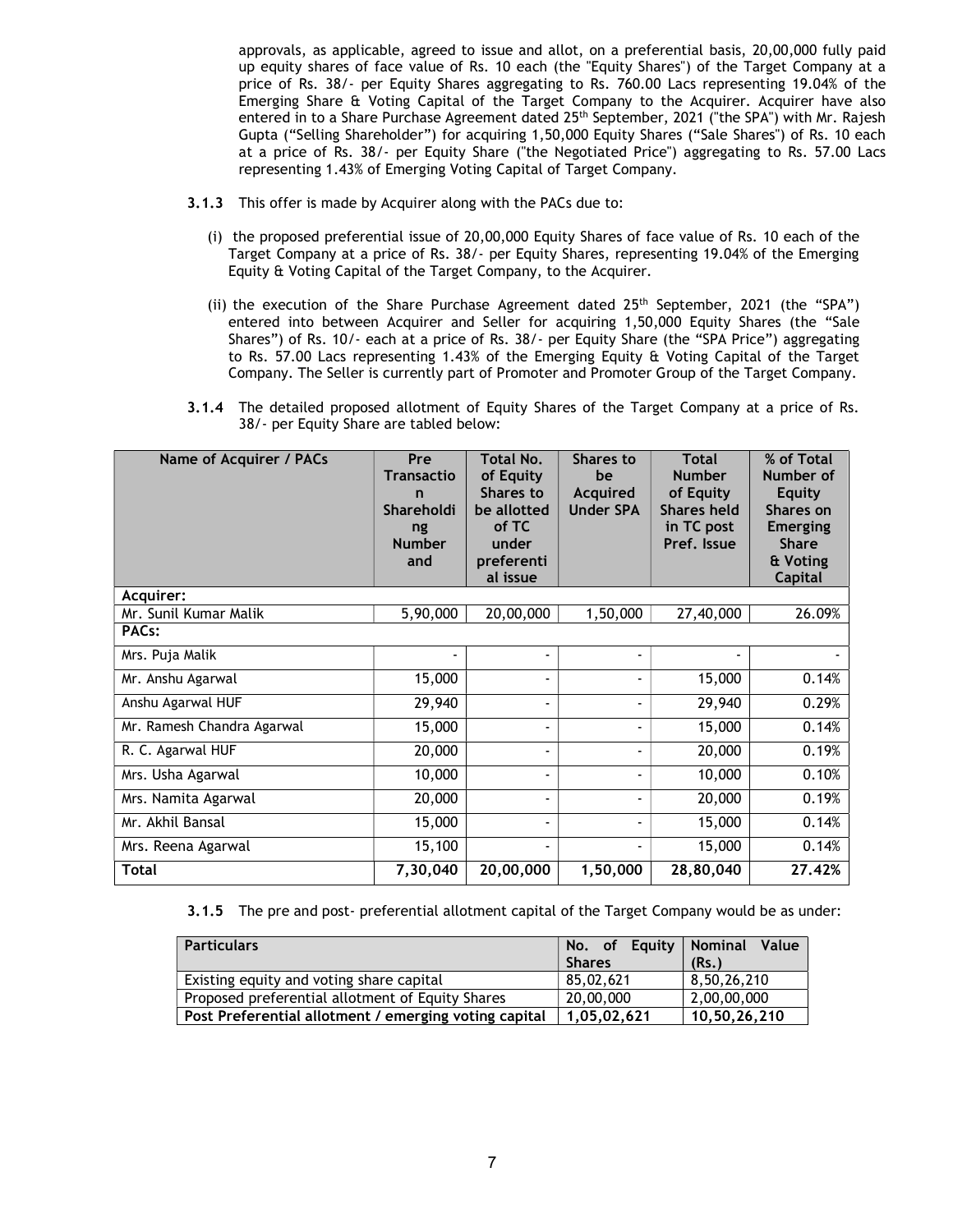approvals, as applicable, agreed to issue and allot, on a preferential basis, 20,00,000 fully paid up equity shares of face value of Rs. 10 each (the "Equity Shares") of the Target Company at a price of Rs. 38/- per Equity Shares aggregating to Rs. 760.00 Lacs representing 19.04% of the Emerging Share & Voting Capital of the Target Company to the Acquirer. Acquirer have also entered in to a Share Purchase Agreement dated 25<sup>th</sup> September, 2021 ("the SPA") with Mr. Rajesh Gupta ("Selling Shareholder") for acquiring 1,50,000 Equity Shares ("Sale Shares") of Rs. 10 each at a price of Rs. 38/- per Equity Share ("the Negotiated Price") aggregating to Rs. 57.00 Lacs representing 1.43% of Emerging Voting Capital of Target Company.

- 3.1.3 This offer is made by Acquirer along with the PACs due to:
	- (i) the proposed preferential issue of 20,00,000 Equity Shares of face value of Rs. 10 each of the Target Company at a price of Rs. 38/- per Equity Shares, representing 19.04% of the Emerging Equity & Voting Capital of the Target Company, to the Acquirer.
	- (ii) the execution of the Share Purchase Agreement dated  $25<sup>th</sup>$  September, 2021 (the "SPA") entered into between Acquirer and Seller for acquiring 1,50,000 Equity Shares (the "Sale Shares") of Rs. 10/- each at a price of Rs. 38/- per Equity Share (the "SPA Price") aggregating to Rs. 57.00 Lacs representing 1.43% of the Emerging Equity & Voting Capital of the Target Company. The Seller is currently part of Promoter and Promoter Group of the Target Company.
- 3.1.4 The detailed proposed allotment of Equity Shares of the Target Company at a price of Rs. 38/- per Equity Share are tabled below:

| Name of Acquirer / PACs    | Pre<br><b>Transactio</b><br>n<br>Shareholdi<br>ng<br><b>Number</b><br>and | <b>Total No.</b><br>of Equity<br>Shares to<br>be allotted<br>of TC<br>under<br>preferenti<br>al issue | <b>Shares to</b><br>be<br><b>Acquired</b><br><b>Under SPA</b> | <b>Total</b><br><b>Number</b><br>of Equity<br><b>Shares held</b><br>in TC post<br>Pref. Issue | % of Total<br>Number of<br><b>Equity</b><br>Shares on<br><b>Emerging</b><br><b>Share</b><br>& Voting<br><b>Capital</b> |
|----------------------------|---------------------------------------------------------------------------|-------------------------------------------------------------------------------------------------------|---------------------------------------------------------------|-----------------------------------------------------------------------------------------------|------------------------------------------------------------------------------------------------------------------------|
| Acquirer:                  |                                                                           |                                                                                                       |                                                               |                                                                                               |                                                                                                                        |
| Mr. Sunil Kumar Malik      | 5,90,000                                                                  | 20,00,000                                                                                             | 1,50,000                                                      | 27,40,000                                                                                     | 26.09%                                                                                                                 |
| PAC <sub>s</sub> :         |                                                                           |                                                                                                       |                                                               |                                                                                               |                                                                                                                        |
| Mrs. Puja Malik            |                                                                           |                                                                                                       |                                                               |                                                                                               |                                                                                                                        |
| Mr. Anshu Agarwal          | 15,000                                                                    | $\blacksquare$                                                                                        |                                                               | 15,000                                                                                        | 0.14%                                                                                                                  |
| Anshu Agarwal HUF          | 29,940                                                                    | $\blacksquare$                                                                                        |                                                               | 29,940                                                                                        | 0.29%                                                                                                                  |
| Mr. Ramesh Chandra Agarwal | 15,000                                                                    | $\blacksquare$                                                                                        |                                                               | 15,000                                                                                        | 0.14%                                                                                                                  |
| R. C. Agarwal HUF          | 20,000                                                                    | $\blacksquare$                                                                                        |                                                               | 20,000                                                                                        | 0.19%                                                                                                                  |
| Mrs. Usha Agarwal          | 10,000                                                                    | $\overline{\phantom{a}}$                                                                              |                                                               | 10,000                                                                                        | 0.10%                                                                                                                  |
| Mrs. Namita Agarwal        | 20,000                                                                    | $\blacksquare$                                                                                        |                                                               | 20,000                                                                                        | 0.19%                                                                                                                  |
| Mr. Akhil Bansal           | 15,000                                                                    | $\overline{\phantom{a}}$                                                                              |                                                               | 15,000                                                                                        | 0.14%                                                                                                                  |
| Mrs. Reena Agarwal         | 15,100                                                                    | $\blacksquare$                                                                                        |                                                               | 15,000                                                                                        | 0.14%                                                                                                                  |
| Total                      | 7,30,040                                                                  | 20,00,000                                                                                             | 1,50,000                                                      | 28,80,040                                                                                     | 27.42%                                                                                                                 |

3.1.5 The pre and post- preferential allotment capital of the Target Company would be as under:

| <b>Particulars</b>                                    | No. of Equity<br><b>Shares</b> | Value<br><b>Nominal</b><br>(Rs.) |
|-------------------------------------------------------|--------------------------------|----------------------------------|
| Existing equity and voting share capital              | 85.02.621                      | 8,50,26,210                      |
| Proposed preferential allotment of Equity Shares      | 20,00,000                      | 2,00,00,000                      |
| Post Preferential allotment / emerging voting capital | 1.05.02.621                    | 10.50.26.210                     |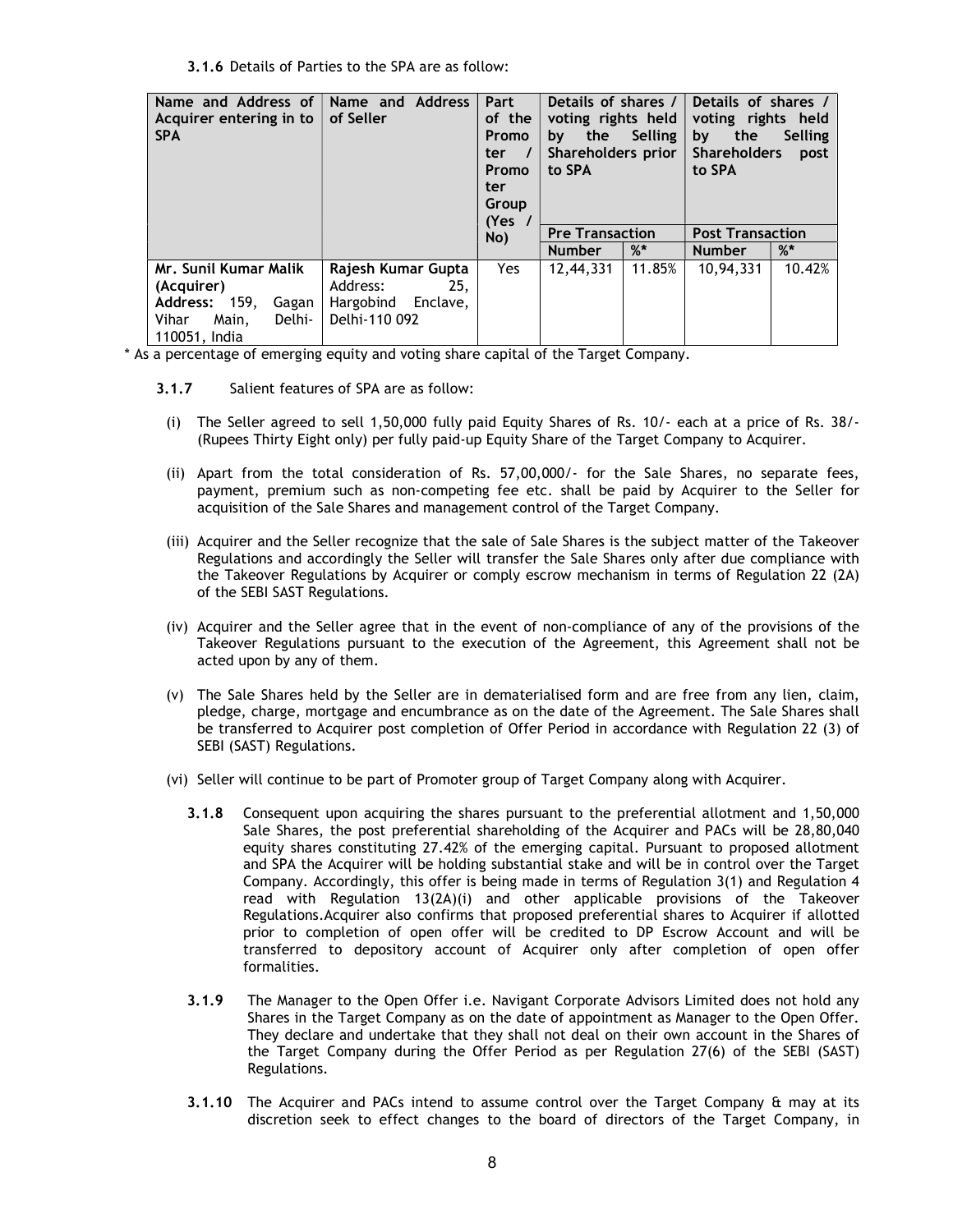3.1.6 Details of Parties to the SPA are as follow:

| Name and Address of<br>Acquirer entering in to<br><b>SPA</b>                                               | Name and Address<br>of Seller                                                | Part<br>of the<br><b>Promo</b><br>$\overline{\phantom{a}}$<br>ter l<br><b>Promo</b><br>ter<br>Group<br>(Yes | Details of shares /<br>voting rights held<br>the<br><b>Selling</b><br>by<br>Shareholders prior<br>to SPA |        | Details of shares /<br>voting rights held<br>the<br>Selling<br>by<br><b>Shareholders</b><br>post<br>to SPA |        |
|------------------------------------------------------------------------------------------------------------|------------------------------------------------------------------------------|-------------------------------------------------------------------------------------------------------------|----------------------------------------------------------------------------------------------------------|--------|------------------------------------------------------------------------------------------------------------|--------|
|                                                                                                            |                                                                              | No)                                                                                                         | <b>Pre Transaction</b>                                                                                   |        | <b>Post Transaction</b>                                                                                    |        |
|                                                                                                            |                                                                              |                                                                                                             | <b>Number</b>                                                                                            | $\%^*$ | <b>Number</b>                                                                                              | $\%^*$ |
| Mr. Sunil Kumar Malik<br>(Acquirer)<br>Address: 159,<br>Gagan<br>Vihar<br>Delhi-<br>Main,<br>110051, India | Rajesh Kumar Gupta<br>Address:<br>25.<br>Hargobind Enclave,<br>Delhi-110 092 | Yes                                                                                                         | 12,44,331                                                                                                | 11.85% | 10,94,331                                                                                                  | 10.42% |

\* As a percentage of emerging equity and voting share capital of the Target Company.

- 3.1.7 Salient features of SPA are as follow:
- (i) The Seller agreed to sell 1,50,000 fully paid Equity Shares of Rs. 10/- each at a price of Rs. 38/- (Rupees Thirty Eight only) per fully paid-up Equity Share of the Target Company to Acquirer.
- (ii) Apart from the total consideration of Rs. 57,00,000/- for the Sale Shares, no separate fees, payment, premium such as non-competing fee etc. shall be paid by Acquirer to the Seller for acquisition of the Sale Shares and management control of the Target Company.
- (iii) Acquirer and the Seller recognize that the sale of Sale Shares is the subject matter of the Takeover Regulations and accordingly the Seller will transfer the Sale Shares only after due compliance with the Takeover Regulations by Acquirer or comply escrow mechanism in terms of Regulation 22 (2A) of the SEBI SAST Regulations.
- (iv) Acquirer and the Seller agree that in the event of non-compliance of any of the provisions of the Takeover Regulations pursuant to the execution of the Agreement, this Agreement shall not be acted upon by any of them.
- (v) The Sale Shares held by the Seller are in dematerialised form and are free from any lien, claim, pledge, charge, mortgage and encumbrance as on the date of the Agreement. The Sale Shares shall be transferred to Acquirer post completion of Offer Period in accordance with Regulation 22 (3) of SEBI (SAST) Regulations.
- (vi) Seller will continue to be part of Promoter group of Target Company along with Acquirer.
	- 3.1.8 Consequent upon acquiring the shares pursuant to the preferential allotment and 1,50,000 Sale Shares, the post preferential shareholding of the Acquirer and PACs will be 28,80,040 equity shares constituting 27.42% of the emerging capital. Pursuant to proposed allotment and SPA the Acquirer will be holding substantial stake and will be in control over the Target Company. Accordingly, this offer is being made in terms of Regulation 3(1) and Regulation 4 read with Regulation 13(2A)(i) and other applicable provisions of the Takeover Regulations.Acquirer also confirms that proposed preferential shares to Acquirer if allotted prior to completion of open offer will be credited to DP Escrow Account and will be transferred to depository account of Acquirer only after completion of open offer formalities.
	- 3.1.9 The Manager to the Open Offer i.e. Navigant Corporate Advisors Limited does not hold any Shares in the Target Company as on the date of appointment as Manager to the Open Offer. They declare and undertake that they shall not deal on their own account in the Shares of the Target Company during the Offer Period as per Regulation 27(6) of the SEBI (SAST) Regulations.
	- 3.1.10 The Acquirer and PACs intend to assume control over the Target Company & may at its discretion seek to effect changes to the board of directors of the Target Company, in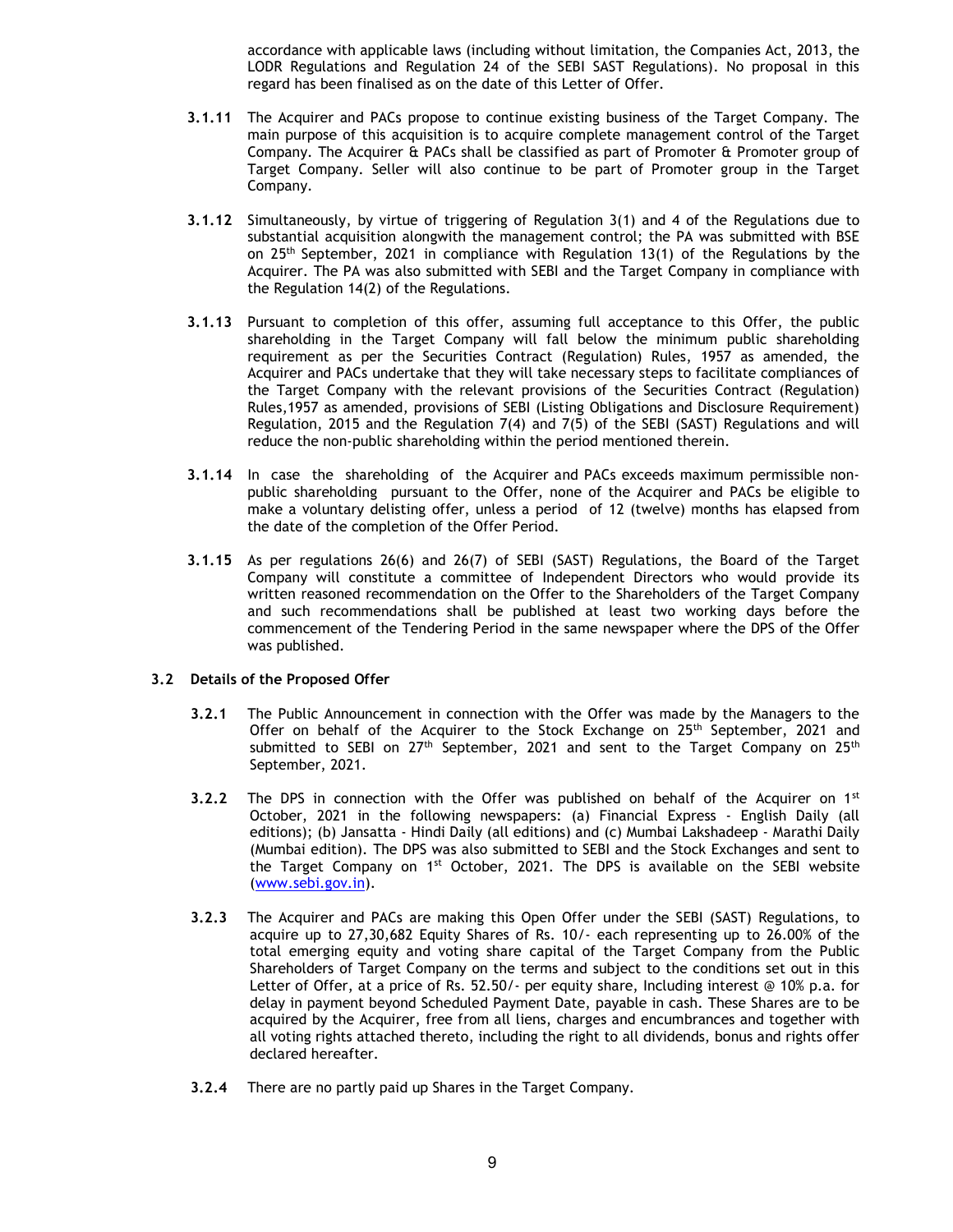accordance with applicable laws (including without limitation, the Companies Act, 2013, the LODR Regulations and Regulation 24 of the SEBI SAST Regulations). No proposal in this regard has been finalised as on the date of this Letter of Offer.

- 3.1.11 The Acquirer and PACs propose to continue existing business of the Target Company. The main purpose of this acquisition is to acquire complete management control of the Target Company. The Acquirer & PACs shall be classified as part of Promoter & Promoter group of Target Company. Seller will also continue to be part of Promoter group in the Target Company.
- 3.1.12 Simultaneously, by virtue of triggering of Regulation 3(1) and 4 of the Regulations due to substantial acquisition alongwith the management control; the PA was submitted with BSE on 25th September, 2021 in compliance with Regulation 13(1) of the Regulations by the Acquirer. The PA was also submitted with SEBI and the Target Company in compliance with the Regulation 14(2) of the Regulations.
- 3.1.13 Pursuant to completion of this offer, assuming full acceptance to this Offer, the public shareholding in the Target Company will fall below the minimum public shareholding requirement as per the Securities Contract (Regulation) Rules, 1957 as amended, the Acquirer and PACs undertake that they will take necessary steps to facilitate compliances of the Target Company with the relevant provisions of the Securities Contract (Regulation) Rules,1957 as amended, provisions of SEBI (Listing Obligations and Disclosure Requirement) Regulation, 2015 and the Regulation 7(4) and 7(5) of the SEBI (SAST) Regulations and will reduce the non-public shareholding within the period mentioned therein.
- 3.1.14 In case the shareholding of the Acquirer and PACs exceeds maximum permissible nonpublic shareholding pursuant to the Offer, none of the Acquirer and PACs be eligible to make a voluntary delisting offer, unless a period of 12 (twelve) months has elapsed from the date of the completion of the Offer Period.
- 3.1.15 As per regulations 26(6) and 26(7) of SEBI (SAST) Regulations, the Board of the Target Company will constitute a committee of Independent Directors who would provide its written reasoned recommendation on the Offer to the Shareholders of the Target Company and such recommendations shall be published at least two working days before the commencement of the Tendering Period in the same newspaper where the DPS of the Offer was published.

## 3.2 Details of the Proposed Offer

- 3.2.1 The Public Announcement in connection with the Offer was made by the Managers to the Offer on behalf of the Acquirer to the Stock Exchange on  $25<sup>th</sup>$  September, 2021 and submitted to SEBI on  $27<sup>th</sup>$  September, 2021 and sent to the Target Company on  $25<sup>th</sup>$ September, 2021.
- **3.2.2** The DPS in connection with the Offer was published on behalf of the Acquirer on  $1^{st}$ October, 2021 in the following newspapers: (a) Financial Express - English Daily (all editions); (b) Jansatta - Hindi Daily (all editions) and (c) Mumbai Lakshadeep - Marathi Daily (Mumbai edition). The DPS was also submitted to SEBI and the Stock Exchanges and sent to the Target Company on  $1^{st}$  October, 2021. The DPS is available on the SEBI website (www.sebi.gov.in).
- 3.2.3 The Acquirer and PACs are making this Open Offer under the SEBI (SAST) Regulations, to acquire up to 27,30,682 Equity Shares of Rs. 10/- each representing up to 26.00% of the total emerging equity and voting share capital of the Target Company from the Public Shareholders of Target Company on the terms and subject to the conditions set out in this Letter of Offer, at a price of Rs. 52.50/- per equity share, Including interest @ 10% p.a. for delay in payment beyond Scheduled Payment Date, payable in cash. These Shares are to be acquired by the Acquirer, free from all liens, charges and encumbrances and together with all voting rights attached thereto, including the right to all dividends, bonus and rights offer declared hereafter.
- 3.2.4 There are no partly paid up Shares in the Target Company.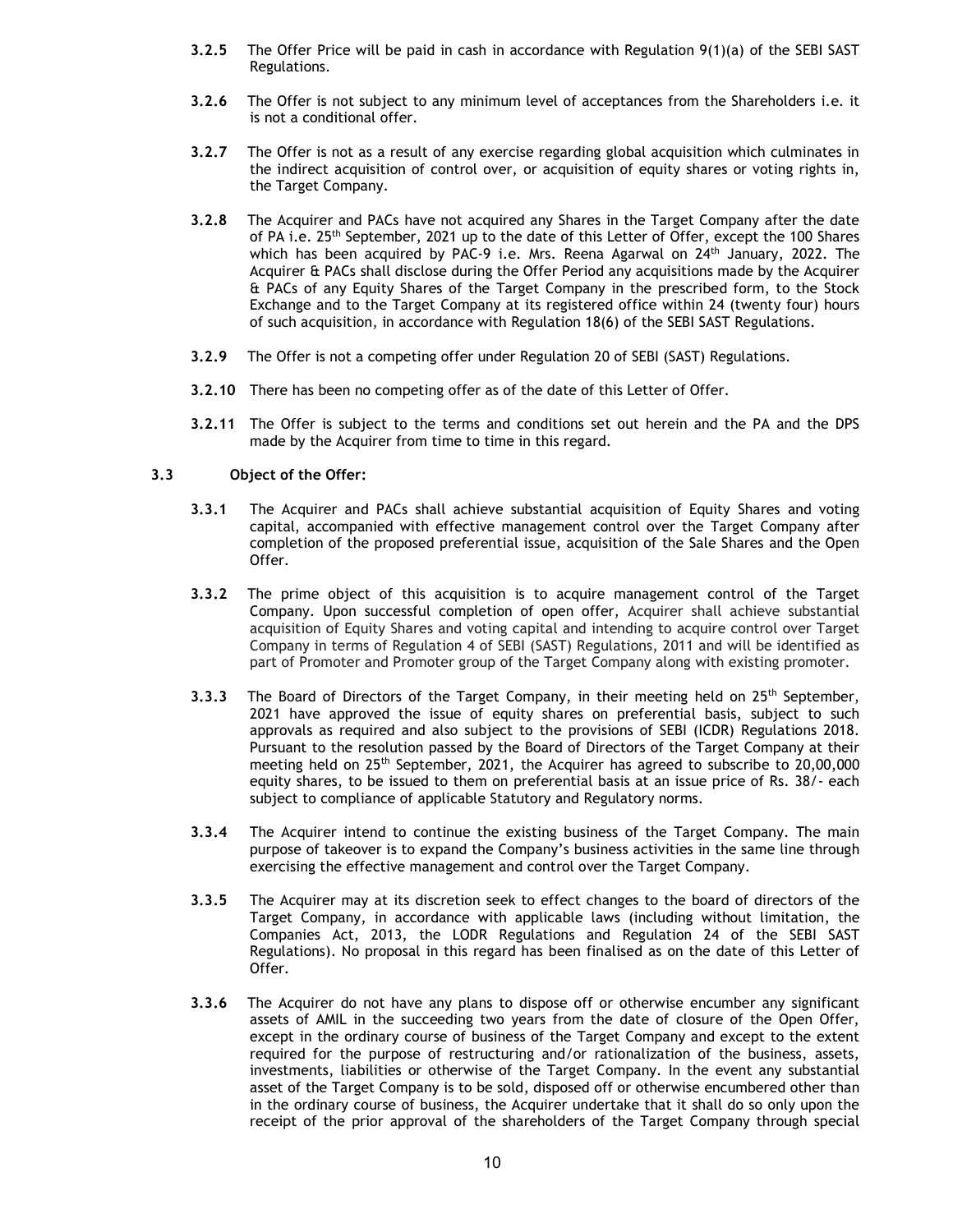- 3.2.5 The Offer Price will be paid in cash in accordance with Regulation 9(1)(a) of the SEBI SAST Regulations.
- 3.2.6 The Offer is not subject to any minimum level of acceptances from the Shareholders i.e. it is not a conditional offer.
- 3.2.7 The Offer is not as a result of any exercise regarding global acquisition which culminates in the indirect acquisition of control over, or acquisition of equity shares or voting rights in, the Target Company.
- 3.2.8 The Acquirer and PACs have not acquired any Shares in the Target Company after the date of PA i.e. 25<sup>th</sup> September, 2021 up to the date of this Letter of Offer, except the 100 Shares which has been acquired by PAC-9 i.e. Mrs. Reena Agarwal on 24<sup>th</sup> January, 2022. The Acquirer & PACs shall disclose during the Offer Period any acquisitions made by the Acquirer & PACs of any Equity Shares of the Target Company in the prescribed form, to the Stock Exchange and to the Target Company at its registered office within 24 (twenty four) hours of such acquisition, in accordance with Regulation 18(6) of the SEBI SAST Regulations.
- 3.2.9 The Offer is not a competing offer under Regulation 20 of SEBI (SAST) Regulations.
- 3.2.10 There has been no competing offer as of the date of this Letter of Offer.
- 3.2.11 The Offer is subject to the terms and conditions set out herein and the PA and the DPS made by the Acquirer from time to time in this regard.

# 3.3 Object of the Offer:

- 3.3.1 The Acquirer and PACs shall achieve substantial acquisition of Equity Shares and voting capital, accompanied with effective management control over the Target Company after completion of the proposed preferential issue, acquisition of the Sale Shares and the Open Offer.
- 3.3.2 The prime object of this acquisition is to acquire management control of the Target Company. Upon successful completion of open offer, Acquirer shall achieve substantial acquisition of Equity Shares and voting capital and intending to acquire control over Target Company in terms of Regulation 4 of SEBI (SAST) Regulations, 2011 and will be identified as part of Promoter and Promoter group of the Target Company along with existing promoter.
- 3.3.3 The Board of Directors of the Target Company, in their meeting held on  $25<sup>th</sup>$  September, 2021 have approved the issue of equity shares on preferential basis, subject to such approvals as required and also subject to the provisions of SEBI (ICDR) Regulations 2018. Pursuant to the resolution passed by the Board of Directors of the Target Company at their meeting held on 25th September, 2021, the Acquirer has agreed to subscribe to 20,00,000 equity shares, to be issued to them on preferential basis at an issue price of Rs. 38/- each subject to compliance of applicable Statutory and Regulatory norms.
- 3.3.4 The Acquirer intend to continue the existing business of the Target Company. The main purpose of takeover is to expand the Company's business activities in the same line through exercising the effective management and control over the Target Company.
- 3.3.5 The Acquirer may at its discretion seek to effect changes to the board of directors of the Target Company, in accordance with applicable laws (including without limitation, the Companies Act, 2013, the LODR Regulations and Regulation 24 of the SEBI SAST Regulations). No proposal in this regard has been finalised as on the date of this Letter of Offer.
- 3.3.6 The Acquirer do not have any plans to dispose off or otherwise encumber any significant assets of AMIL in the succeeding two years from the date of closure of the Open Offer, except in the ordinary course of business of the Target Company and except to the extent required for the purpose of restructuring and/or rationalization of the business, assets, investments, liabilities or otherwise of the Target Company. In the event any substantial asset of the Target Company is to be sold, disposed off or otherwise encumbered other than in the ordinary course of business, the Acquirer undertake that it shall do so only upon the receipt of the prior approval of the shareholders of the Target Company through special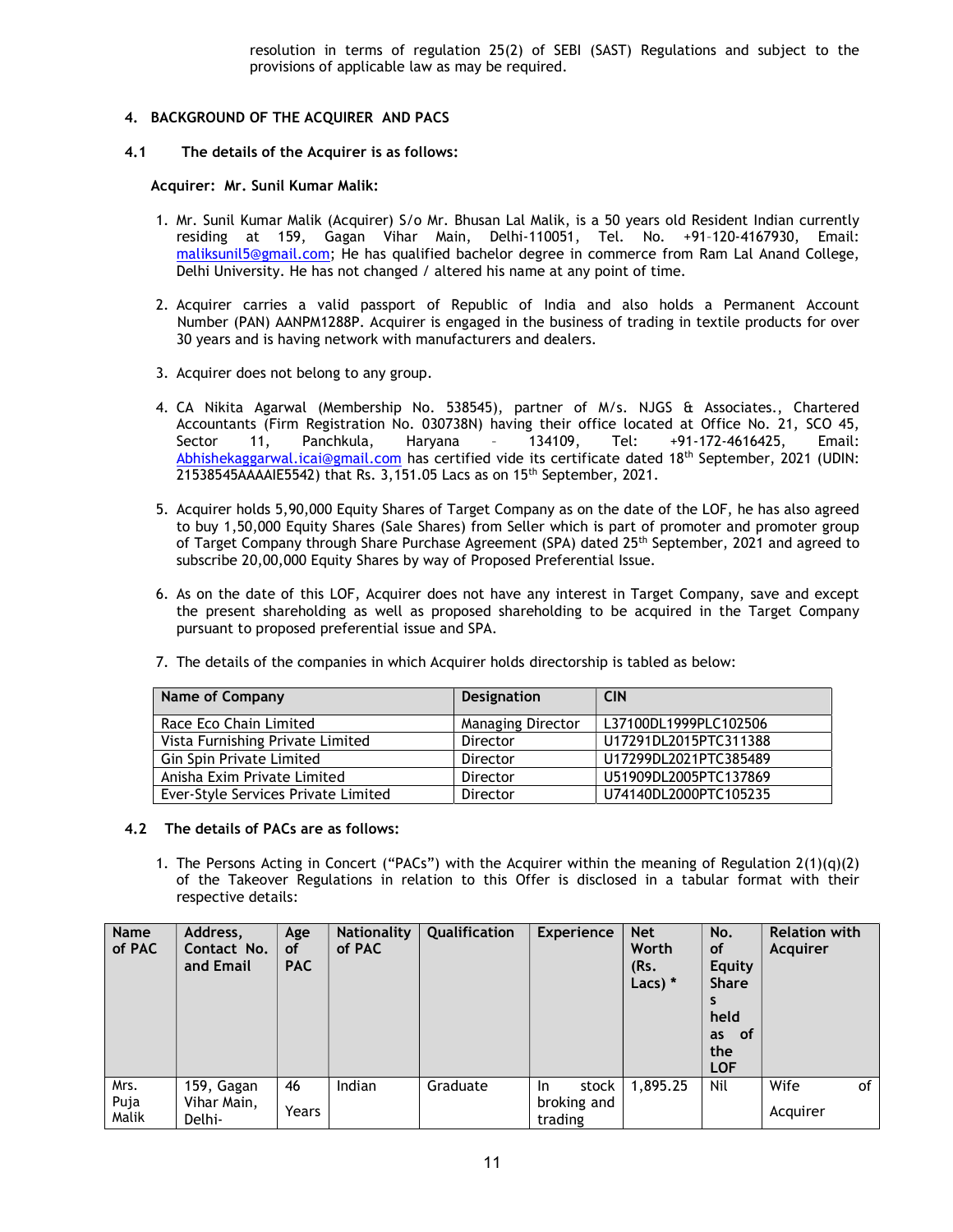resolution in terms of regulation 25(2) of SEBI (SAST) Regulations and subject to the provisions of applicable law as may be required.

# 4. BACKGROUND OF THE ACQUIRER AND PACS

4.1 The details of the Acquirer is as follows:

### Acquirer: Mr. Sunil Kumar Malik:

- 1. Mr. Sunil Kumar Malik (Acquirer) S/o Mr. Bhusan Lal Malik, is a 50 years old Resident Indian currently residing at 159, Gagan Vihar Main, Delhi-110051, Tel. No. +91–120-4167930, Email: maliksunil5@gmail.com; He has qualified bachelor degree in commerce from Ram Lal Anand College, Delhi University. He has not changed / altered his name at any point of time.
- 2. Acquirer carries a valid passport of Republic of India and also holds a Permanent Account Number (PAN) AANPM1288P. Acquirer is engaged in the business of trading in textile products for over 30 years and is having network with manufacturers and dealers.
- 3. Acquirer does not belong to any group.
- 4. CA Nikita Agarwal (Membership No. 538545), partner of M/s. NJGS & Associates., Chartered Accountants (Firm Registration No. 030738N) having their office located at Office No. 21, SCO 45, Sector 11, Panchkula, Haryana – 134109, Tel: +91-172-4616425, Email: Abhishekaggarwal.icai@gmail.com has certified vide its certificate dated 18th September, 2021 (UDIN: 21538545AAAAIE5542) that Rs. 3,151.05 Lacs as on 15th September, 2021.
- 5. Acquirer holds 5,90,000 Equity Shares of Target Company as on the date of the LOF, he has also agreed to buy 1,50,000 Equity Shares (Sale Shares) from Seller which is part of promoter and promoter group of Target Company through Share Purchase Agreement (SPA) dated 25<sup>th</sup> September, 2021 and agreed to subscribe 20,00,000 Equity Shares by way of Proposed Preferential Issue.
- 6. As on the date of this LOF, Acquirer does not have any interest in Target Company, save and except the present shareholding as well as proposed shareholding to be acquired in the Target Company pursuant to proposed preferential issue and SPA.

| Name of Company                     | <b>Designation</b>       | <b>CIN</b>            |
|-------------------------------------|--------------------------|-----------------------|
| Race Eco Chain Limited              | <b>Managing Director</b> | L37100DL1999PLC102506 |
| Vista Furnishing Private Limited    | Director                 | U17291DL2015PTC311388 |
| Gin Spin Private Limited            | Director                 | U17299DL2021PTC385489 |
| Anisha Exim Private Limited         | Director                 | U51909DL2005PTC137869 |
| Ever-Style Services Private Limited | Director                 | U74140DL2000PTC105235 |

7. The details of the companies in which Acquirer holds directorship is tabled as below:

## 4.2 The details of PACs are as follows:

1. The Persons Acting in Concert ("PACs") with the Acquirer within the meaning of Regulation  $2(1)(q)(2)$ of the Takeover Regulations in relation to this Offer is disclosed in a tabular format with their respective details:

| Name<br>of PAC        | Address,<br>Contact No.<br>and Email | Age<br><b>of</b><br><b>PAC</b> | Nationality<br>of PAC | Qualification | <b>Experience</b>                      | <b>Net</b><br>Worth<br>(Rs.<br>Lacs) $*$ | No.<br><b>of</b><br><b>Equity</b><br><b>Share</b><br>S<br>held<br>as of<br>the<br><b>LOF</b> | <b>Relation with</b><br>Acquirer |
|-----------------------|--------------------------------------|--------------------------------|-----------------------|---------------|----------------------------------------|------------------------------------------|----------------------------------------------------------------------------------------------|----------------------------------|
| Mrs.<br>Puja<br>Malik | 159, Gagan<br>Vihar Main,<br>Delhi-  | 46<br>Years                    | Indian                | Graduate      | stock<br>In.<br>broking and<br>trading | 1,895.25                                 | Nil                                                                                          | Wife<br>of<br>Acquirer           |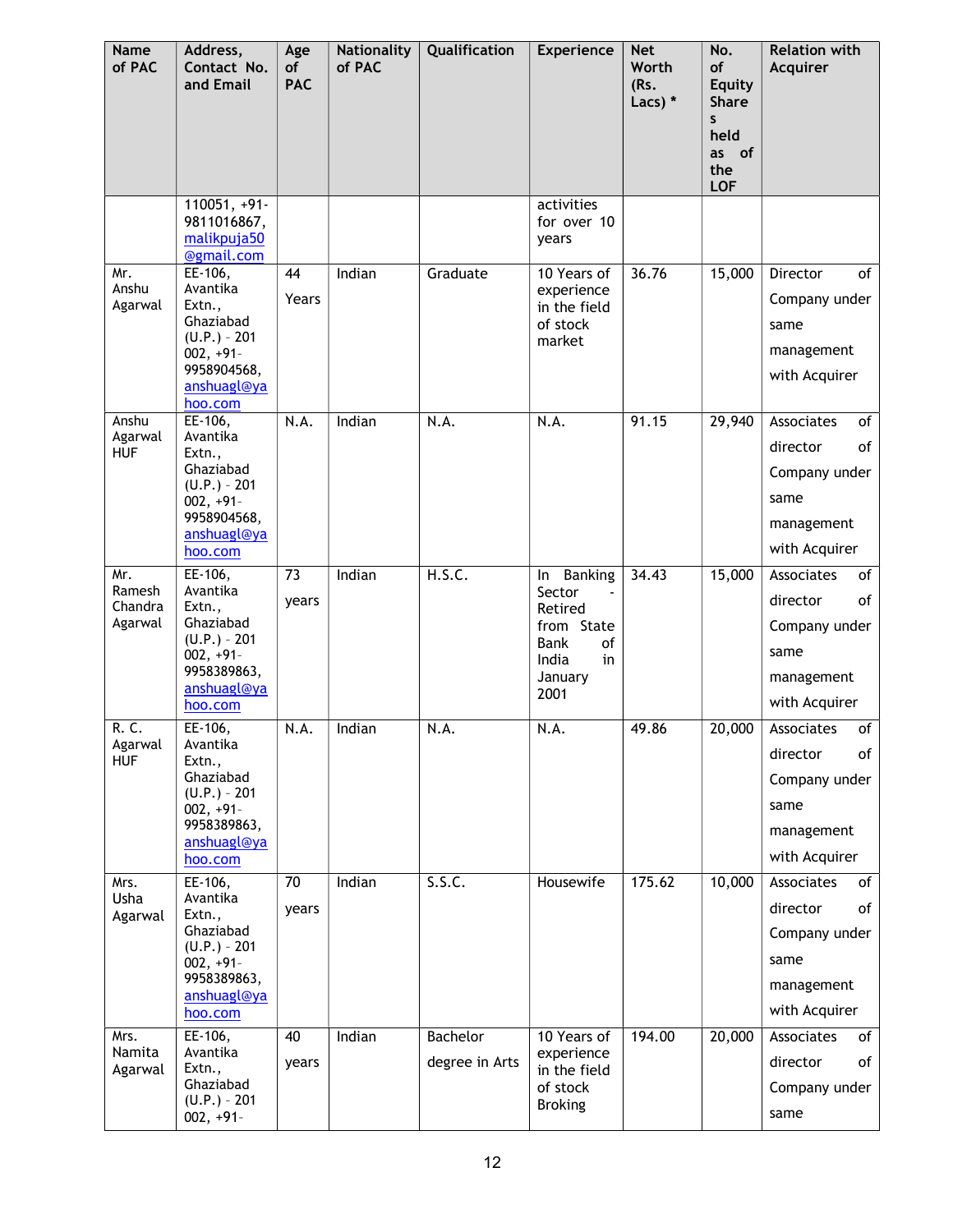| Name<br>of PAC                      | Address,<br>Contact No.<br>and Email                                                                                   | Age<br>of<br><b>PAC</b> | <b>Nationality</b><br>of PAC | Qualification              | Experience                                                                                                     | <b>Net</b><br>Worth<br>(Rs.<br>Lacs) * | No.<br>of<br><b>Equity</b><br><b>Share</b><br>S<br>held<br>as of<br>the<br><b>LOF</b> | <b>Relation with</b><br><b>Acquirer</b>                                                    |
|-------------------------------------|------------------------------------------------------------------------------------------------------------------------|-------------------------|------------------------------|----------------------------|----------------------------------------------------------------------------------------------------------------|----------------------------------------|---------------------------------------------------------------------------------------|--------------------------------------------------------------------------------------------|
|                                     | $110051, +91$<br>9811016867,<br>malikpuja50<br>@gmail.com                                                              |                         |                              |                            | activities<br>for over 10<br>years                                                                             |                                        |                                                                                       |                                                                                            |
| Mr.<br>Anshu<br>Agarwal             | EE-106,<br>Avantika<br>Extn.,<br>Ghaziabad<br>$(U.P.) - 201$<br>$002, +91-$<br>9958904568,<br>anshuagl@ya<br>hoo.com   | 44<br>Years             | Indian                       | Graduate                   | 10 Years of<br>experience<br>in the field<br>of stock<br>market                                                | 36.76                                  | 15,000                                                                                | of<br>Director<br>Company under<br>same<br>management<br>with Acquirer                     |
| Anshu<br>Agarwal<br><b>HUF</b>      | EE-106,<br>Avantika<br>Extn.,<br>Ghaziabad<br>$(U.P.) - 201$<br>$002, +91$<br>9958904568,<br>anshuagl@ya<br>hoo.com    | N.A.                    | Indian                       | N.A.                       | N.A.                                                                                                           | 91.15                                  | 29,940                                                                                | Associates<br>of<br>director<br>of<br>Company under<br>same<br>management<br>with Acquirer |
| Mr.<br>Ramesh<br>Chandra<br>Agarwal | $EE-106,$<br>Avantika<br>Extn.,<br>Ghaziabad<br>$(U.P.) - 201$<br>$002, +91-$<br>9958389863,<br>anshuagl@ya<br>hoo.com | 73<br>years             | Indian                       | H.S.C.                     | <b>Banking</b><br>ln<br>Sector<br>Retired<br>from State<br><b>Bank</b><br>of<br>India<br>in<br>January<br>2001 | 34.43                                  | 15,000                                                                                | Associates<br>of<br>of<br>director<br>Company under<br>same<br>management<br>with Acquirer |
| R. C.<br>Agarwal<br><b>HUF</b>      | EE-106,<br>Avantika<br>Extn.,<br>Ghaziabad<br>$(U.P.) - 201$<br>$002, +91-$<br>9958389863,<br>anshuagl@ya<br>hoo.com   | N.A.                    | Indian                       | N.A.                       | N.A.                                                                                                           | 49.86                                  | 20,000                                                                                | Associates<br>of<br>of<br>director<br>Company under<br>same<br>management<br>with Acquirer |
| Mrs.<br>Usha<br>Agarwal             | EE-106,<br>Avantika<br>Extn.,<br>Ghaziabad<br>$(U.P.) - 201$<br>$002, +91-$<br>9958389863,<br>anshuagl@ya<br>hoo.com   | 70<br>years             | Indian                       | S.S.C.                     | Housewife                                                                                                      | 175.62                                 | 10,000                                                                                | Associates<br>of<br>of<br>director<br>Company under<br>same<br>management<br>with Acquirer |
| Mrs.<br>Namita<br>Agarwal           | EE-106,<br>Avantika<br>Extn.,<br>Ghaziabad<br>$(U.P.) - 201$<br>$002, +91-$                                            | 40<br>years             | Indian                       | Bachelor<br>degree in Arts | 10 Years of<br>experience<br>in the field<br>of stock<br><b>Broking</b>                                        | 194.00                                 | 20,000                                                                                | Associates<br>of<br>director<br>оf<br>Company under<br>same                                |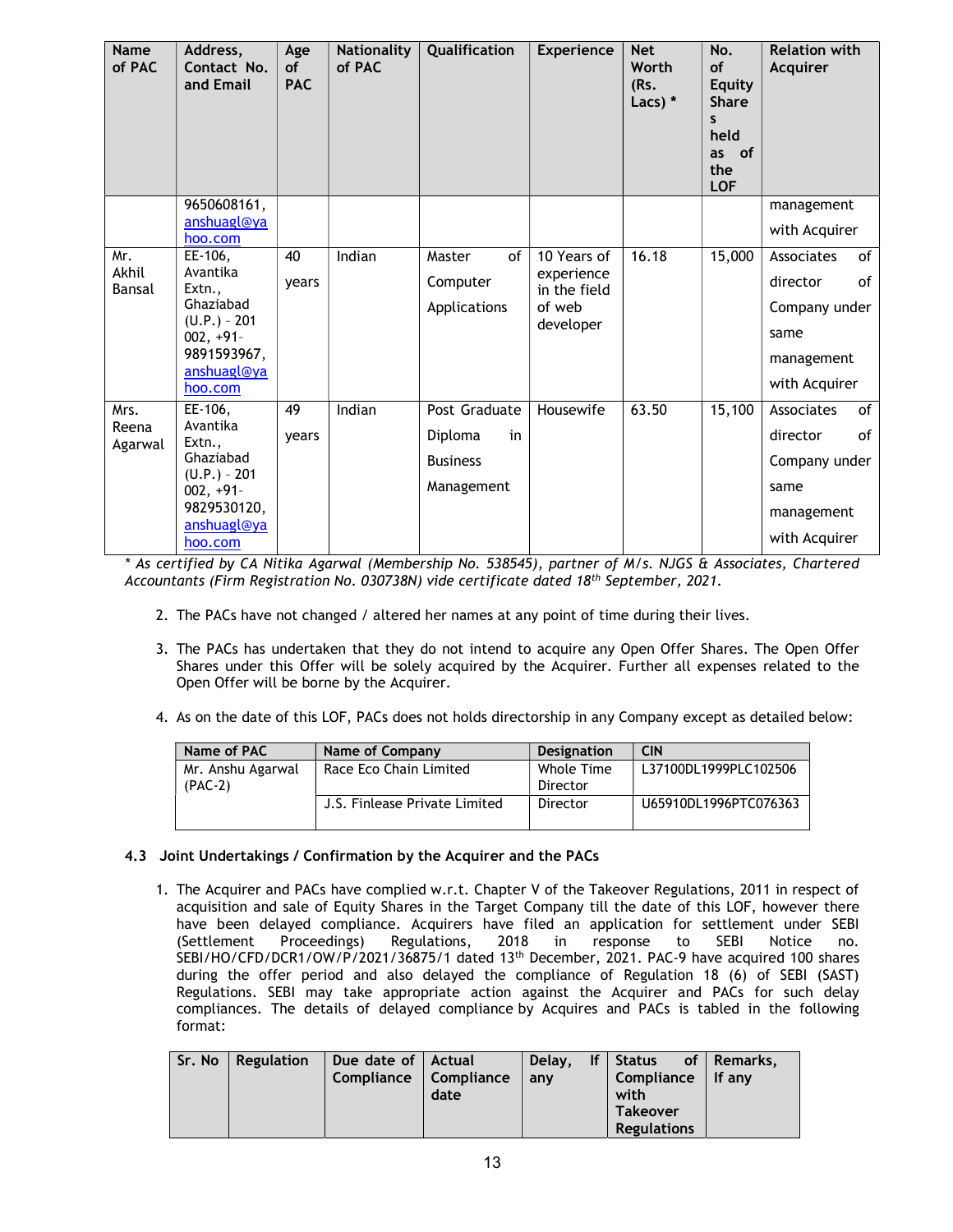| <b>Name</b><br>of PAC    | Address,<br>Contact No.<br>and Email                                                                                 | Age<br><b>of</b><br><b>PAC</b> | <b>Nationality</b><br>of PAC | Qualification                                                   | <b>Experience</b>                                                | <b>Net</b><br>Worth<br>(Rs.<br>Lacs) $*$ | No.<br><b>of</b><br><b>Equity</b><br><b>Share</b><br>S<br>held<br>of<br>as<br>the<br><b>LOF</b> | <b>Relation with</b><br>Acquirer                                                           |
|--------------------------|----------------------------------------------------------------------------------------------------------------------|--------------------------------|------------------------------|-----------------------------------------------------------------|------------------------------------------------------------------|------------------------------------------|-------------------------------------------------------------------------------------------------|--------------------------------------------------------------------------------------------|
|                          | 9650608161,<br>anshuagl@ya                                                                                           |                                |                              |                                                                 |                                                                  |                                          |                                                                                                 | management                                                                                 |
|                          | hoo.com                                                                                                              |                                |                              |                                                                 |                                                                  |                                          |                                                                                                 | with Acquirer                                                                              |
| Mr.<br>Akhil<br>Bansal   | EE-106,<br>Avantika<br>Extn.,<br>Ghaziabad<br>$(U.P.) - 201$<br>$002, +91-$<br>9891593967,<br>anshuagl@ya<br>hoo.com | 40<br>years                    | Indian                       | Master<br>of<br>Computer<br>Applications                        | 10 Years of<br>experience<br>in the field<br>of web<br>developer | 16.18                                    | 15,000                                                                                          | Associates<br>of<br>0f<br>director<br>Company under<br>same<br>management<br>with Acquirer |
| Mrs.<br>Reena<br>Agarwal | EE-106,<br>Avantika<br>Extn.,<br>Ghaziabad<br>$(U.P.) - 201$<br>$002, +91-$<br>9829530120,<br>anshuagl@ya<br>hoo.com | 49<br>years                    | Indian                       | Post Graduate<br>Diploma<br>in<br><b>Business</b><br>Management | Housewife                                                        | 63.50                                    | 15,100                                                                                          | Associates<br>of<br>director<br>0f<br>Company under<br>same<br>management<br>with Acquirer |

\* As certified by CA Nitika Agarwal (Membership No. 538545), partner of M/s. NJGS & Associates, Chartered Accountants (Firm Registration No. 030738N) vide certificate dated 18th September, 2021.

- 2. The PACs have not changed / altered her names at any point of time during their lives.
- 3. The PACs has undertaken that they do not intend to acquire any Open Offer Shares. The Open Offer Shares under this Offer will be solely acquired by the Acquirer. Further all expenses related to the Open Offer will be borne by the Acquirer.
- 4. As on the date of this LOF, PACs does not holds directorship in any Company except as detailed below:

| Name of PAC       | Name of Company               | <b>Designation</b> | <b>CIN</b>            |
|-------------------|-------------------------------|--------------------|-----------------------|
| Mr. Anshu Agarwal | Race Eco Chain Limited        | Whole Time         | L37100DL1999PLC102506 |
| $(PAC-2)$         |                               | Director           |                       |
|                   | J.S. Finlease Private Limited | Director           | U65910DL1996PTC076363 |
|                   |                               |                    |                       |

# 4.3 Joint Undertakings / Confirmation by the Acquirer and the PACs

1. The Acquirer and PACs have complied w.r.t. Chapter V of the Takeover Regulations, 2011 in respect of acquisition and sale of Equity Shares in the Target Company till the date of this LOF, however there have been delayed compliance. Acquirers have filed an application for settlement under SEBI (Settlement Proceedings) Regulations, 2018 in response to SEBI Notice no. SEBI/HO/CFD/DCR1/OW/P/2021/36875/1 dated 13<sup>th</sup> December, 2021. PAC-9 have acquired 100 shares during the offer period and also delayed the compliance of Regulation 18 (6) of SEBI (SAST) Regulations. SEBI may take appropriate action against the Acquirer and PACs for such delay compliances. The details of delayed compliance by Acquires and PACs is tabled in the following format:

|  |  | Sr. No   Regulation   Due date of   Actual<br>Compliance   Compliance | date | anv |  | Delay, If Status of Remarks,<br>Compliance $ $ If any<br>with<br><b>Takeover</b><br>Regulations |  |
|--|--|-----------------------------------------------------------------------|------|-----|--|-------------------------------------------------------------------------------------------------|--|
|--|--|-----------------------------------------------------------------------|------|-----|--|-------------------------------------------------------------------------------------------------|--|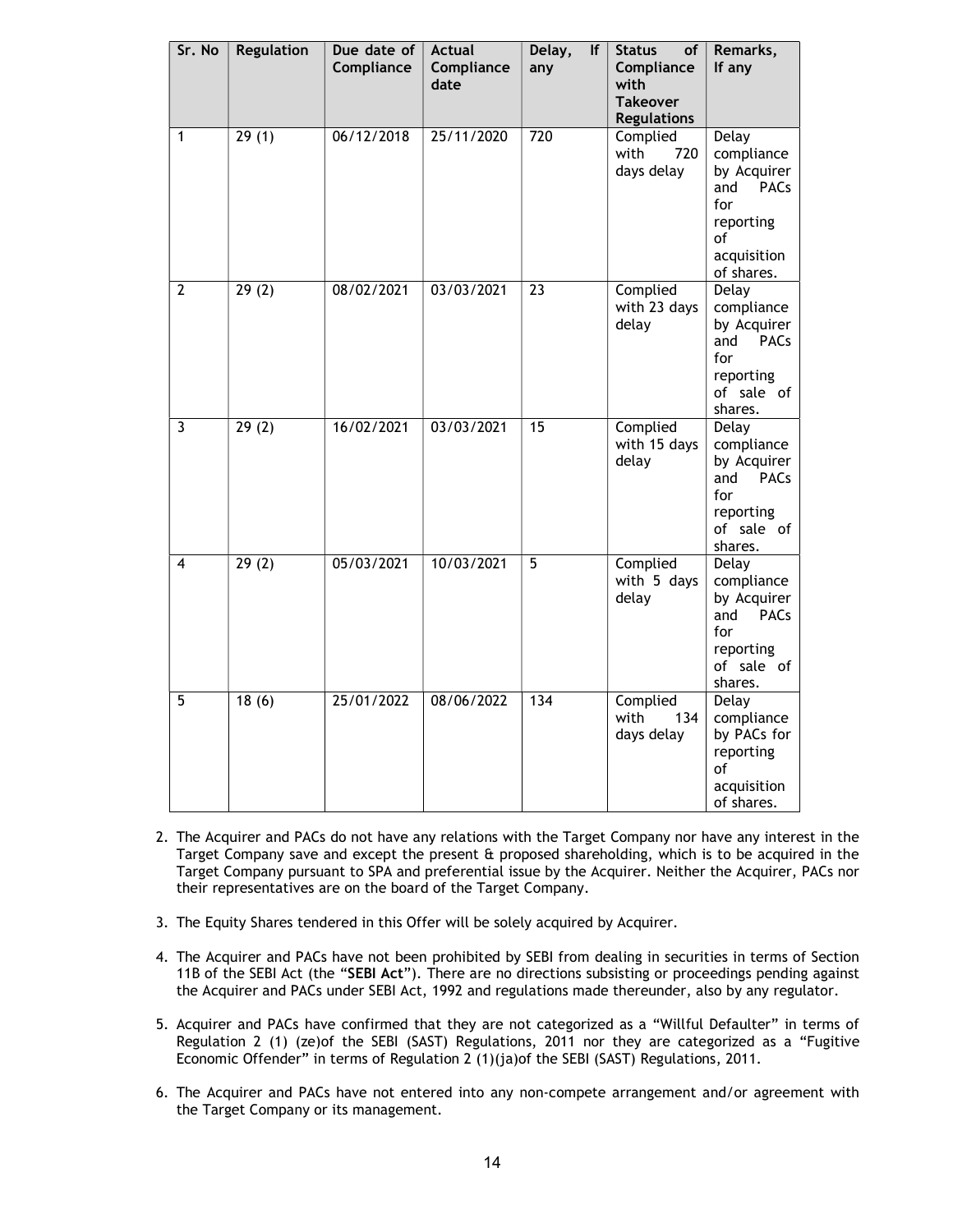|                | Sr. No | <b>Regulation</b> | Due date of<br>Compliance | <b>Actual</b><br>Compliance<br>date | Delay,<br>lf<br>any | <b>Status</b><br><b>of</b><br>Compliance<br>with<br><b>Takeover</b><br><b>Regulations</b> | Remarks,<br>If any                                                                                              |
|----------------|--------|-------------------|---------------------------|-------------------------------------|---------------------|-------------------------------------------------------------------------------------------|-----------------------------------------------------------------------------------------------------------------|
| 1              |        | 29(1)             | 06/12/2018                | 25/11/2020                          | $\overline{720}$    | Complied<br>with<br>720<br>days delay                                                     | Delay<br>compliance<br>by Acquirer<br>and<br><b>PACs</b><br>for<br>reporting<br>οf<br>acquisition<br>of shares. |
| $\overline{2}$ |        | 29(2)             | 08/02/2021                | 03/03/2021                          | 23                  | Complied<br>with 23 days<br>delay                                                         | Delay<br>compliance<br>by Acquirer<br>and<br><b>PACs</b><br>for<br>reporting<br>of sale of<br>shares.           |
| $\overline{3}$ |        | 29(2)             | 16/02/2021                | 03/03/2021                          | $\overline{15}$     | Complied<br>with 15 days<br>delay                                                         | <b>Delay</b><br>compliance<br>by Acquirer<br>and<br><b>PACs</b><br>for<br>reporting<br>of sale of<br>shares.    |
| 4              |        | 29(2)             | 05/03/2021                | 10/03/2021                          | 5                   | Complied<br>with 5 days<br>delay                                                          | Delay<br>compliance<br>by Acquirer<br><b>PACs</b><br>and<br>for<br>reporting<br>of sale of<br>shares.           |
| 5              |        | 18(6)             | 25/01/2022                | 08/06/2022                          | $\frac{1}{134}$     | Complied<br>with<br>134<br>days delay                                                     | Delay<br>compliance<br>by PACs for<br>reporting<br>of<br>acquisition<br>of shares.                              |

- 2. The Acquirer and PACs do not have any relations with the Target Company nor have any interest in the Target Company save and except the present  $\hat{a}$  proposed shareholding, which is to be acquired in the Target Company pursuant to SPA and preferential issue by the Acquirer. Neither the Acquirer, PACs nor their representatives are on the board of the Target Company.
- 3. The Equity Shares tendered in this Offer will be solely acquired by Acquirer.
- 4. The Acquirer and PACs have not been prohibited by SEBI from dealing in securities in terms of Section 11B of the SEBI Act (the "SEBI Act"). There are no directions subsisting or proceedings pending against the Acquirer and PACs under SEBI Act, 1992 and regulations made thereunder, also by any regulator.
- 5. Acquirer and PACs have confirmed that they are not categorized as a "Willful Defaulter" in terms of Regulation 2 (1) (ze)of the SEBI (SAST) Regulations, 2011 nor they are categorized as a "Fugitive Economic Offender" in terms of Regulation 2 (1)(ja)of the SEBI (SAST) Regulations, 2011.
- 6. The Acquirer and PACs have not entered into any non-compete arrangement and/or agreement with the Target Company or its management.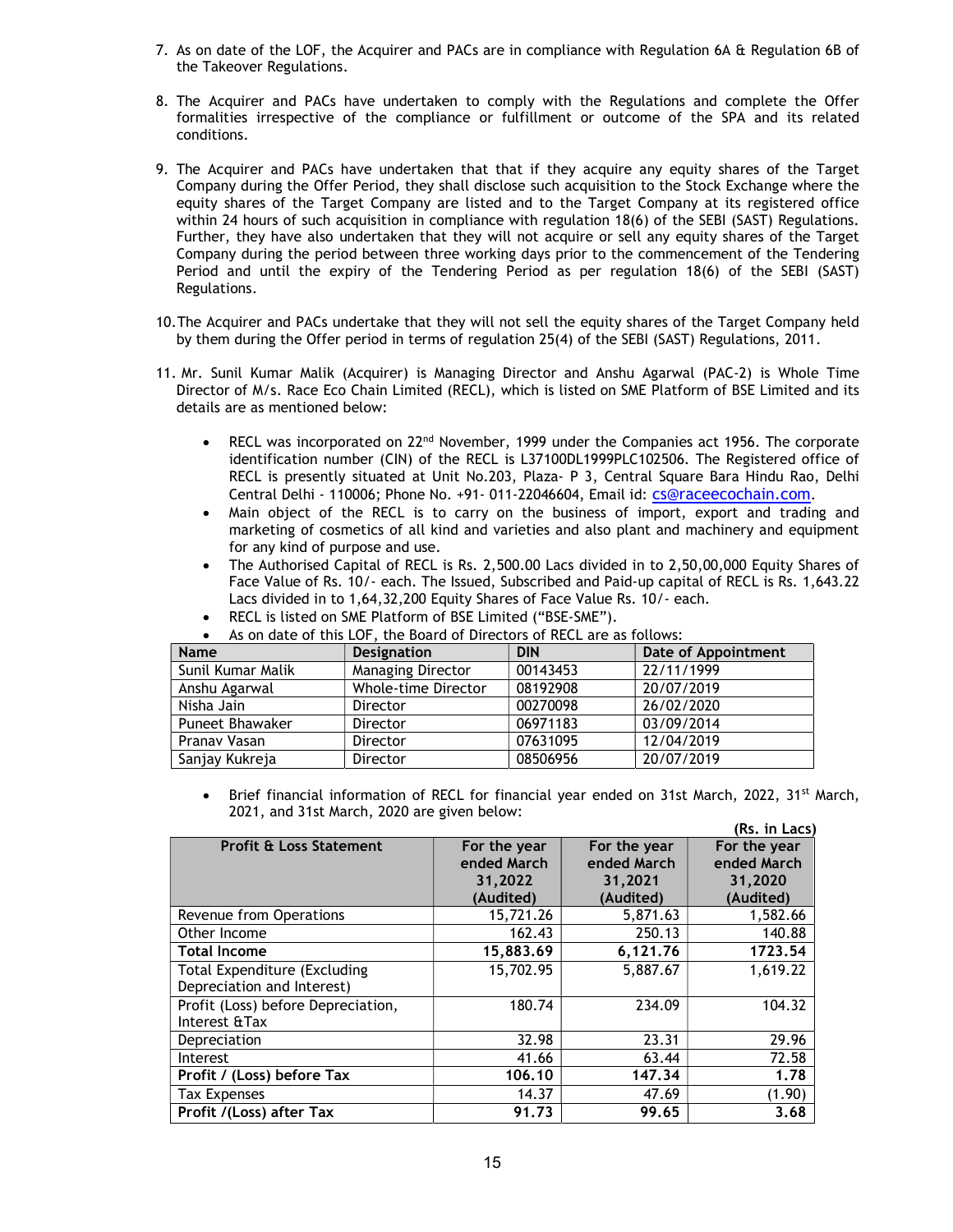- 7. As on date of the LOF, the Acquirer and PACs are in compliance with Regulation 6A & Regulation 6B of the Takeover Regulations.
- 8. The Acquirer and PACs have undertaken to comply with the Regulations and complete the Offer formalities irrespective of the compliance or fulfillment or outcome of the SPA and its related conditions.
- 9. The Acquirer and PACs have undertaken that that if they acquire any equity shares of the Target Company during the Offer Period, they shall disclose such acquisition to the Stock Exchange where the equity shares of the Target Company are listed and to the Target Company at its registered office within 24 hours of such acquisition in compliance with regulation 18(6) of the SEBI (SAST) Regulations. Further, they have also undertaken that they will not acquire or sell any equity shares of the Target Company during the period between three working days prior to the commencement of the Tendering Period and until the expiry of the Tendering Period as per regulation 18(6) of the SEBI (SAST) Regulations.
- 10.The Acquirer and PACs undertake that they will not sell the equity shares of the Target Company held by them during the Offer period in terms of regulation 25(4) of the SEBI (SAST) Regulations, 2011.
- 11. Mr. Sunil Kumar Malik (Acquirer) is Managing Director and Anshu Agarwal (PAC-2) is Whole Time Director of M/s. Race Eco Chain Limited (RECL), which is listed on SME Platform of BSE Limited and its details are as mentioned below:
	- RECL was incorporated on 22<sup>nd</sup> November, 1999 under the Companies act 1956. The corporate identification number (CIN) of the RECL is L37100DL1999PLC102506. The Registered office of RECL is presently situated at Unit No.203, Plaza- P 3, Central Square Bara Hindu Rao, Delhi Central Delhi - 110006; Phone No. +91- 011-22046604, Email id: cs@raceecochain.com.
	- Main object of the RECL is to carry on the business of import, export and trading and marketing of cosmetics of all kind and varieties and also plant and machinery and equipment for any kind of purpose and use.
	- The Authorised Capital of RECL is Rs. 2,500.00 Lacs divided in to 2,50,00,000 Equity Shares of Face Value of Rs. 10/- each. The Issued, Subscribed and Paid-up capital of RECL is Rs. 1,643.22 Lacs divided in to 1,64,32,200 Equity Shares of Face Value Rs. 10/- each.

| <b>Name</b>            | <b>Designation</b>       | <b>DIN</b> | Date of Appointment |
|------------------------|--------------------------|------------|---------------------|
| Sunil Kumar Malik      | <b>Managing Director</b> | 00143453   | 22/11/1999          |
| Anshu Agarwal          | Whole-time Director      | 08192908   | 20/07/2019          |
| Nisha Jain             | Director                 | 00270098   | 26/02/2020          |
| <b>Puneet Bhawaker</b> | Director                 | 06971183   | 03/09/2014          |
| Pranav Vasan           | Director                 | 07631095   | 12/04/2019          |
| Sanjay Kukreja         | Director                 | 08506956   | 20/07/2019          |

RECL is listed on SME Platform of BSE Limited ("BSE-SME").<br>As an abite of this LOF, the Beaud of Directory of BECL and a of this LOF, the Board of Directors of  $\overline{\phantom{a}}$ 

Brief financial information of RECL for financial year ended on 31st March, 2022, 31<sup>st</sup> March, 2021, and 31st March, 2020 are given below:

|                                     |              |              | (Rs. in Lacs) |
|-------------------------------------|--------------|--------------|---------------|
| <b>Profit &amp; Loss Statement</b>  | For the year | For the year | For the year  |
|                                     | ended March  | ended March  | ended March   |
|                                     | 31,2022      | 31,2021      | 31,2020       |
|                                     | (Audited)    | (Audited)    | (Audited)     |
| Revenue from Operations             | 15,721.26    | 5,871.63     | 1,582.66      |
| Other Income                        | 162.43       | 250.13       | 140.88        |
| <b>Total Income</b>                 | 15,883.69    | 6,121.76     | 1723.54       |
| <b>Total Expenditure (Excluding</b> | 15,702.95    | 5,887.67     | 1,619.22      |
| Depreciation and Interest)          |              |              |               |
| Profit (Loss) before Depreciation,  | 180.74       | 234.09       | 104.32        |
| Interest & Tax                      |              |              |               |
| Depreciation                        | 32.98        | 23.31        | 29.96         |
| Interest                            | 41.66        | 63.44        | 72.58         |
| Profit / (Loss) before Tax          | 106.10       | 147.34       | 1.78          |
| <b>Tax Expenses</b>                 | 14.37        | 47.69        | (1.90)        |
| Profit /(Loss) after Tax            | 91.73        | 99.65        | 3.68          |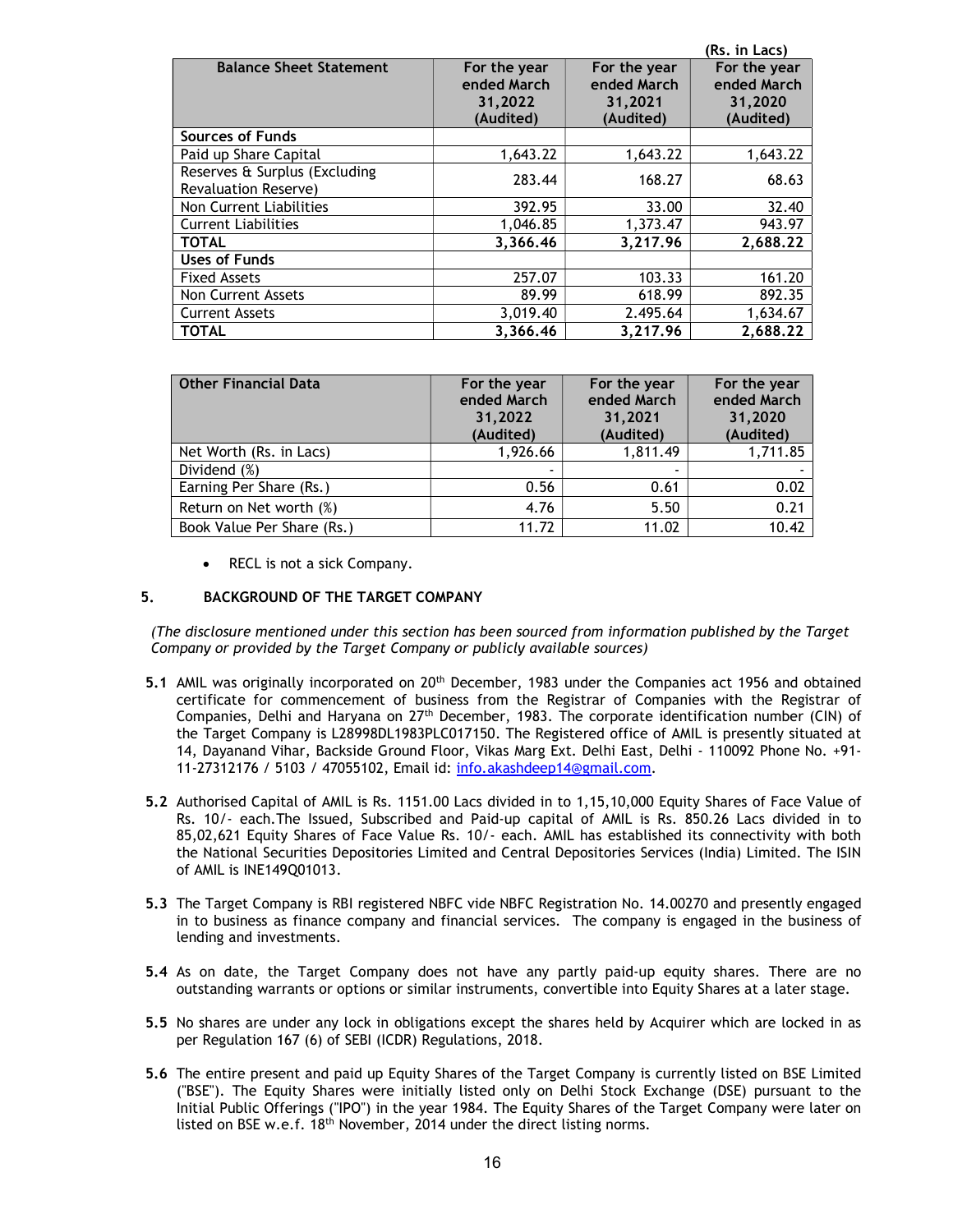|                                |              |              | (Rs. in Lacs) |
|--------------------------------|--------------|--------------|---------------|
| <b>Balance Sheet Statement</b> | For the year | For the year | For the year  |
|                                | ended March  | ended March  | ended March   |
|                                | 31,2022      | 31,2021      | 31,2020       |
|                                | (Audited)    | (Audited)    | (Audited)     |
| <b>Sources of Funds</b>        |              |              |               |
| Paid up Share Capital          | 1,643.22     | 1,643.22     | 1,643.22      |
| Reserves & Surplus (Excluding  | 283.44       | 168.27       | 68.63         |
| Revaluation Reserve)           |              |              |               |
| Non Current Liabilities        | 392.95       | 33.00        | 32.40         |
| <b>Current Liabilities</b>     | 1,046.85     | 1,373.47     | 943.97        |
| <b>TOTAL</b>                   | 3,366.46     | 3,217.96     | 2,688.22      |
| <b>Uses of Funds</b>           |              |              |               |
| <b>Fixed Assets</b>            | 257.07       | 103.33       | 161.20        |
| <b>Non Current Assets</b>      | 89.99        | 618.99       | 892.35        |
| <b>Current Assets</b>          | 3,019.40     | 2.495.64     | 1,634.67      |
| <b>TOTAL</b>                   | 3,366.46     | 3,217.96     | 2,688.22      |

| <b>Other Financial Data</b> | For the year<br>ended March<br>31,2022<br>(Audited) | For the year<br>ended March<br>31,2021<br>(Audited) | For the year<br>ended March<br>31,2020<br>(Audited) |
|-----------------------------|-----------------------------------------------------|-----------------------------------------------------|-----------------------------------------------------|
| Net Worth (Rs. in Lacs)     | 1,926.66                                            | 1,811.49                                            | 1,711.85                                            |
| Dividend (%)                | $\overline{\phantom{0}}$                            |                                                     |                                                     |
| Earning Per Share (Rs.)     | 0.56                                                | 0.61                                                | 0.02                                                |
| Return on Net worth (%)     | 4.76                                                | 5.50                                                | 0.21                                                |
| Book Value Per Share (Rs.)  | 11.72                                               | 11.02                                               | 10.42                                               |

RECL is not a sick Company.

## 5. BACKGROUND OF THE TARGET COMPANY

(The disclosure mentioned under this section has been sourced from information published by the Target Company or provided by the Target Company or publicly available sources)

- 5.1 AMIL was originally incorporated on 20<sup>th</sup> December, 1983 under the Companies act 1956 and obtained certificate for commencement of business from the Registrar of Companies with the Registrar of Companies, Delhi and Haryana on 27<sup>th</sup> December, 1983. The corporate identification number (CIN) of the Target Company is L28998DL1983PLC017150. The Registered office of AMIL is presently situated at 14, Dayanand Vihar, Backside Ground Floor, Vikas Marg Ext. Delhi East, Delhi - 110092 Phone No. +91- 11-27312176 / 5103 / 47055102, Email id: info.akashdeep14@gmail.com.
- 5.2 Authorised Capital of AMIL is Rs. 1151.00 Lacs divided in to 1,15,10,000 Equity Shares of Face Value of Rs. 10/- each.The Issued, Subscribed and Paid-up capital of AMIL is Rs. 850.26 Lacs divided in to 85,02,621 Equity Shares of Face Value Rs. 10/- each. AMIL has established its connectivity with both the National Securities Depositories Limited and Central Depositories Services (India) Limited. The ISIN of AMIL is INE149Q01013.
- 5.3 The Target Company is RBI registered NBFC vide NBFC Registration No. 14.00270 and presently engaged in to business as finance company and financial services. The company is engaged in the business of lending and investments.
- 5.4 As on date, the Target Company does not have any partly paid-up equity shares. There are no outstanding warrants or options or similar instruments, convertible into Equity Shares at a later stage.
- 5.5 No shares are under any lock in obligations except the shares held by Acquirer which are locked in as per Regulation 167 (6) of SEBI (ICDR) Regulations, 2018.
- 5.6 The entire present and paid up Equity Shares of the Target Company is currently listed on BSE Limited ("BSE"). The Equity Shares were initially listed only on Delhi Stock Exchange (DSE) pursuant to the Initial Public Offerings ("IPO") in the year 1984. The Equity Shares of the Target Company were later on listed on BSE w.e.f. 18th November, 2014 under the direct listing norms.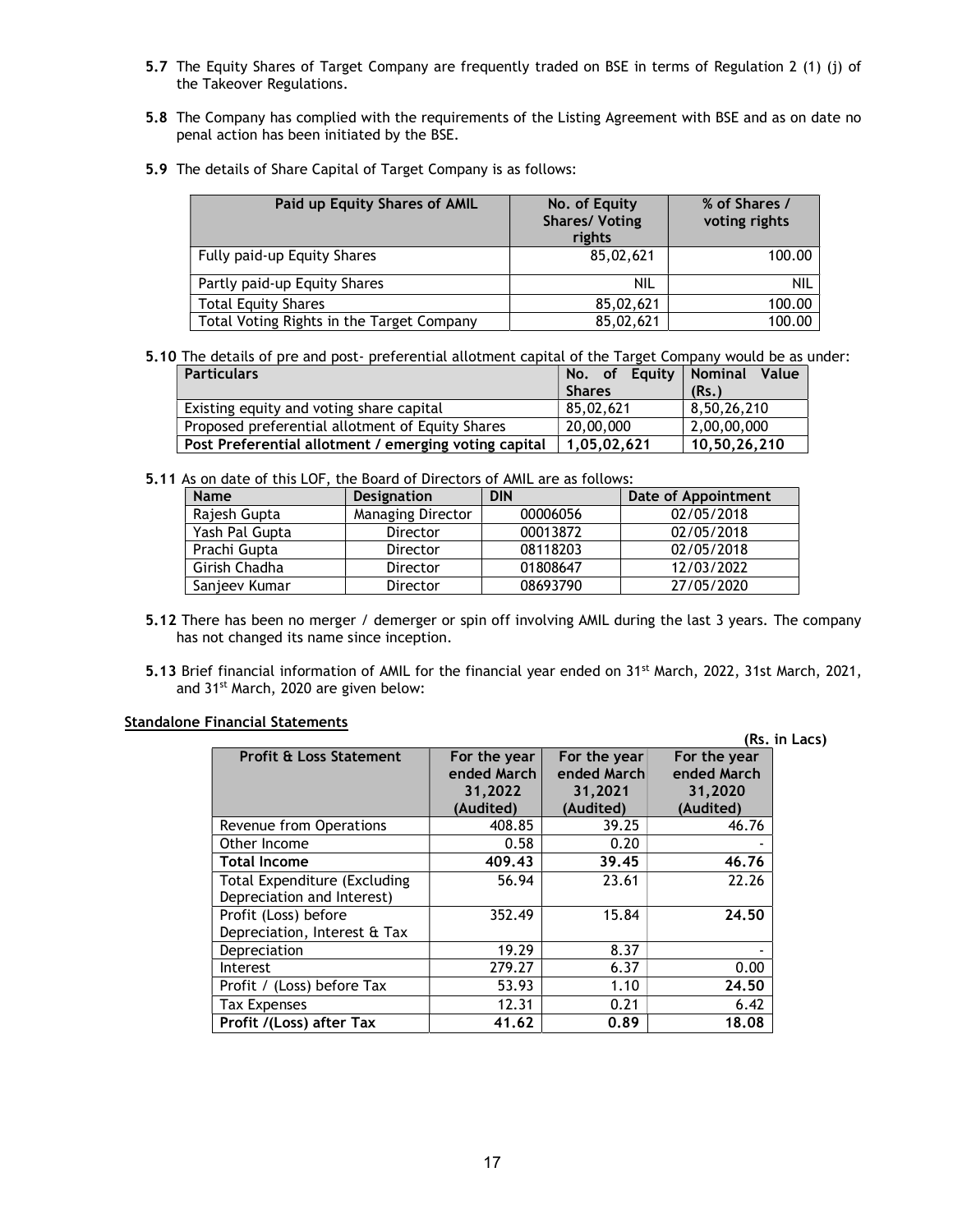- 5.7 The Equity Shares of Target Company are frequently traded on BSE in terms of Regulation 2 (1) (j) of the Takeover Regulations.
- 5.8 The Company has complied with the requirements of the Listing Agreement with BSE and as on date no penal action has been initiated by the BSE.
- 5.9 The details of Share Capital of Target Company is as follows:

| Paid up Equity Shares of AMIL             | No. of Equity<br><b>Shares/ Voting</b><br>rights | % of Shares /<br>voting rights |
|-------------------------------------------|--------------------------------------------------|--------------------------------|
| Fully paid-up Equity Shares               | 85,02,621                                        | 100.00                         |
| Partly paid-up Equity Shares              | NIL                                              | nil                            |
| <b>Total Equity Shares</b>                | 85,02,621                                        | 100.00                         |
| Total Voting Rights in the Target Company | 85,02,621                                        | 100.00                         |

5.10 The details of pre and post- preferential allotment capital of the Target Company would be as under:

| <b>Particulars</b>                                    | No. of Equity Nominal Value |              |
|-------------------------------------------------------|-----------------------------|--------------|
|                                                       | <b>Shares</b>               | (Rs.)        |
| Existing equity and voting share capital              | 85,02,621                   | 8.50.26.210  |
| Proposed preferential allotment of Equity Shares      | 20,00,000                   | 2,00,00,000  |
| Post Preferential allotment / emerging voting capital | 1.05.02.621                 | 10,50,26,210 |

5.11 As on date of this LOF, the Board of Directors of AMIL are as follows:

| <b>Name</b>    | <b>Designation</b>       | <b>DIN</b> | Date of Appointment |
|----------------|--------------------------|------------|---------------------|
| Rajesh Gupta   | <b>Managing Director</b> | 00006056   | 02/05/2018          |
| Yash Pal Gupta | <b>Director</b>          | 00013872   | 02/05/2018          |
| Prachi Gupta   | <b>Director</b>          | 08118203   | 02/05/2018          |
| Girish Chadha  | <b>Director</b>          | 01808647   | 12/03/2022          |
| Sanjeev Kumar  | Director                 | 08693790   | 27/05/2020          |

- 5.12 There has been no merger / demerger or spin off involving AMIL during the last 3 years. The company has not changed its name since inception.
- 5.13 Brief financial information of AMIL for the financial year ended on 31<sup>st</sup> March, 2022, 31st March, 2021, and 31<sup>st</sup> March, 2020 are given below:

# Standalone Financial Statements

|                                    |                             |                             |                             | (Rs. in Lacs) |
|------------------------------------|-----------------------------|-----------------------------|-----------------------------|---------------|
| <b>Profit &amp; Loss Statement</b> | For the year<br>ended March | For the year<br>ended March | For the year<br>ended March |               |
|                                    | 31,2022                     | 31,2021                     | 31,2020                     |               |
|                                    | (Audited)                   | (Audited)                   | (Audited)                   |               |
| Revenue from Operations            | 408.85                      | 39.25                       | 46.76                       |               |
| Other Income                       | 0.58                        | 0.20                        |                             |               |
| <b>Total Income</b>                | 409.43                      | 39.45                       | 46.76                       |               |
| Total Expenditure (Excluding       | 56.94                       | 23.61                       | 22.26                       |               |
| Depreciation and Interest)         |                             |                             |                             |               |
| Profit (Loss) before               | 352.49                      | 15.84                       | 24.50                       |               |
| Depreciation, Interest & Tax       |                             |                             |                             |               |
| Depreciation                       | 19.29                       | 8.37                        |                             |               |
| Interest                           | 279.27                      | 6.37                        | 0.00                        |               |
| Profit / (Loss) before Tax         | 53.93                       | 1.10                        | 24.50                       |               |
| <b>Tax Expenses</b>                | 12.31                       | 0.21                        | 6.42                        |               |
| Profit /(Loss) after Tax           | 41.62                       | 0.89                        | 18.08                       |               |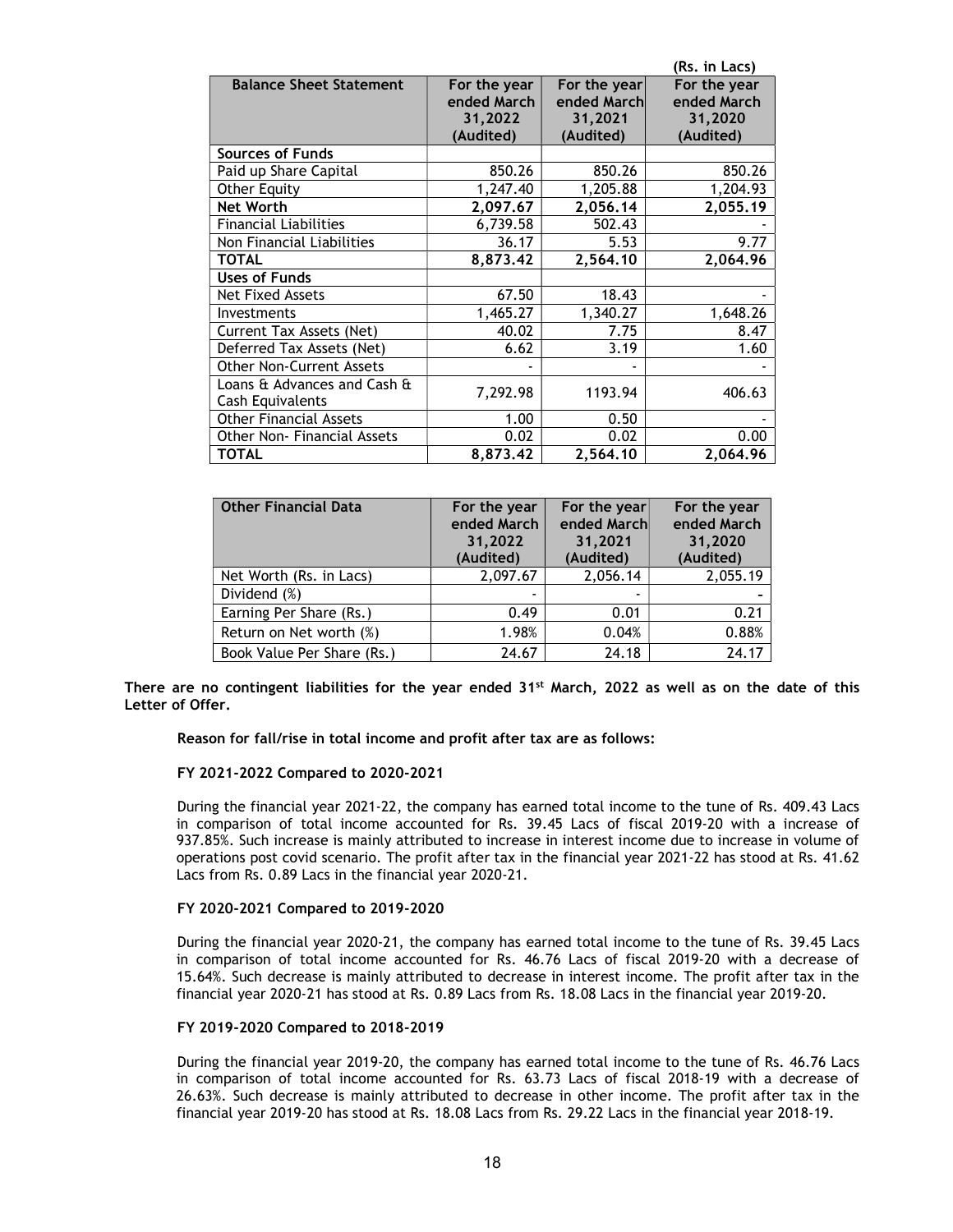|                                 |              |              | (Rs. in Lacs) |
|---------------------------------|--------------|--------------|---------------|
| <b>Balance Sheet Statement</b>  | For the year | For the year | For the year  |
|                                 | ended March  | ended March  | ended March   |
|                                 | 31,2022      | 31,2021      | 31,2020       |
|                                 | (Audited)    | (Audited)    | (Audited)     |
| <b>Sources of Funds</b>         |              |              |               |
| Paid up Share Capital           | 850.26       | 850.26       | 850.26        |
| <b>Other Equity</b>             | 1,247.40     | 1,205.88     | 1,204.93      |
| <b>Net Worth</b>                | 2,097.67     | 2,056.14     | 2,055.19      |
| <b>Financial Liabilities</b>    | 6,739.58     | 502.43       |               |
| Non Financial Liabilities       | 36.17        | 5.53         | 9.77          |
| <b>TOTAL</b>                    | 8,873.42     | 2,564.10     | 2,064.96      |
| <b>Uses of Funds</b>            |              |              |               |
| Net Fixed Assets                | 67.50        | 18.43        |               |
| Investments                     | 1,465.27     | 1,340.27     | 1,648.26      |
| Current Tax Assets (Net)        | 40.02        | 7.75         | 8.47          |
| Deferred Tax Assets (Net)       | 6.62         | 3.19         | 1.60          |
| <b>Other Non-Current Assets</b> |              |              |               |
| Loans & Advances and Cash &     | 7,292.98     | 1193.94      | 406.63        |
| Cash Equivalents                |              |              |               |
| <b>Other Financial Assets</b>   | 1.00         | 0.50         |               |
| Other Non- Financial Assets     | 0.02         | 0.02         | 0.00          |
| <b>TOTAL</b>                    | 8,873.42     | 2,564.10     | 2,064.96      |

| <b>Other Financial Data</b> | For the year<br>ended March<br>31,2022<br>(Audited) | For the year<br>ended March<br>31,2021<br>(Audited) | For the year<br>ended March<br>31,2020<br>(Audited) |
|-----------------------------|-----------------------------------------------------|-----------------------------------------------------|-----------------------------------------------------|
| Net Worth (Rs. in Lacs)     | 2,097.67                                            | 2,056.14                                            | 2,055.19                                            |
| Dividend (%)                |                                                     |                                                     |                                                     |
| Earning Per Share (Rs.)     | 0.49                                                | 0.01                                                | 0.21                                                |
| Return on Net worth (%)     | 1.98%                                               | 0.04%                                               | 0.88%                                               |
| Book Value Per Share (Rs.)  | 24.67                                               | 24.18                                               | 24.17                                               |

There are no contingent liabilities for the year ended  $31^{st}$  March, 2022 as well as on the date of this Letter of Offer.

Reason for fall/rise in total income and profit after tax are as follows:

### FY 2021-2022 Compared to 2020-2021

During the financial year 2021-22, the company has earned total income to the tune of Rs. 409.43 Lacs in comparison of total income accounted for Rs. 39.45 Lacs of fiscal 2019-20 with a increase of 937.85%. Such increase is mainly attributed to increase in interest income due to increase in volume of operations post covid scenario. The profit after tax in the financial year 2021-22 has stood at Rs. 41.62 Lacs from Rs. 0.89 Lacs in the financial year 2020-21.

## FY 2020-2021 Compared to 2019-2020

During the financial year 2020-21, the company has earned total income to the tune of Rs. 39.45 Lacs in comparison of total income accounted for Rs. 46.76 Lacs of fiscal 2019-20 with a decrease of 15.64%. Such decrease is mainly attributed to decrease in interest income. The profit after tax in the financial year 2020-21 has stood at Rs. 0.89 Lacs from Rs. 18.08 Lacs in the financial year 2019-20.

#### FY 2019-2020 Compared to 2018-2019

During the financial year 2019-20, the company has earned total income to the tune of Rs. 46.76 Lacs in comparison of total income accounted for Rs. 63.73 Lacs of fiscal 2018-19 with a decrease of 26.63%. Such decrease is mainly attributed to decrease in other income. The profit after tax in the financial year 2019-20 has stood at Rs. 18.08 Lacs from Rs. 29.22 Lacs in the financial year 2018-19.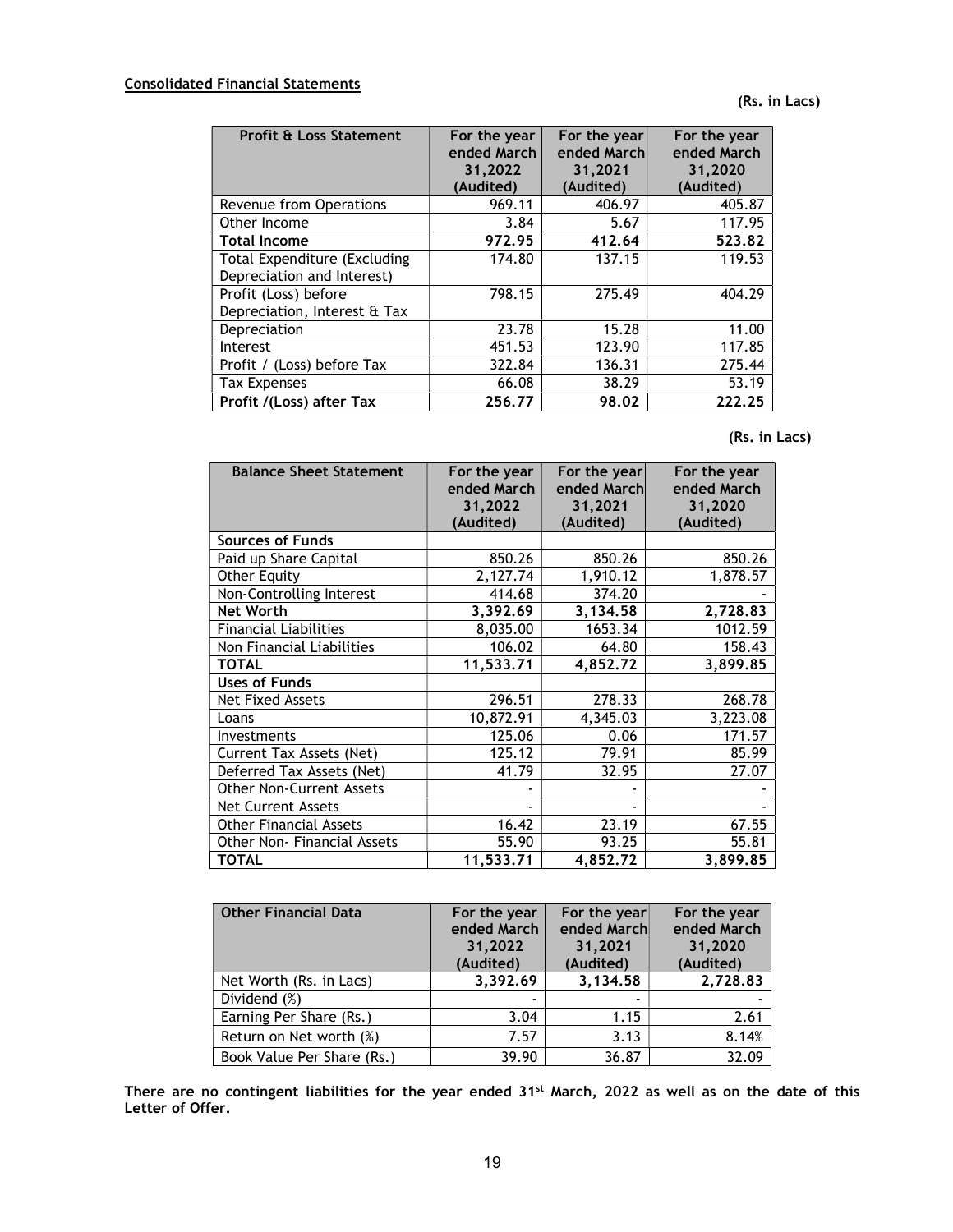(Rs. in Lacs)

| <b>Profit &amp; Loss Statement</b>                         | For the year<br>ended March<br>31,2022<br>(Audited) | For the year<br>ended March<br>31,2021<br>(Audited) | For the year<br>ended March<br>31,2020<br>(Audited) |
|------------------------------------------------------------|-----------------------------------------------------|-----------------------------------------------------|-----------------------------------------------------|
| Revenue from Operations                                    | 969.11                                              | 406.97                                              | 405.87                                              |
| Other Income                                               | 3.84                                                | 5.67                                                | 117.95                                              |
| <b>Total Income</b>                                        | 972.95                                              | 412.64                                              | 523.82                                              |
| Total Expenditure (Excluding<br>Depreciation and Interest) | 174.80                                              | 137.15                                              | 119.53                                              |
| Profit (Loss) before<br>Depreciation, Interest & Tax       | 798.15                                              | 275.49                                              | 404.29                                              |
| Depreciation                                               | 23.78                                               | 15.28                                               | 11.00                                               |
| Interest                                                   | 451.53                                              | 123.90                                              | 117.85                                              |
| Profit / (Loss) before Tax                                 | 322.84                                              | 136.31                                              | 275.44                                              |
| <b>Tax Expenses</b>                                        | 66.08                                               | 38.29                                               | 53.19                                               |
| Profit /(Loss) after Tax                                   | 256.77                                              | 98.02                                               | 222.25                                              |

(Rs. in Lacs)

| <b>Balance Sheet Statement</b>  | For the year<br>ended March | For the year<br>ended March | For the year<br>ended March |
|---------------------------------|-----------------------------|-----------------------------|-----------------------------|
|                                 | 31,2022                     | 31,2021                     | 31,2020                     |
|                                 | (Audited)                   | (Audited)                   | (Audited)                   |
| Sources of Funds                |                             |                             |                             |
| Paid up Share Capital           | 850.26                      | 850.26                      | 850.26                      |
| <b>Other Equity</b>             | 2,127.74                    | 1,910.12                    | 1,878.57                    |
| Non-Controlling Interest        | 414.68                      | 374.20                      |                             |
| <b>Net Worth</b>                | 3,392.69                    | 3,134.58                    | 2,728.83                    |
| <b>Financial Liabilities</b>    | 8,035.00                    | 1653.34                     | 1012.59                     |
| Non Financial Liabilities       | 106.02                      | 64.80                       | 158.43                      |
| <b>TOTAL</b>                    | 11,533.71                   | 4,852.72                    | 3,899.85                    |
| Uses of Funds                   |                             |                             |                             |
| <b>Net Fixed Assets</b>         | 296.51                      | 278.33                      | 268.78                      |
| Loans                           | 10,872.91                   | 4,345.03                    | 3,223.08                    |
| Investments                     | 125.06                      | 0.06                        | 171.57                      |
| Current Tax Assets (Net)        | 125.12                      | 79.91                       | 85.99                       |
| Deferred Tax Assets (Net)       | 41.79                       | 32.95                       | 27.07                       |
| <b>Other Non-Current Assets</b> |                             |                             |                             |
| Net Current Assets              |                             |                             |                             |
| <b>Other Financial Assets</b>   | 16.42                       | 23.19                       | 67.55                       |
| Other Non- Financial Assets     | 55.90                       | 93.25                       | 55.81                       |
| <b>TOTAL</b>                    | 11,533.71                   | 4,852.72                    | 3,899.85                    |

| <b>Other Financial Data</b> | For the year<br>ended March<br>31,2022<br>(Audited) | For the year<br>ended March<br>31,2021<br>(Audited) | For the year<br>ended March<br>31,2020<br>(Audited) |
|-----------------------------|-----------------------------------------------------|-----------------------------------------------------|-----------------------------------------------------|
| Net Worth (Rs. in Lacs)     | 3,392.69                                            | 3,134.58                                            | 2,728.83                                            |
| Dividend (%)                |                                                     |                                                     |                                                     |
| Earning Per Share (Rs.)     | 3.04                                                | 1.15                                                | 2.61                                                |
| Return on Net worth (%)     | 7.57                                                | 3.13                                                | 8.14%                                               |
| Book Value Per Share (Rs.)  | 39.90                                               | 36.87                                               | 32.09                                               |

There are no contingent liabilities for the year ended 31<sup>st</sup> March, 2022 as well as on the date of this Letter of Offer.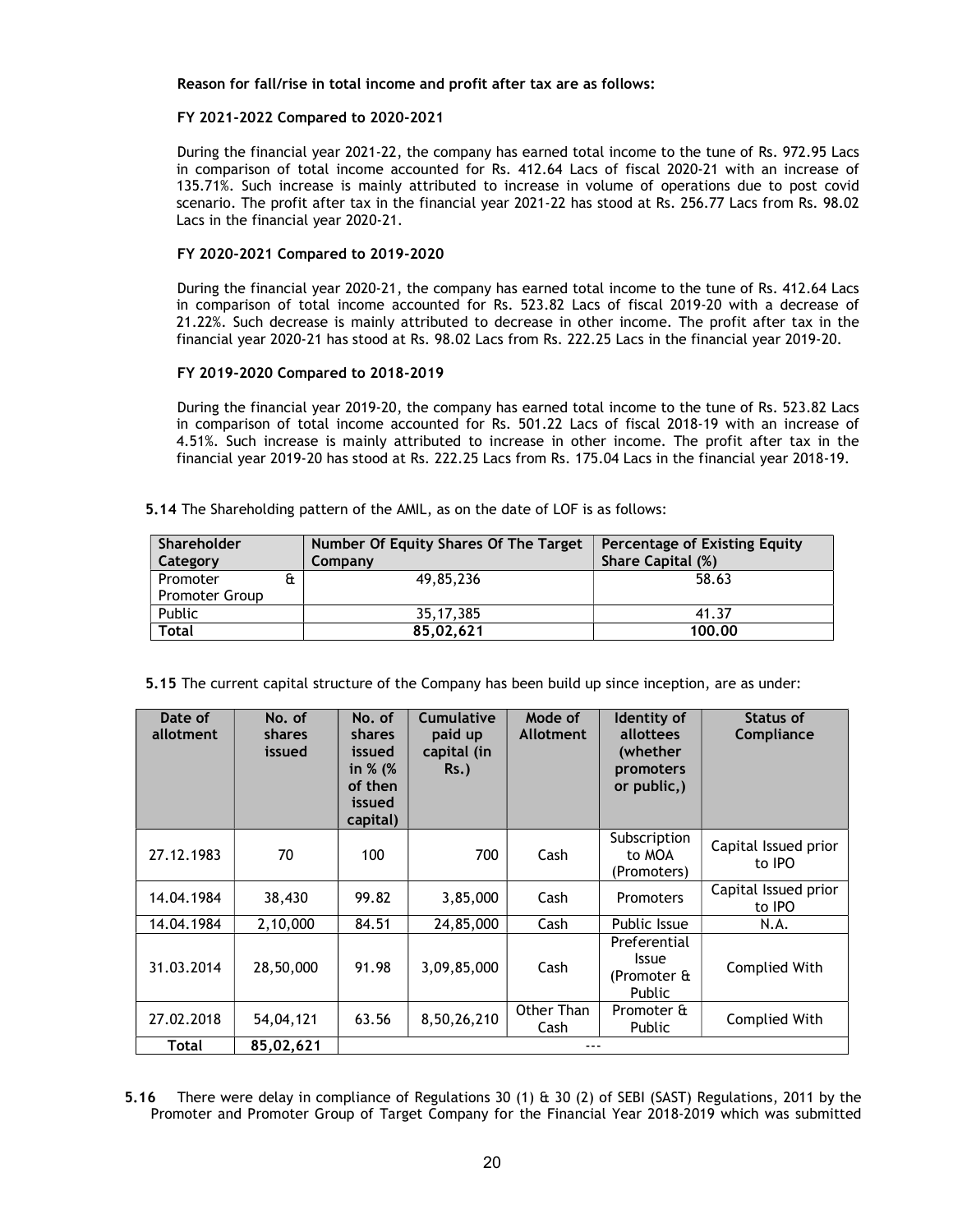### Reason for fall/rise in total income and profit after tax are as follows:

## FY 2021-2022 Compared to 2020-2021

During the financial year 2021-22, the company has earned total income to the tune of Rs. 972.95 Lacs in comparison of total income accounted for Rs. 412.64 Lacs of fiscal 2020-21 with an increase of 135.71%. Such increase is mainly attributed to increase in volume of operations due to post covid scenario. The profit after tax in the financial year 2021-22 has stood at Rs. 256.77 Lacs from Rs. 98.02 Lacs in the financial year 2020-21.

#### FY 2020-2021 Compared to 2019-2020

During the financial year 2020-21, the company has earned total income to the tune of Rs. 412.64 Lacs in comparison of total income accounted for Rs. 523.82 Lacs of fiscal 2019-20 with a decrease of 21.22%. Such decrease is mainly attributed to decrease in other income. The profit after tax in the financial year 2020-21 has stood at Rs. 98.02 Lacs from Rs. 222.25 Lacs in the financial year 2019-20.

## FY 2019-2020 Compared to 2018-2019

During the financial year 2019-20, the company has earned total income to the tune of Rs. 523.82 Lacs in comparison of total income accounted for Rs. 501.22 Lacs of fiscal 2018-19 with an increase of 4.51%. Such increase is mainly attributed to increase in other income. The profit after tax in the financial year 2019-20 has stood at Rs. 222.25 Lacs from Rs. 175.04 Lacs in the financial year 2018-19.

5.14 The Shareholding pattern of the AMIL, as on the date of LOF is as follows:

| Shareholder<br>Category    | Number Of Equity Shares Of The Target<br>Company | <b>Percentage of Existing Equity</b><br><b>Share Capital (%)</b> |
|----------------------------|--------------------------------------------------|------------------------------------------------------------------|
| Promoter<br>Promoter Group | 49,85,236                                        | 58.63                                                            |
| Public                     | 35.17.385                                        | 41.37                                                            |
| Total                      | 85.02.621                                        | 100.00                                                           |

5.15 The current capital structure of the Company has been build up since inception, are as under:

| Date of<br>allotment | No. of<br>shares<br>issued | No. of<br><b>shares</b><br>issued<br>in % (%<br>of then<br>issued<br>capital) | <b>Cumulative</b><br>paid up<br>capital (in<br>$Rs.$ ) | Mode of<br><b>Allotment</b> | Identity of<br>allottees<br>(whether<br>promoters<br>or public,) | Status of<br>Compliance        |
|----------------------|----------------------------|-------------------------------------------------------------------------------|--------------------------------------------------------|-----------------------------|------------------------------------------------------------------|--------------------------------|
| 27.12.1983           | 70                         | 100                                                                           | 700                                                    | Cash                        | Subscription<br>to MOA<br>(Promoters)                            | Capital Issued prior<br>to IPO |
| 14.04.1984           | 38,430                     | 99.82                                                                         | 3,85,000                                               | Cash                        | Promoters                                                        | Capital Issued prior<br>to IPO |
| 14.04.1984           | 2,10,000                   | 84.51                                                                         | 24,85,000                                              | Cash                        | Public Issue                                                     | N.A.                           |
| 31.03.2014           | 28,50,000                  | 91.98                                                                         | 3,09,85,000                                            | Cash                        | Preferential<br><b>Issue</b><br>(Promoter &<br>Public            | Complied With                  |
| 27.02.2018           | 54,04,121                  | 63.56                                                                         | 8,50,26,210                                            | Other Than<br>Cash          | Promoter &<br><b>Public</b>                                      | Complied With                  |
| Total                | 85,02,621                  |                                                                               |                                                        |                             |                                                                  |                                |

5.16 There were delay in compliance of Regulations 30 (1) & 30 (2) of SEBI (SAST) Regulations, 2011 by the Promoter and Promoter Group of Target Company for the Financial Year 2018-2019 which was submitted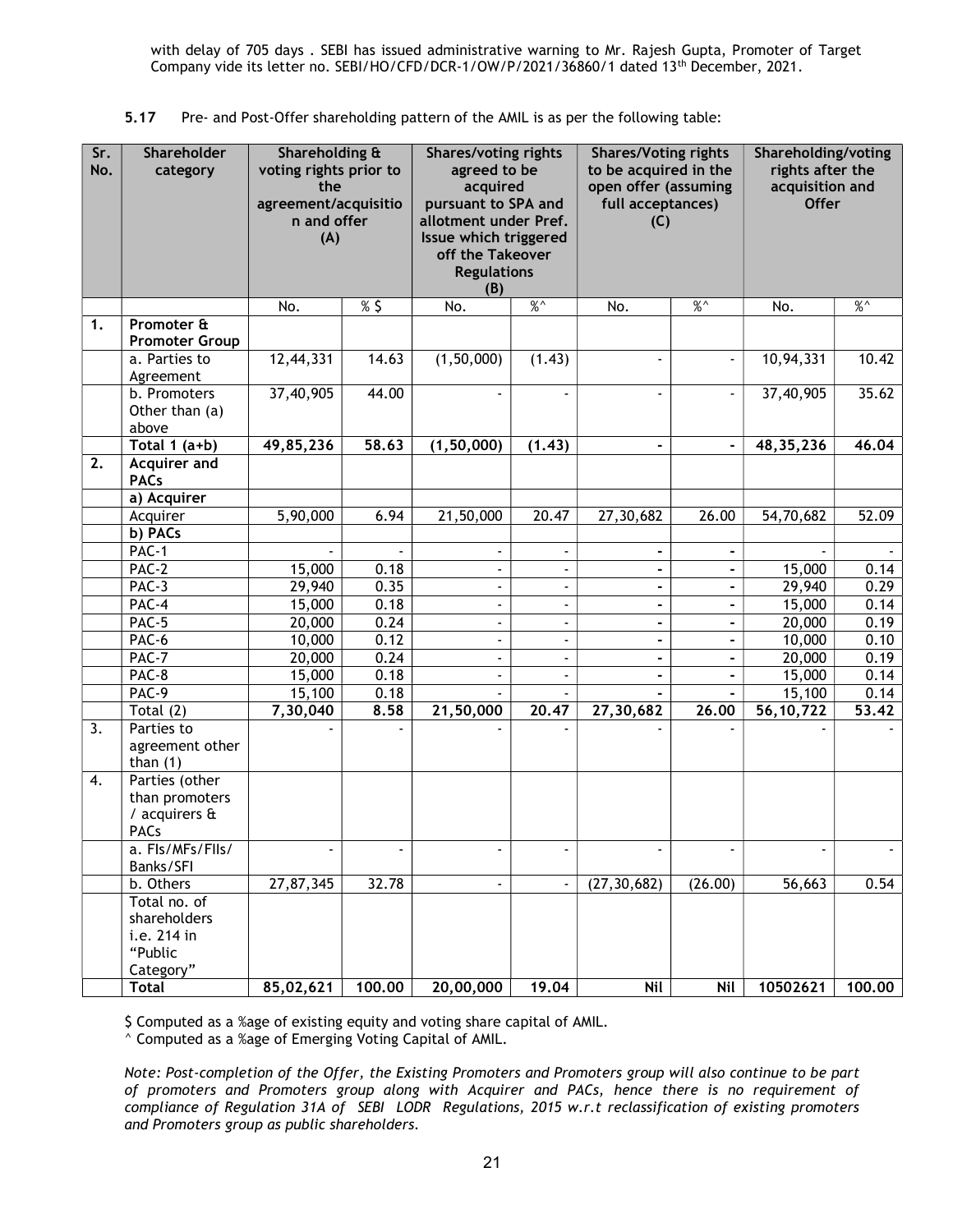with delay of 705 days . SEBI has issued administrative warning to Mr. Rajesh Gupta, Promoter of Target Company vide its letter no. SEBI/HO/CFD/DCR-1/OW/P/2021/36860/1 dated 13th December, 2021.

|  |  | 5.17 Pre- and Post-Offer shareholding pattern of the AMIL is as per the following table: |  |  |
|--|--|------------------------------------------------------------------------------------------|--|--|
|--|--|------------------------------------------------------------------------------------------|--|--|

| Sr.<br>No. | Shareholder<br>category                                                    | Shareholding &<br>voting rights prior to<br>the<br>agreement/acquisitio<br>n and offer<br>(A) |        | <b>Shares/voting rights</b><br>agreed to be<br>acquired<br>pursuant to SPA and<br>allotment under Pref.<br>Issue which triggered<br>off the Takeover<br><b>Regulations</b><br>(B) |                                            | <b>Shares/Voting rights</b><br>to be acquired in the<br>open offer (assuming<br>full acceptances)<br>(C) |                              | Shareholding/voting<br>rights after the<br>acquisition and<br><b>Offer</b> |               |
|------------|----------------------------------------------------------------------------|-----------------------------------------------------------------------------------------------|--------|-----------------------------------------------------------------------------------------------------------------------------------------------------------------------------------|--------------------------------------------|----------------------------------------------------------------------------------------------------------|------------------------------|----------------------------------------------------------------------------|---------------|
|            |                                                                            | No.                                                                                           | %5     | No.                                                                                                                                                                               | $\frac{9}{6}$                              | No.                                                                                                      | $\%^{\wedge}$                | No.                                                                        | $\%^{\wedge}$ |
| 1.         | Promoter &<br><b>Promoter Group</b>                                        |                                                                                               |        |                                                                                                                                                                                   |                                            |                                                                                                          |                              |                                                                            |               |
|            | a. Parties to<br>Agreement                                                 | 12,44,331                                                                                     | 14.63  | (1,50,000)                                                                                                                                                                        | (1.43)                                     | $\blacksquare$                                                                                           |                              | 10,94,331                                                                  | 10.42         |
|            | b. Promoters<br>Other than (a)<br>above                                    | 37,40,905                                                                                     | 44.00  |                                                                                                                                                                                   |                                            | $\overline{\phantom{a}}$                                                                                 |                              | 37,40,905                                                                  | 35.62         |
|            | Total $1$ (a+b)                                                            | 49,85,236                                                                                     | 58.63  | (1, 50, 000)                                                                                                                                                                      | (1.43)                                     |                                                                                                          |                              | 48, 35, 236                                                                | 46.04         |
| 2.         | <b>Acquirer and</b><br><b>PACs</b>                                         |                                                                                               |        |                                                                                                                                                                                   |                                            |                                                                                                          |                              |                                                                            |               |
|            | a) Acquirer                                                                |                                                                                               |        |                                                                                                                                                                                   |                                            |                                                                                                          |                              |                                                                            |               |
|            | Acquirer                                                                   | 5,90,000                                                                                      | 6.94   | 21,50,000                                                                                                                                                                         | 20.47                                      | 27,30,682                                                                                                | 26.00                        | 54,70,682                                                                  | 52.09         |
|            | b) PACs                                                                    |                                                                                               |        |                                                                                                                                                                                   |                                            |                                                                                                          |                              |                                                                            |               |
|            | PAC-1<br>PAC-2                                                             | 15,000                                                                                        | 0.18   | $\blacksquare$<br>$\blacksquare$                                                                                                                                                  | $\overline{\phantom{a}}$<br>$\blacksquare$ | $\overline{\phantom{a}}$<br>$\blacksquare$                                                               | $\qquad \qquad \blacksquare$ | 15,000                                                                     | 0.14          |
|            | PAC-3                                                                      | 29,940                                                                                        | 0.35   | $\blacksquare$                                                                                                                                                                    | $\overline{\phantom{a}}$                   | $\blacksquare$                                                                                           | $\qquad \qquad \blacksquare$ | 29,940                                                                     | 0.29          |
|            | PAC-4                                                                      | 15,000                                                                                        | 0.18   |                                                                                                                                                                                   | $\blacksquare$                             | $\overline{\phantom{a}}$                                                                                 |                              | 15,000                                                                     | 0.14          |
|            | PAC-5                                                                      | 20,000                                                                                        | 0.24   | $\blacksquare$                                                                                                                                                                    | $\overline{\phantom{0}}$                   | $\overline{\phantom{a}}$                                                                                 |                              | 20,000                                                                     | 0.19          |
|            | PAC-6                                                                      | 10,000                                                                                        | 0.12   | $\blacksquare$                                                                                                                                                                    | $\blacksquare$                             | $\blacksquare$                                                                                           | $\blacksquare$               | 10,000                                                                     | 0.10          |
|            | $PAC-7$                                                                    | 20,000                                                                                        | 0.24   | $\blacksquare$                                                                                                                                                                    | $\overline{\phantom{0}}$                   | $\blacksquare$                                                                                           | $\overline{\phantom{a}}$     | 20,000                                                                     | 0.19          |
|            | PAC-8                                                                      | 15,000                                                                                        | 0.18   | $\blacksquare$                                                                                                                                                                    | $\blacksquare$                             | $\overline{\phantom{a}}$                                                                                 | $\overline{\phantom{a}}$     | 15,000                                                                     | 0.14          |
|            | PAC-9                                                                      | 15,100                                                                                        | 0.18   |                                                                                                                                                                                   |                                            |                                                                                                          | $\blacksquare$               | 15,100                                                                     | 0.14          |
|            | Total $(2)$                                                                | 7,30,040                                                                                      | 8.58   | 21,50,000                                                                                                                                                                         | 20.47                                      | 27,30,682                                                                                                | 26.00                        | 56, 10, 722                                                                | 53.42         |
| 3.         | Parties to<br>agreement other<br>than $(1)$                                |                                                                                               |        |                                                                                                                                                                                   |                                            |                                                                                                          |                              |                                                                            |               |
| 4.         | Parties (other<br>than promoters<br>/ acquirers $\mathbf{\hat{a}}$<br>PACs |                                                                                               |        |                                                                                                                                                                                   |                                            |                                                                                                          |                              |                                                                            |               |
|            | a. Fls/MFs/Flls/                                                           |                                                                                               |        |                                                                                                                                                                                   |                                            |                                                                                                          |                              |                                                                            |               |
|            | Banks/SFI                                                                  |                                                                                               |        |                                                                                                                                                                                   |                                            |                                                                                                          |                              |                                                                            |               |
|            | b. Others<br>Total no. of                                                  | 27,87,345                                                                                     | 32.78  | $\blacksquare$                                                                                                                                                                    |                                            | (27, 30, 682)                                                                                            | (26.00)                      | 56,663                                                                     | 0.54          |
|            | shareholders<br>i.e. 214 in<br>"Public<br>Category"                        |                                                                                               |        |                                                                                                                                                                                   |                                            |                                                                                                          |                              |                                                                            |               |
|            | <b>Total</b>                                                               | 85,02,621                                                                                     | 100.00 | 20,00,000                                                                                                                                                                         | 19.04                                      | Nil                                                                                                      | Nil                          | 10502621                                                                   | 100.00        |

\$ Computed as a %age of existing equity and voting share capital of AMIL.

 $^{\wedge}$  Computed as a %age of Emerging Voting Capital of AMIL.

Note: Post-completion of the Offer, the Existing Promoters and Promoters group will also continue to be part of promoters and Promoters group along with Acquirer and PACs, hence there is no requirement of compliance of Regulation 31A of SEBI LODR Regulations, 2015 w.r.t reclassification of existing promoters and Promoters group as public shareholders.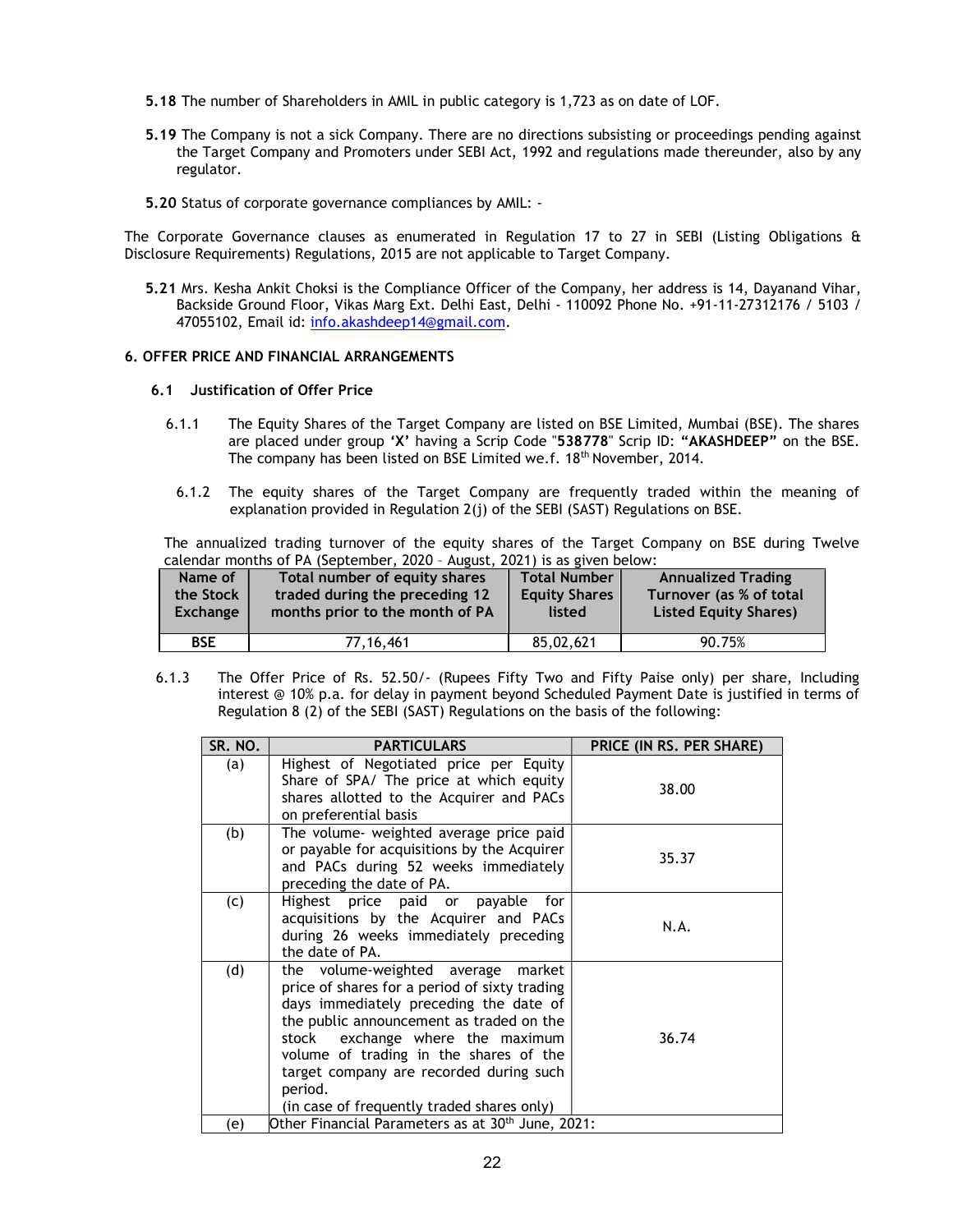- 5.18 The number of Shareholders in AMIL in public category is 1,723 as on date of LOF.
- 5.19 The Company is not a sick Company. There are no directions subsisting or proceedings pending against the Target Company and Promoters under SEBI Act, 1992 and regulations made thereunder, also by any regulator.
- 5.20 Status of corporate governance compliances by AMIL: -

The Corporate Governance clauses as enumerated in Regulation 17 to 27 in SEBI (Listing Obligations & Disclosure Requirements) Regulations, 2015 are not applicable to Target Company.

5.21 Mrs. Kesha Ankit Choksi is the Compliance Officer of the Company, her address is 14, Dayanand Vihar, Backside Ground Floor, Vikas Marg Ext. Delhi East, Delhi - 110092 Phone No. +91-11-27312176 / 5103 / 47055102, Email id: info.akashdeep14@gmail.com.

#### 6. OFFER PRICE AND FINANCIAL ARRANGEMENTS

#### 6.1 Justification of Offer Price

- 6.1.1 The Equity Shares of the Target Company are listed on BSE Limited, Mumbai (BSE). The shares are placed under group 'X' having a Scrip Code "538778" Scrip ID: "AKASHDEEP" on the BSE. The company has been listed on BSE Limited we.f. 18th November, 2014.
- 6.1.2 The equity shares of the Target Company are frequently traded within the meaning of explanation provided in Regulation 2(j) of the SEBI (SAST) Regulations on BSE.

The annualized trading turnover of the equity shares of the Target Company on BSE during Twelve calendar months of PA (September, 2020 – August, 2021) is as given below:

| Name of         | Total number of equity shares   | <b>Total Number</b>  | <b>Annualized Trading</b>    |
|-----------------|---------------------------------|----------------------|------------------------------|
| the Stock       | traded during the preceding 12  | <b>Equity Shares</b> | Turnover (as % of total      |
| <b>Exchange</b> | months prior to the month of PA | listed               | <b>Listed Equity Shares)</b> |
| <b>BSE</b>      | 77, 16, 461                     | 85.02.621            | 90.75%                       |

6.1.3 The Offer Price of Rs. 52.50/- (Rupees Fifty Two and Fifty Paise only) per share, Including interest @ 10% p.a. for delay in payment beyond Scheduled Payment Date is justified in terms of Regulation 8 (2) of the SEBI (SAST) Regulations on the basis of the following:

| SR. NO. | <b>PARTICULARS</b>                                                                                                                                                                                                                                                                                                                                             | PRICE (IN RS. PER SHARE) |
|---------|----------------------------------------------------------------------------------------------------------------------------------------------------------------------------------------------------------------------------------------------------------------------------------------------------------------------------------------------------------------|--------------------------|
| (a)     | Highest of Negotiated price per Equity<br>Share of SPA/ The price at which equity<br>shares allotted to the Acquirer and PACs<br>on preferential basis                                                                                                                                                                                                         | 38.00                    |
| (b)     | The volume- weighted average price paid<br>or payable for acquisitions by the Acquirer<br>and PACs during 52 weeks immediately<br>preceding the date of PA.                                                                                                                                                                                                    | 35.37                    |
| (c)     | Highest price paid or payable<br>for<br>acquisitions by the Acquirer and PACs<br>during 26 weeks immediately preceding<br>the date of PA.                                                                                                                                                                                                                      | N.A.                     |
| (d)     | the volume-weighted average<br>market<br>price of shares for a period of sixty trading<br>days immediately preceding the date of<br>the public announcement as traded on the<br>stock exchange where the maximum<br>volume of trading in the shares of the<br>target company are recorded during such<br>period.<br>(in case of frequently traded shares only) | 36.74                    |
| (e)     | Other Financial Parameters as at 30 <sup>th</sup> June, 2021:                                                                                                                                                                                                                                                                                                  |                          |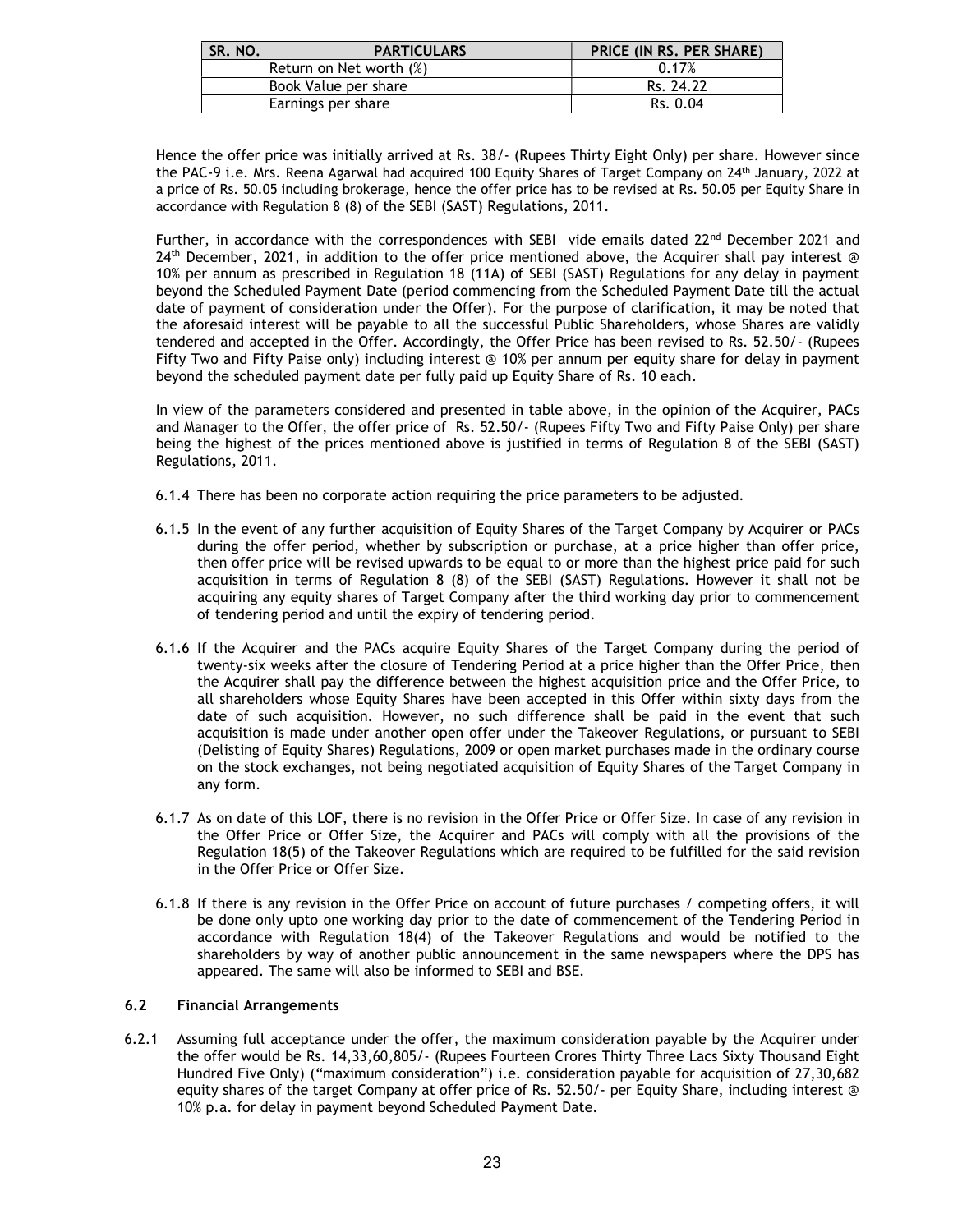| SR. NO. | <b>PARTICULARS</b>      | PRICE (IN RS. PER SHARE) |
|---------|-------------------------|--------------------------|
|         | Return on Net worth (%) | 0.17%                    |
|         | Book Value per share    | Rs. 24.22                |
|         | Earnings per share      | Rs. 0.04                 |

Hence the offer price was initially arrived at Rs. 38/- (Rupees Thirty Eight Only) per share. However since the PAC-9 i.e. Mrs. Reena Agarwal had acquired 100 Equity Shares of Target Company on 24<sup>th</sup> January, 2022 at a price of Rs. 50.05 including brokerage, hence the offer price has to be revised at Rs. 50.05 per Equity Share in accordance with Regulation 8 (8) of the SEBI (SAST) Regulations, 2011.

Further, in accordance with the correspondences with SEBI vide emails dated 22<sup>nd</sup> December 2021 and 24<sup>th</sup> December, 2021, in addition to the offer price mentioned above, the Acquirer shall pay interest @ 10% per annum as prescribed in Regulation 18 (11A) of SEBI (SAST) Regulations for any delay in payment beyond the Scheduled Payment Date (period commencing from the Scheduled Payment Date till the actual date of payment of consideration under the Offer). For the purpose of clarification, it may be noted that the aforesaid interest will be payable to all the successful Public Shareholders, whose Shares are validly tendered and accepted in the Offer. Accordingly, the Offer Price has been revised to Rs. 52.50/- (Rupees Fifty Two and Fifty Paise only) including interest @ 10% per annum per equity share for delay in payment beyond the scheduled payment date per fully paid up Equity Share of Rs. 10 each.

In view of the parameters considered and presented in table above, in the opinion of the Acquirer, PACs and Manager to the Offer, the offer price of Rs. 52.50/- (Rupees Fifty Two and Fifty Paise Only) per share being the highest of the prices mentioned above is justified in terms of Regulation 8 of the SEBI (SAST) Regulations, 2011.

- 6.1.4 There has been no corporate action requiring the price parameters to be adjusted.
- 6.1.5 In the event of any further acquisition of Equity Shares of the Target Company by Acquirer or PACs during the offer period, whether by subscription or purchase, at a price higher than offer price, then offer price will be revised upwards to be equal to or more than the highest price paid for such acquisition in terms of Regulation 8 (8) of the SEBI (SAST) Regulations. However it shall not be acquiring any equity shares of Target Company after the third working day prior to commencement of tendering period and until the expiry of tendering period.
- 6.1.6 If the Acquirer and the PACs acquire Equity Shares of the Target Company during the period of twenty-six weeks after the closure of Tendering Period at a price higher than the Offer Price, then the Acquirer shall pay the difference between the highest acquisition price and the Offer Price, to all shareholders whose Equity Shares have been accepted in this Offer within sixty days from the date of such acquisition. However, no such difference shall be paid in the event that such acquisition is made under another open offer under the Takeover Regulations, or pursuant to SEBI (Delisting of Equity Shares) Regulations, 2009 or open market purchases made in the ordinary course on the stock exchanges, not being negotiated acquisition of Equity Shares of the Target Company in any form.
- 6.1.7 As on date of this LOF, there is no revision in the Offer Price or Offer Size. In case of any revision in the Offer Price or Offer Size, the Acquirer and PACs will comply with all the provisions of the Regulation 18(5) of the Takeover Regulations which are required to be fulfilled for the said revision in the Offer Price or Offer Size.
- 6.1.8 If there is any revision in the Offer Price on account of future purchases / competing offers, it will be done only upto one working day prior to the date of commencement of the Tendering Period in accordance with Regulation 18(4) of the Takeover Regulations and would be notified to the shareholders by way of another public announcement in the same newspapers where the DPS has appeared. The same will also be informed to SEBI and BSE.

# 6.2 Financial Arrangements

6.2.1 Assuming full acceptance under the offer, the maximum consideration payable by the Acquirer under the offer would be Rs. 14,33,60,805/- (Rupees Fourteen Crores Thirty Three Lacs Sixty Thousand Eight Hundred Five Only) ("maximum consideration") i.e. consideration payable for acquisition of 27,30,682 equity shares of the target Company at offer price of Rs. 52.50/- per Equity Share, including interest @ 10% p.a. for delay in payment beyond Scheduled Payment Date.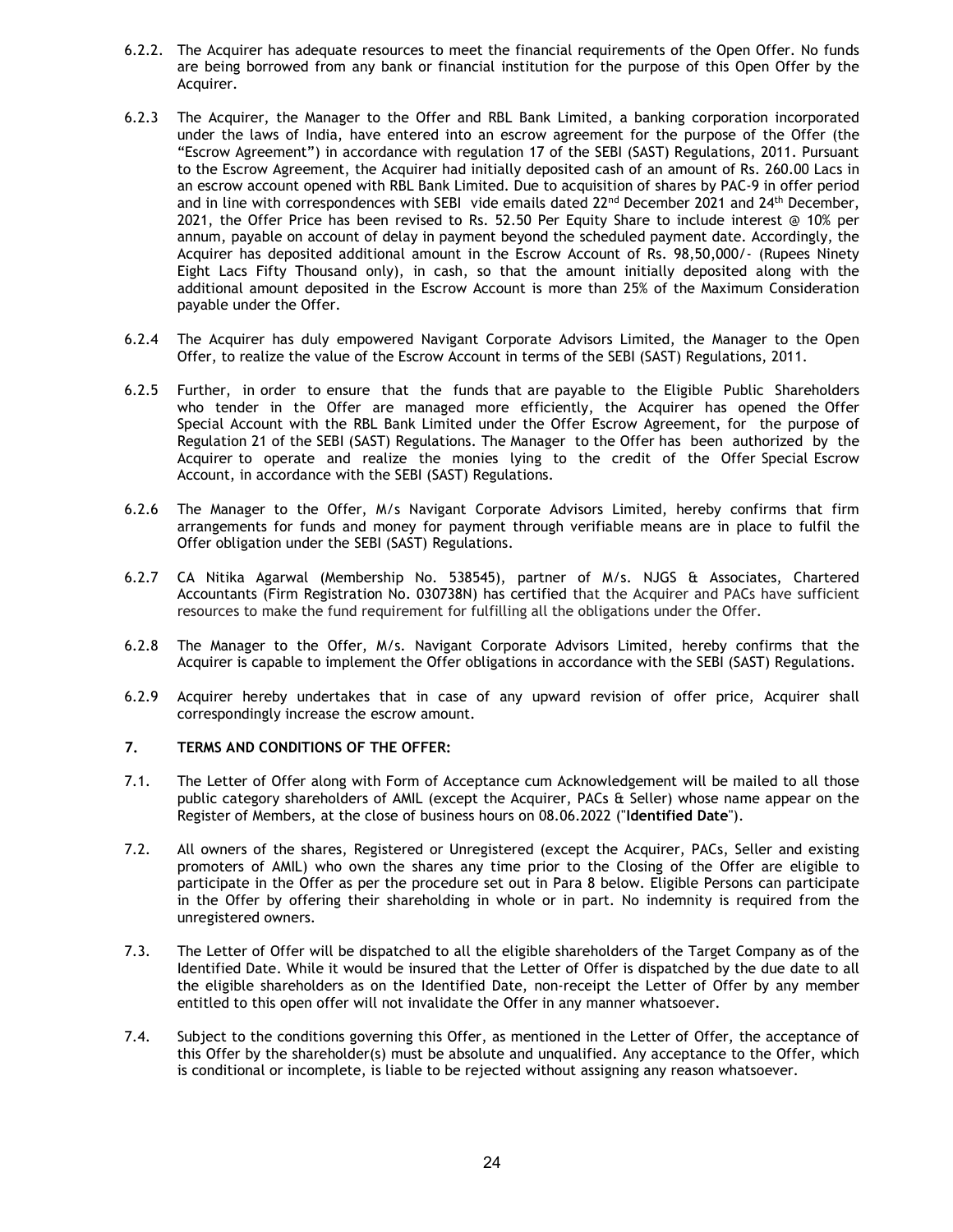- 6.2.2. The Acquirer has adequate resources to meet the financial requirements of the Open Offer. No funds are being borrowed from any bank or financial institution for the purpose of this Open Offer by the Acquirer.
- 6.2.3 The Acquirer, the Manager to the Offer and RBL Bank Limited, a banking corporation incorporated under the laws of India, have entered into an escrow agreement for the purpose of the Offer (the "Escrow Agreement") in accordance with regulation 17 of the SEBI (SAST) Regulations, 2011. Pursuant to the Escrow Agreement, the Acquirer had initially deposited cash of an amount of Rs. 260.00 Lacs in an escrow account opened with RBL Bank Limited. Due to acquisition of shares by PAC-9 in offer period and in line with correspondences with SEBI vide emails dated 22<sup>nd</sup> December 2021 and 24<sup>th</sup> December, 2021, the Offer Price has been revised to Rs. 52.50 Per Equity Share to include interest @ 10% per annum, payable on account of delay in payment beyond the scheduled payment date. Accordingly, the Acquirer has deposited additional amount in the Escrow Account of Rs. 98,50,000/- (Rupees Ninety Eight Lacs Fifty Thousand only), in cash, so that the amount initially deposited along with the additional amount deposited in the Escrow Account is more than 25% of the Maximum Consideration payable under the Offer.
- 6.2.4 The Acquirer has duly empowered Navigant Corporate Advisors Limited, the Manager to the Open Offer, to realize the value of the Escrow Account in terms of the SEBI (SAST) Regulations, 2011.
- 6.2.5 Further, in order to ensure that the funds that are payable to the Eligible Public Shareholders who tender in the Offer are managed more efficiently, the Acquirer has opened the Offer Special Account with the RBL Bank Limited under the Offer Escrow Agreement, for the purpose of Regulation 21 of the SEBI (SAST) Regulations. The Manager to the Offer has been authorized by the Acquirer to operate and realize the monies lying to the credit of the Offer Special Escrow Account, in accordance with the SEBI (SAST) Regulations.
- 6.2.6 The Manager to the Offer, M/s Navigant Corporate Advisors Limited, hereby confirms that firm arrangements for funds and money for payment through verifiable means are in place to fulfil the Offer obligation under the SEBI (SAST) Regulations.
- 6.2.7 CA Nitika Agarwal (Membership No. 538545), partner of M/s. NJGS & Associates, Chartered Accountants (Firm Registration No. 030738N) has certified that the Acquirer and PACs have sufficient resources to make the fund requirement for fulfilling all the obligations under the Offer.
- 6.2.8 The Manager to the Offer, M/s. Navigant Corporate Advisors Limited, hereby confirms that the Acquirer is capable to implement the Offer obligations in accordance with the SEBI (SAST) Regulations.
- 6.2.9 Acquirer hereby undertakes that in case of any upward revision of offer price, Acquirer shall correspondingly increase the escrow amount.

## 7. TERMS AND CONDITIONS OF THE OFFER:

- 7.1. The Letter of Offer along with Form of Acceptance cum Acknowledgement will be mailed to all those public category shareholders of AMIL (except the Acquirer, PACs & Seller) whose name appear on the Register of Members, at the close of business hours on 08.06.2022 ("Identified Date").
- 7.2. All owners of the shares, Registered or Unregistered (except the Acquirer, PACs, Seller and existing promoters of AMIL) who own the shares any time prior to the Closing of the Offer are eligible to participate in the Offer as per the procedure set out in Para 8 below. Eligible Persons can participate in the Offer by offering their shareholding in whole or in part. No indemnity is required from the unregistered owners.
- 7.3. The Letter of Offer will be dispatched to all the eligible shareholders of the Target Company as of the Identified Date. While it would be insured that the Letter of Offer is dispatched by the due date to all the eligible shareholders as on the Identified Date, non-receipt the Letter of Offer by any member entitled to this open offer will not invalidate the Offer in any manner whatsoever.
- 7.4. Subject to the conditions governing this Offer, as mentioned in the Letter of Offer, the acceptance of this Offer by the shareholder(s) must be absolute and unqualified. Any acceptance to the Offer, which is conditional or incomplete, is liable to be rejected without assigning any reason whatsoever.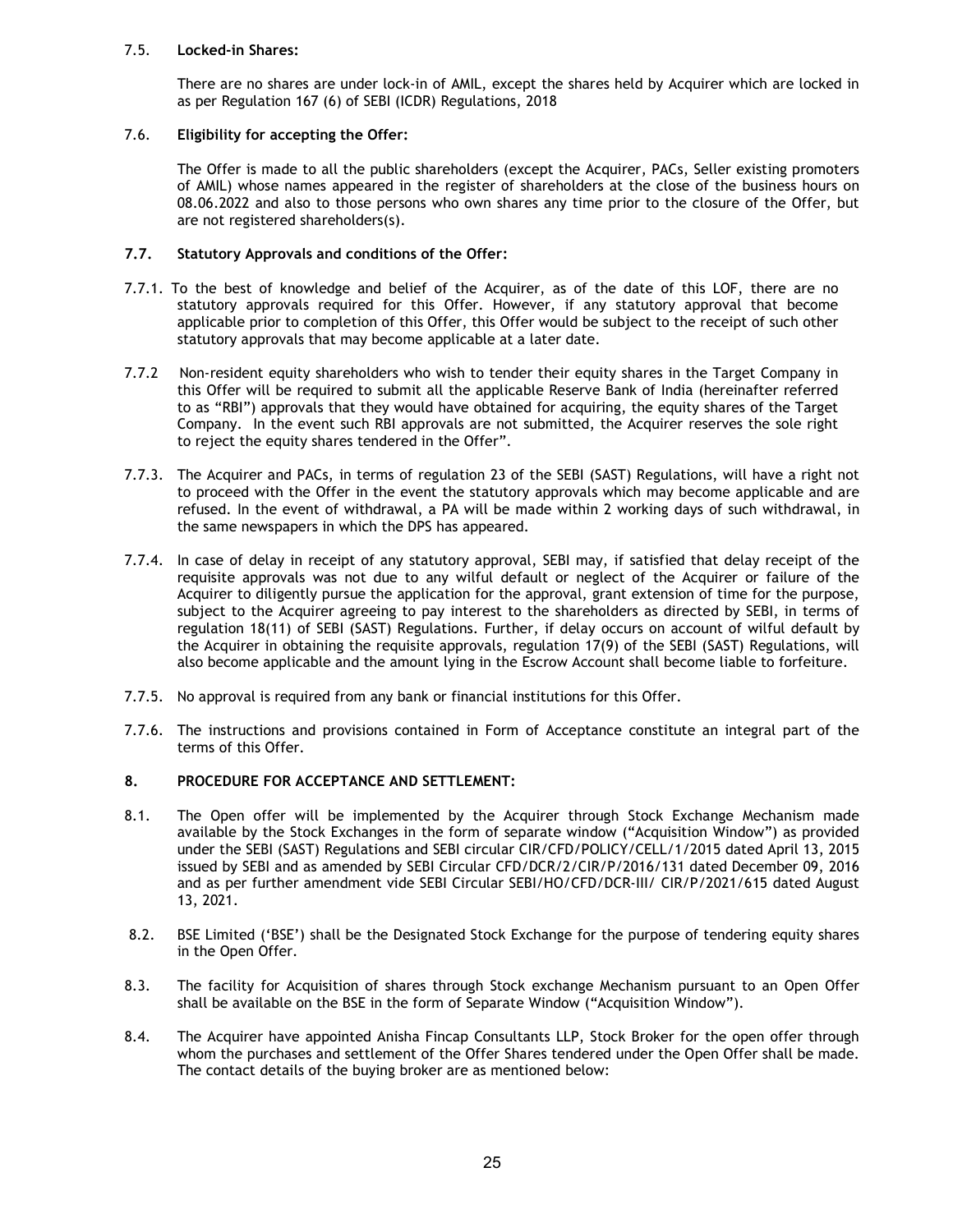## 7.5. Locked-in Shares:

There are no shares are under lock-in of AMIL, except the shares held by Acquirer which are locked in as per Regulation 167 (6) of SEBI (ICDR) Regulations, 2018

# 7.6. Eligibility for accepting the Offer:

The Offer is made to all the public shareholders (except the Acquirer, PACs, Seller existing promoters of AMIL) whose names appeared in the register of shareholders at the close of the business hours on 08.06.2022 and also to those persons who own shares any time prior to the closure of the Offer, but are not registered shareholders(s).

# 7.7. Statutory Approvals and conditions of the Offer:

- 7.7.1. To the best of knowledge and belief of the Acquirer, as of the date of this LOF, there are no statutory approvals required for this Offer. However, if any statutory approval that become applicable prior to completion of this Offer, this Offer would be subject to the receipt of such other statutory approvals that may become applicable at a later date.
- 7.7.2 Non-resident equity shareholders who wish to tender their equity shares in the Target Company in this Offer will be required to submit all the applicable Reserve Bank of India (hereinafter referred to as "RBI") approvals that they would have obtained for acquiring, the equity shares of the Target Company. In the event such RBI approvals are not submitted, the Acquirer reserves the sole right to reject the equity shares tendered in the Offer".
- 7.7.3. The Acquirer and PACs, in terms of regulation 23 of the SEBI (SAST) Regulations, will have a right not to proceed with the Offer in the event the statutory approvals which may become applicable and are refused. In the event of withdrawal, a PA will be made within 2 working days of such withdrawal, in the same newspapers in which the DPS has appeared.
- 7.7.4. In case of delay in receipt of any statutory approval, SEBI may, if satisfied that delay receipt of the requisite approvals was not due to any wilful default or neglect of the Acquirer or failure of the Acquirer to diligently pursue the application for the approval, grant extension of time for the purpose, subject to the Acquirer agreeing to pay interest to the shareholders as directed by SEBI, in terms of regulation 18(11) of SEBI (SAST) Regulations. Further, if delay occurs on account of wilful default by the Acquirer in obtaining the requisite approvals, regulation 17(9) of the SEBI (SAST) Regulations, will also become applicable and the amount lying in the Escrow Account shall become liable to forfeiture.
- 7.7.5. No approval is required from any bank or financial institutions for this Offer.
- 7.7.6. The instructions and provisions contained in Form of Acceptance constitute an integral part of the terms of this Offer.

## 8. PROCEDURE FOR ACCEPTANCE AND SETTLEMENT:

- 8.1. The Open offer will be implemented by the Acquirer through Stock Exchange Mechanism made available by the Stock Exchanges in the form of separate window ("Acquisition Window") as provided under the SEBI (SAST) Regulations and SEBI circular CIR/CFD/POLICY/CELL/1/2015 dated April 13, 2015 issued by SEBI and as amended by SEBI Circular CFD/DCR/2/CIR/P/2016/131 dated December 09, 2016 and as per further amendment vide SEBI Circular SEBI/HO/CFD/DCR-III/ CIR/P/2021/615 dated August 13, 2021.
- 8.2. BSE Limited ('BSE') shall be the Designated Stock Exchange for the purpose of tendering equity shares in the Open Offer.
- 8.3. The facility for Acquisition of shares through Stock exchange Mechanism pursuant to an Open Offer shall be available on the BSE in the form of Separate Window ("Acquisition Window").
- 8.4. The Acquirer have appointed Anisha Fincap Consultants LLP, Stock Broker for the open offer through whom the purchases and settlement of the Offer Shares tendered under the Open Offer shall be made. The contact details of the buying broker are as mentioned below: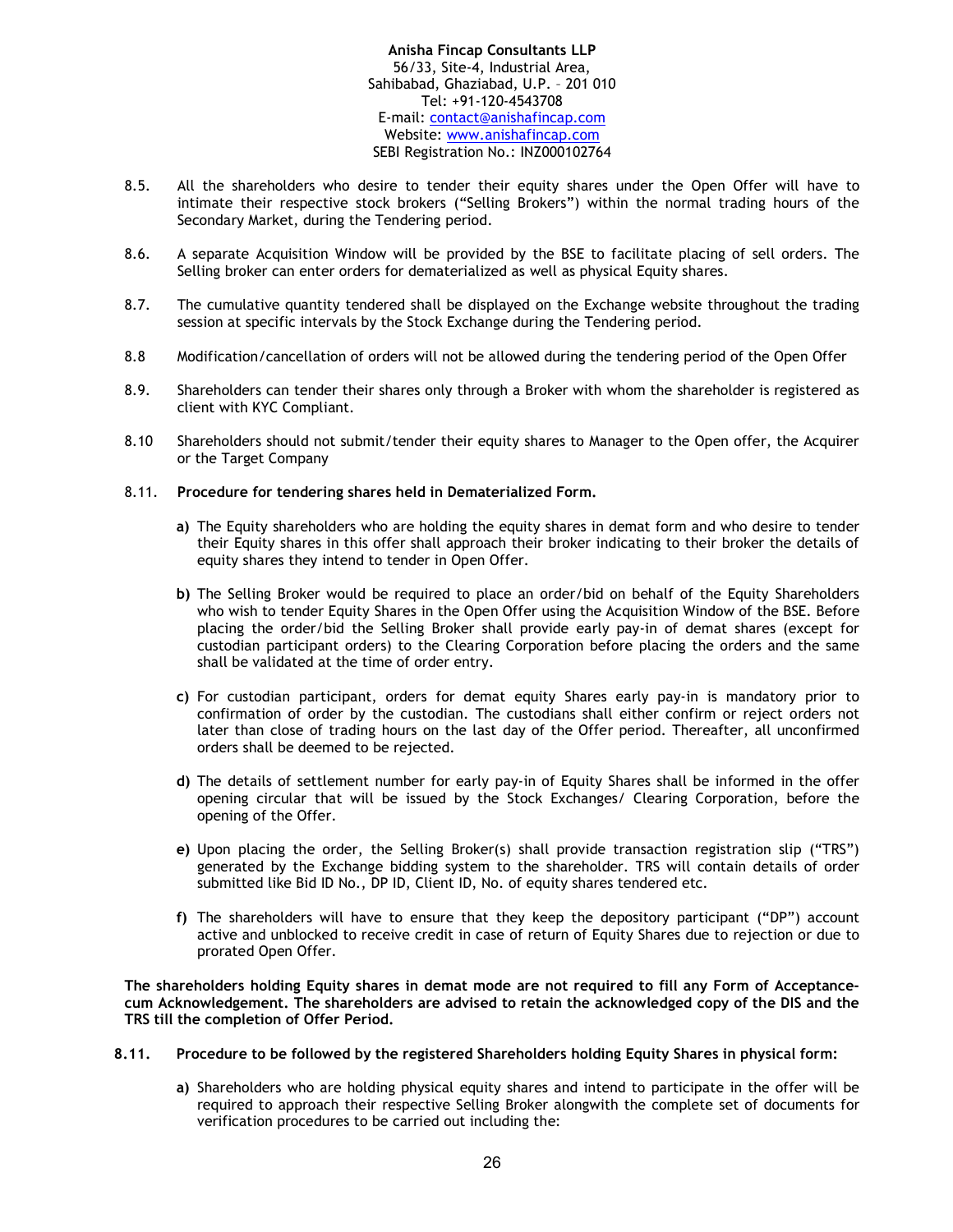## Anisha Fincap Consultants LLP 56/33, Site-4, Industrial Area, Sahibabad, Ghaziabad, U.P. – 201 010 Tel: +91-120-4543708 E-mail: contact@anishafincap.com Website: www.anishafincap.com SEBI Registration No.: INZ000102764

- 8.5. All the shareholders who desire to tender their equity shares under the Open Offer will have to intimate their respective stock brokers ("Selling Brokers") within the normal trading hours of the Secondary Market, during the Tendering period.
- 8.6. A separate Acquisition Window will be provided by the BSE to facilitate placing of sell orders. The Selling broker can enter orders for dematerialized as well as physical Equity shares.
- 8.7. The cumulative quantity tendered shall be displayed on the Exchange website throughout the trading session at specific intervals by the Stock Exchange during the Tendering period.
- 8.8 Modification/cancellation of orders will not be allowed during the tendering period of the Open Offer
- 8.9. Shareholders can tender their shares only through a Broker with whom the shareholder is registered as client with KYC Compliant.
- 8.10 Shareholders should not submit/tender their equity shares to Manager to the Open offer, the Acquirer or the Target Company

## 8.11. Procedure for tendering shares held in Dematerialized Form.

- a) The Equity shareholders who are holding the equity shares in demat form and who desire to tender their Equity shares in this offer shall approach their broker indicating to their broker the details of equity shares they intend to tender in Open Offer.
- b) The Selling Broker would be required to place an order/bid on behalf of the Equity Shareholders who wish to tender Equity Shares in the Open Offer using the Acquisition Window of the BSE. Before placing the order/bid the Selling Broker shall provide early pay-in of demat shares (except for custodian participant orders) to the Clearing Corporation before placing the orders and the same shall be validated at the time of order entry.
- c) For custodian participant, orders for demat equity Shares early pay-in is mandatory prior to confirmation of order by the custodian. The custodians shall either confirm or reject orders not later than close of trading hours on the last day of the Offer period. Thereafter, all unconfirmed orders shall be deemed to be rejected.
- d) The details of settlement number for early pay-in of Equity Shares shall be informed in the offer opening circular that will be issued by the Stock Exchanges/ Clearing Corporation, before the opening of the Offer.
- e) Upon placing the order, the Selling Broker(s) shall provide transaction registration slip ("TRS") generated by the Exchange bidding system to the shareholder. TRS will contain details of order submitted like Bid ID No., DP ID, Client ID, No. of equity shares tendered etc.
- f) The shareholders will have to ensure that they keep the depository participant ("DP") account active and unblocked to receive credit in case of return of Equity Shares due to rejection or due to prorated Open Offer.

The shareholders holding Equity shares in demat mode are not required to fill any Form of Acceptancecum Acknowledgement. The shareholders are advised to retain the acknowledged copy of the DIS and the TRS till the completion of Offer Period.

## 8.11. Procedure to be followed by the registered Shareholders holding Equity Shares in physical form:

a) Shareholders who are holding physical equity shares and intend to participate in the offer will be required to approach their respective Selling Broker alongwith the complete set of documents for verification procedures to be carried out including the: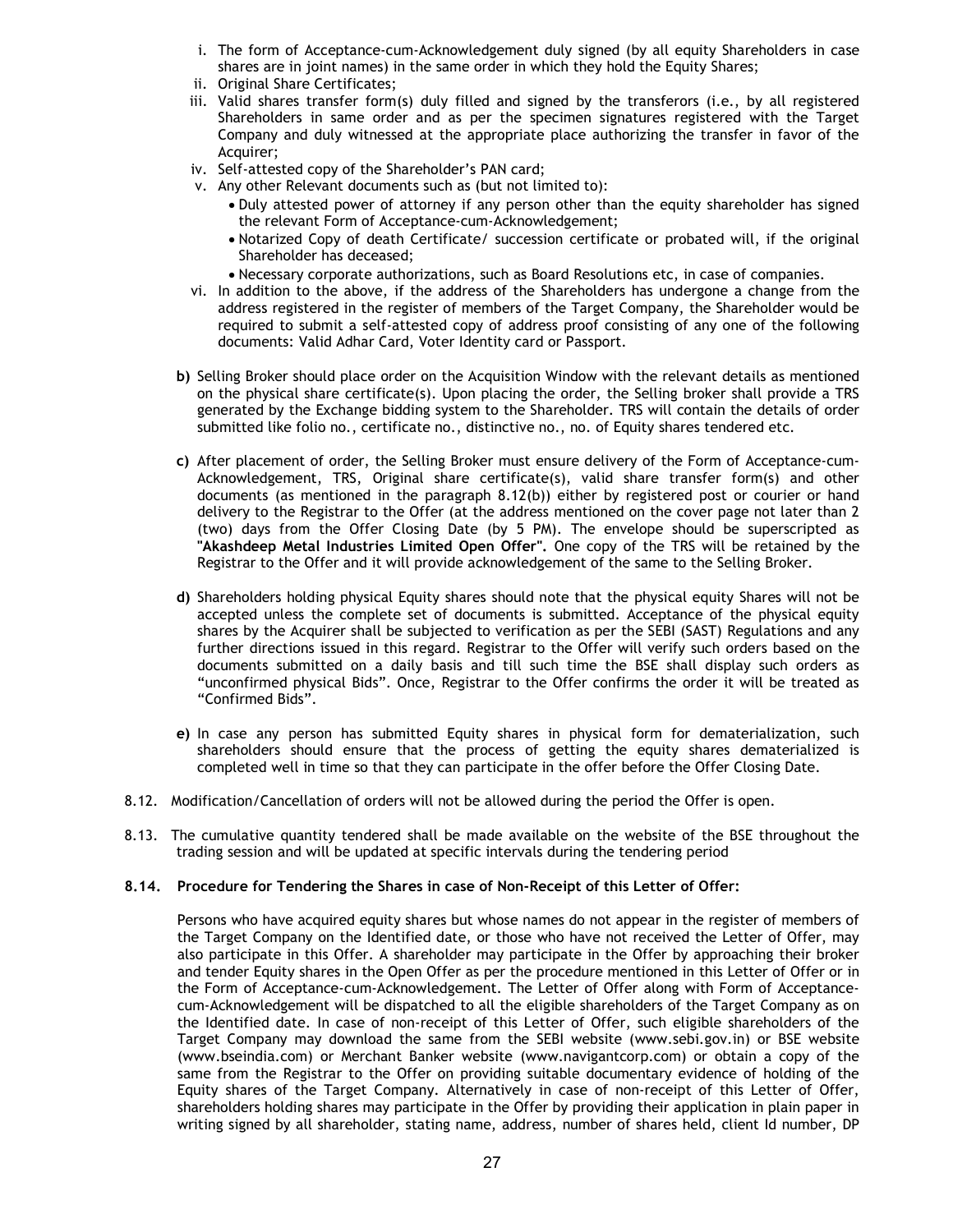- i. The form of Acceptance-cum-Acknowledgement duly signed (by all equity Shareholders in case shares are in joint names) in the same order in which they hold the Equity Shares;
- ii. Original Share Certificates;
- iii. Valid shares transfer form(s) duly filled and signed by the transferors (i.e., by all registered Shareholders in same order and as per the specimen signatures registered with the Target Company and duly witnessed at the appropriate place authorizing the transfer in favor of the Acquirer;
- iv. Self-attested copy of the Shareholder's PAN card;
- v. Any other Relevant documents such as (but not limited to):
	- Duly attested power of attorney if any person other than the equity shareholder has signed the relevant Form of Acceptance-cum-Acknowledgement;
	- Notarized Copy of death Certificate/ succession certificate or probated will, if the original Shareholder has deceased;
	- Necessary corporate authorizations, such as Board Resolutions etc, in case of companies.
- vi. In addition to the above, if the address of the Shareholders has undergone a change from the address registered in the register of members of the Target Company, the Shareholder would be required to submit a self-attested copy of address proof consisting of any one of the following documents: Valid Adhar Card, Voter Identity card or Passport.
- b) Selling Broker should place order on the Acquisition Window with the relevant details as mentioned on the physical share certificate(s). Upon placing the order, the Selling broker shall provide a TRS generated by the Exchange bidding system to the Shareholder. TRS will contain the details of order submitted like folio no., certificate no., distinctive no., no. of Equity shares tendered etc.
- c) After placement of order, the Selling Broker must ensure delivery of the Form of Acceptance-cum-Acknowledgement, TRS, Original share certificate(s), valid share transfer form(s) and other documents (as mentioned in the paragraph 8.12(b)) either by registered post or courier or hand delivery to the Registrar to the Offer (at the address mentioned on the cover page not later than 2 (two) days from the Offer Closing Date (by 5 PM). The envelope should be superscripted as "Akashdeep Metal Industries Limited Open Offer". One copy of the TRS will be retained by the Registrar to the Offer and it will provide acknowledgement of the same to the Selling Broker.
- d) Shareholders holding physical Equity shares should note that the physical equity Shares will not be accepted unless the complete set of documents is submitted. Acceptance of the physical equity shares by the Acquirer shall be subjected to verification as per the SEBI (SAST) Regulations and any further directions issued in this regard. Registrar to the Offer will verify such orders based on the documents submitted on a daily basis and till such time the BSE shall display such orders as "unconfirmed physical Bids". Once, Registrar to the Offer confirms the order it will be treated as "Confirmed Bids".
- e) In case any person has submitted Equity shares in physical form for dematerialization, such shareholders should ensure that the process of getting the equity shares dematerialized is completed well in time so that they can participate in the offer before the Offer Closing Date.
- 8.12. Modification/Cancellation of orders will not be allowed during the period the Offer is open.
- 8.13. The cumulative quantity tendered shall be made available on the website of the BSE throughout the trading session and will be updated at specific intervals during the tendering period

# 8.14. Procedure for Tendering the Shares in case of Non-Receipt of this Letter of Offer:

Persons who have acquired equity shares but whose names do not appear in the register of members of the Target Company on the Identified date, or those who have not received the Letter of Offer, may also participate in this Offer. A shareholder may participate in the Offer by approaching their broker and tender Equity shares in the Open Offer as per the procedure mentioned in this Letter of Offer or in the Form of Acceptance-cum-Acknowledgement. The Letter of Offer along with Form of Acceptancecum-Acknowledgement will be dispatched to all the eligible shareholders of the Target Company as on the Identified date. In case of non-receipt of this Letter of Offer, such eligible shareholders of the Target Company may download the same from the SEBI website (www.sebi.gov.in) or BSE website (www.bseindia.com) or Merchant Banker website (www.navigantcorp.com) or obtain a copy of the same from the Registrar to the Offer on providing suitable documentary evidence of holding of the Equity shares of the Target Company. Alternatively in case of non-receipt of this Letter of Offer, shareholders holding shares may participate in the Offer by providing their application in plain paper in writing signed by all shareholder, stating name, address, number of shares held, client Id number, DP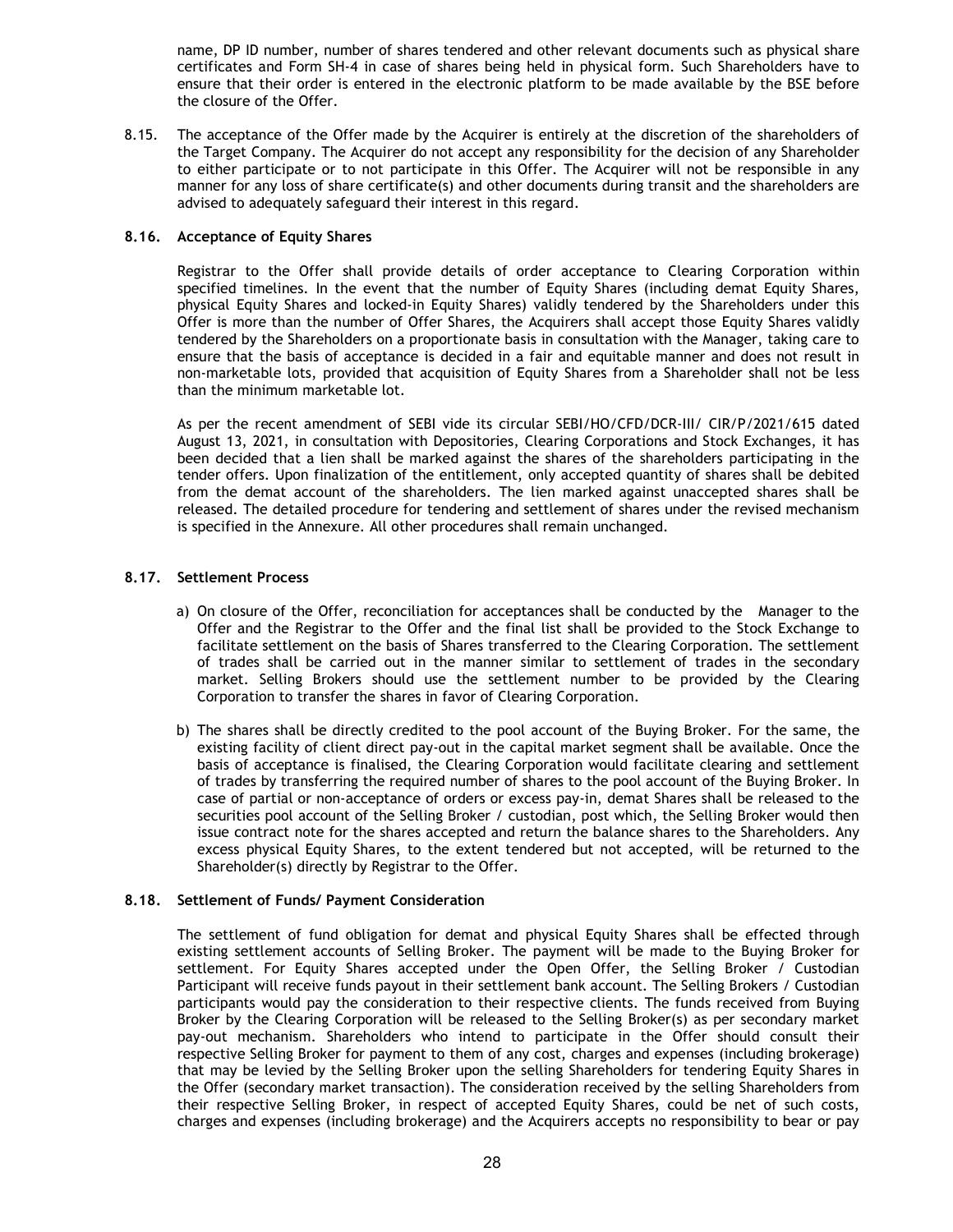name, DP ID number, number of shares tendered and other relevant documents such as physical share certificates and Form SH-4 in case of shares being held in physical form. Such Shareholders have to ensure that their order is entered in the electronic platform to be made available by the BSE before the closure of the Offer.

8.15. The acceptance of the Offer made by the Acquirer is entirely at the discretion of the shareholders of the Target Company. The Acquirer do not accept any responsibility for the decision of any Shareholder to either participate or to not participate in this Offer. The Acquirer will not be responsible in any manner for any loss of share certificate(s) and other documents during transit and the shareholders are advised to adequately safeguard their interest in this regard.

# 8.16. Acceptance of Equity Shares

Registrar to the Offer shall provide details of order acceptance to Clearing Corporation within specified timelines. In the event that the number of Equity Shares (including demat Equity Shares, physical Equity Shares and locked-in Equity Shares) validly tendered by the Shareholders under this Offer is more than the number of Offer Shares, the Acquirers shall accept those Equity Shares validly tendered by the Shareholders on a proportionate basis in consultation with the Manager, taking care to ensure that the basis of acceptance is decided in a fair and equitable manner and does not result in non-marketable lots, provided that acquisition of Equity Shares from a Shareholder shall not be less than the minimum marketable lot.

As per the recent amendment of SEBI vide its circular SEBI/HO/CFD/DCR-III/ CIR/P/2021/615 dated August 13, 2021, in consultation with Depositories, Clearing Corporations and Stock Exchanges, it has been decided that a lien shall be marked against the shares of the shareholders participating in the tender offers. Upon finalization of the entitlement, only accepted quantity of shares shall be debited from the demat account of the shareholders. The lien marked against unaccepted shares shall be released. The detailed procedure for tendering and settlement of shares under the revised mechanism is specified in the Annexure. All other procedures shall remain unchanged.

## 8.17. Settlement Process

- a) On closure of the Offer, reconciliation for acceptances shall be conducted by the Manager to the Offer and the Registrar to the Offer and the final list shall be provided to the Stock Exchange to facilitate settlement on the basis of Shares transferred to the Clearing Corporation. The settlement of trades shall be carried out in the manner similar to settlement of trades in the secondary market. Selling Brokers should use the settlement number to be provided by the Clearing Corporation to transfer the shares in favor of Clearing Corporation.
- b) The shares shall be directly credited to the pool account of the Buying Broker. For the same, the existing facility of client direct pay-out in the capital market segment shall be available. Once the basis of acceptance is finalised, the Clearing Corporation would facilitate clearing and settlement of trades by transferring the required number of shares to the pool account of the Buying Broker. In case of partial or non-acceptance of orders or excess pay-in, demat Shares shall be released to the securities pool account of the Selling Broker / custodian, post which, the Selling Broker would then issue contract note for the shares accepted and return the balance shares to the Shareholders. Any excess physical Equity Shares, to the extent tendered but not accepted, will be returned to the Shareholder(s) directly by Registrar to the Offer.

## 8.18. Settlement of Funds/ Payment Consideration

The settlement of fund obligation for demat and physical Equity Shares shall be effected through existing settlement accounts of Selling Broker. The payment will be made to the Buying Broker for settlement. For Equity Shares accepted under the Open Offer, the Selling Broker / Custodian Participant will receive funds payout in their settlement bank account. The Selling Brokers / Custodian participants would pay the consideration to their respective clients. The funds received from Buying Broker by the Clearing Corporation will be released to the Selling Broker(s) as per secondary market pay-out mechanism. Shareholders who intend to participate in the Offer should consult their respective Selling Broker for payment to them of any cost, charges and expenses (including brokerage) that may be levied by the Selling Broker upon the selling Shareholders for tendering Equity Shares in the Offer (secondary market transaction). The consideration received by the selling Shareholders from their respective Selling Broker, in respect of accepted Equity Shares, could be net of such costs, charges and expenses (including brokerage) and the Acquirers accepts no responsibility to bear or pay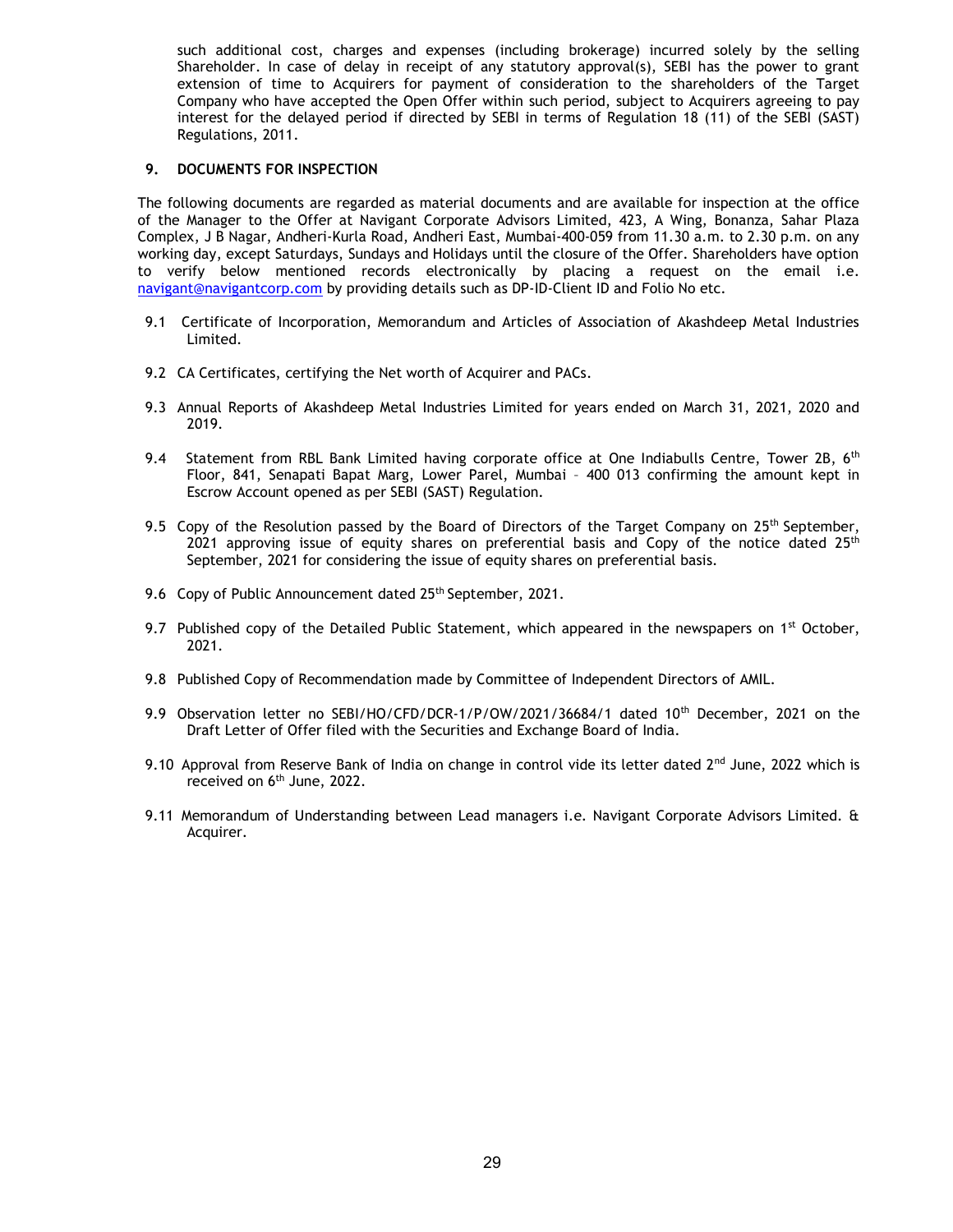such additional cost, charges and expenses (including brokerage) incurred solely by the selling Shareholder. In case of delay in receipt of any statutory approval(s), SEBI has the power to grant extension of time to Acquirers for payment of consideration to the shareholders of the Target Company who have accepted the Open Offer within such period, subject to Acquirers agreeing to pay interest for the delayed period if directed by SEBI in terms of Regulation 18 (11) of the SEBI (SAST) Regulations, 2011.

## 9. DOCUMENTS FOR INSPECTION

The following documents are regarded as material documents and are available for inspection at the office of the Manager to the Offer at Navigant Corporate Advisors Limited, 423, A Wing, Bonanza, Sahar Plaza Complex, J B Nagar, Andheri-Kurla Road, Andheri East, Mumbai-400-059 from 11.30 a.m. to 2.30 p.m. on any working day, except Saturdays, Sundays and Holidays until the closure of the Offer. Shareholders have option to verify below mentioned records electronically by placing a request on the email i.e. navigant@navigantcorp.com by providing details such as DP-ID-Client ID and Folio No etc.

- 9.1 Certificate of Incorporation, Memorandum and Articles of Association of Akashdeep Metal Industries Limited.
- 9.2 CA Certificates, certifying the Net worth of Acquirer and PACs.
- 9.3 Annual Reports of Akashdeep Metal Industries Limited for years ended on March 31, 2021, 2020 and 2019.
- 9.4 Statement from RBL Bank Limited having corporate office at One Indiabulls Centre, Tower 2B, 6<sup>th</sup> Floor, 841, Senapati Bapat Marg, Lower Parel, Mumbai – 400 013 confirming the amount kept in Escrow Account opened as per SEBI (SAST) Regulation.
- 9.5 Copy of the Resolution passed by the Board of Directors of the Target Company on 25<sup>th</sup> September, 2021 approving issue of equity shares on preferential basis and Copy of the notice dated  $25<sup>th</sup>$ September, 2021 for considering the issue of equity shares on preferential basis.
- 9.6 Copy of Public Announcement dated 25<sup>th</sup> September, 2021.
- 9.7 Published copy of the Detailed Public Statement, which appeared in the newspapers on  $1<sup>st</sup>$  October, 2021.
- 9.8 Published Copy of Recommendation made by Committee of Independent Directors of AMIL.
- 9.9 Observation letter no SEBI/HO/CFD/DCR-1/P/OW/2021/36684/1 dated 10<sup>th</sup> December, 2021 on the Draft Letter of Offer filed with the Securities and Exchange Board of India.
- 9.10 Approval from Reserve Bank of India on change in control vide its letter dated  $2^{nd}$  June, 2022 which is received on 6<sup>th</sup> June, 2022.
- 9.11 Memorandum of Understanding between Lead managers i.e. Navigant Corporate Advisors Limited. & Acquirer.